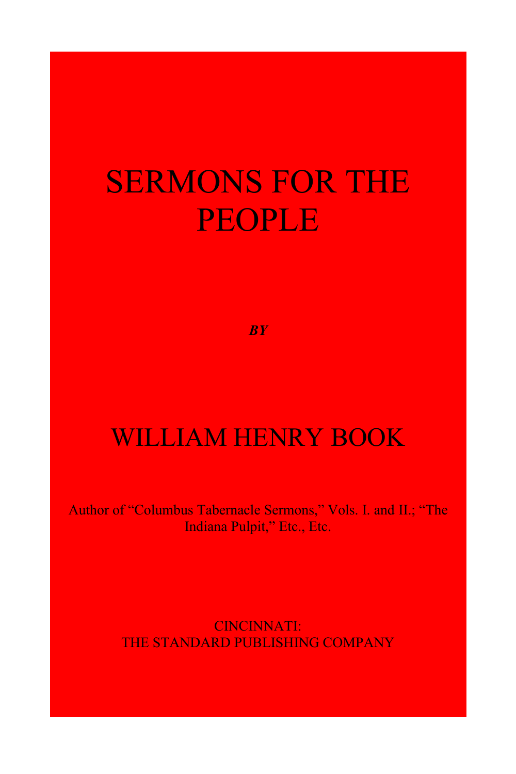# SERMONS FOR THE PEOPLE

*BY*

#### WILLIAM HENRY BOOK

Author of "Columbus Tabernacle Sermons," Vols. I. and II.; "The Indiana Pulpit," Etc., Etc.

> CINCINNATI: THE STANDARD PUBLISHING COMPANY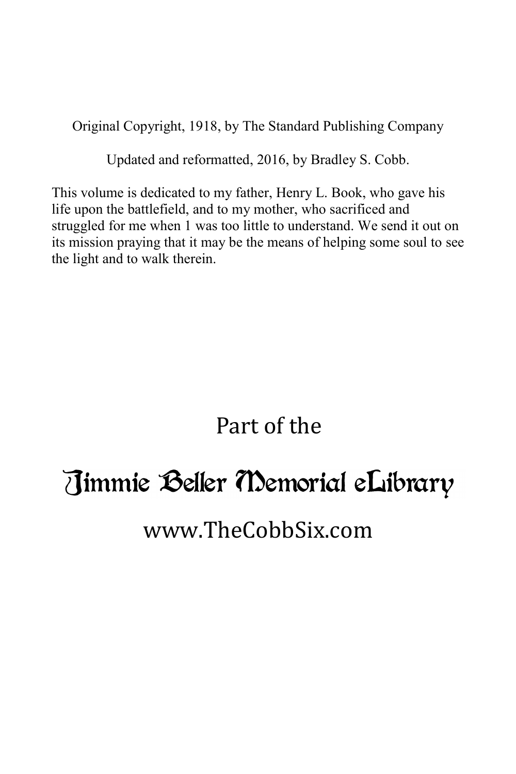Original Copyright, 1918, by The Standard Publishing Company

Updated and reformatted, 2016, by Bradley S. Cobb.

This volume is dedicated to my father, Henry L. Book, who gave his life upon the battlefield, and to my mother, who sacrificed and struggled for me when 1 was too little to understand. We send it out on its mission praying that it may be the means of helping some soul to see the light and to walk therein.

#### Part of the

#### Timmie Beller Memorial eLibrary

#### www.TheCobbSix.com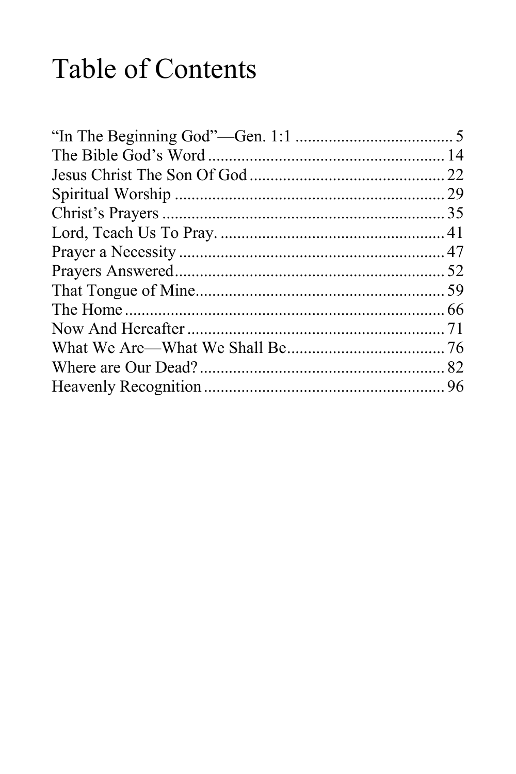# Table of Contents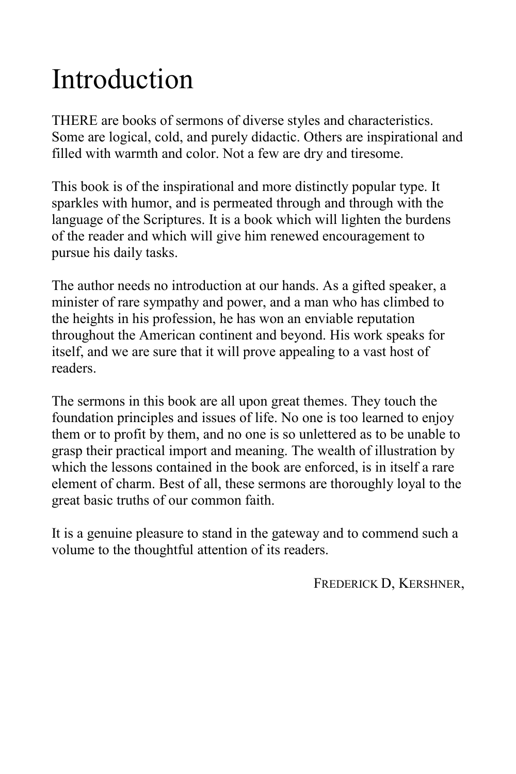# Introduction

THERE are books of sermons of diverse styles and characteristics. Some are logical, cold, and purely didactic. Others are inspirational and filled with warmth and color. Not a few are dry and tiresome.

This book is of the inspirational and more distinctly popular type. It sparkles with humor, and is permeated through and through with the language of the Scriptures. It is a book which will lighten the burdens of the reader and which will give him renewed encouragement to pursue his daily tasks.

The author needs no introduction at our hands. As a gifted speaker, a minister of rare sympathy and power, and a man who has climbed to the heights in his profession, he has won an enviable reputation throughout the American continent and beyond. His work speaks for itself, and we are sure that it will prove appealing to a vast host of readers.

The sermons in this book are all upon great themes. They touch the foundation principles and issues of life. No one is too learned to enjoy them or to profit by them, and no one is so unlettered as to be unable to grasp their practical import and meaning. The wealth of illustration by which the lessons contained in the book are enforced, is in itself a rare element of charm. Best of all, these sermons are thoroughly loyal to the great basic truths of our common faith.

It is a genuine pleasure to stand in the gateway and to commend such a volume to the thoughtful attention of its readers.

FREDERICK D, KERSHNER,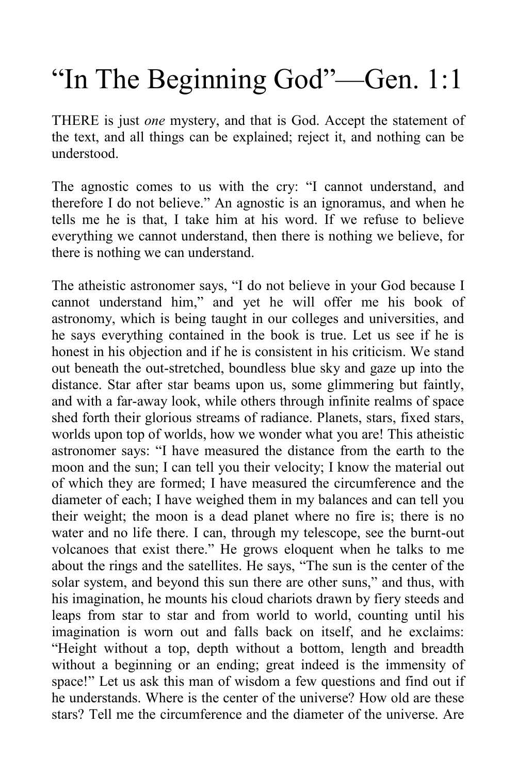# "In The Beginning God"—Gen. 1:1

ΤΉΕRΕ is just *one* mystery, and that is God. Accept the statement of the text, and all things can be explained; reject it, and nothing can be understood.

The agnostic comes to us with the cry: "I cannot understand, and therefore I do not believe." An agnostic is an ignoramus, and when he tells me he is that, I take him at his word. If we refuse to believe everything we cannot understand, then there is nothing we believe, for there is nothing we can understand.

The atheistic astronomer says, "I do not believe in your God because I cannot understand him," and yet he will offer me his book of astronomy, which is being taught in our colleges and universities, and he says everything contained in the book is true. Let us see if he is honest in his objection and if he is consistent in his criticism. We stand out beneath the out-stretched, boundless blue sky and gaze up into the distance. Star after star beams upon us, some glimmering but faintly, and with a far-away look, while others through infinite realms of space shed forth their glorious streams of radiance. Planets, stars, fixed stars, worlds upon top of worlds, how we wonder what you are! This atheistic astronomer says: "I have measured the distance from the earth to the moon and the sun; I can tell you their velocity; I know the material out of which they are formed; I have measured the circumference and the diameter of each; I have weighed them in my balances and can tell you their weight; the moon is a dead planet where no fire is; there is no water and no life there. I can, through my telescope, see the burnt-out volcanoes that exist there." He grows eloquent when he talks to me about the rings and the satellites. He says, "The sun is the center of the solar system, and beyond this sun there are other suns," and thus, with his imagination, he mounts his cloud chariots drawn by fiery steeds and leaps from star to star and from world to world, counting until his imagination is worn out and falls back on itself, and he exclaims: "Height without a top, depth without a bottom, length and breadth without a beginning or an ending; great indeed is the immensity of space!" Let us ask this man of wisdom a few questions and find out if he understands. Where is the center of the universe? How old are these stars? Tell me the circumference and the diameter of the universe. Are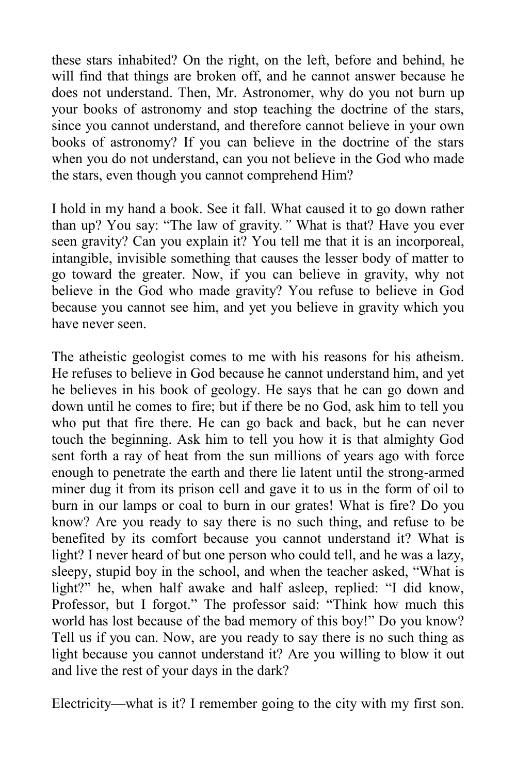these stars inhabited? On the right, on the left, before and behind, he will find that things are broken off, and he cannot answer because he does not understand. Then, Mr. Astronomer, why do you not burn up your books of astronomy and stop teaching the doctrine of the stars, since you cannot understand, and therefore cannot believe in your own books of astronomy? If you can believe in the doctrine of the stars when you do not understand, can you not believe in the God who made the stars, even though you cannot comprehend Him?

I hold in my hand a book. See it fall. What caused it to go down rather than up? You say: "The law of gravity*."* What is that? Have you ever seen gravity? Can you explain it? You tell me that it is an incorporeal, intangible, invisible something that causes the lesser body of matter to go toward the greater. Now, if you can believe in gravity, why not believe in the God who made gravity? You refuse to believe in God because you cannot see him, and yet you believe in gravity which you have never seen.

The atheistic geologist comes to me with his reasons for his atheism. He refuses to believe in God because he cannot understand him, and yet he believes in his book of geology. He says that he can go down and down until he comes to fire; but if there be no God, ask him to tell you who put that fire there. He can go back and back, but he can never touch the beginning. Ask him to tell you how it is that almighty God sent forth a ray of heat from the sun millions of years ago with force enough to penetrate the earth and there lie latent until the strong-armed miner dug it from its prison cell and gave it to us in the form of oil to burn in our lamps or coal to burn in our grates! What is fire? Do you know? Are you ready to say there is no such thing, and refuse to be benefited by its comfort because you cannot understand it? What is light? I never heard of but one person who could tell, and he was a lazy, sleepy, stupid boy in the school, and when the teacher asked, "What is light?" he, when half awake and half asleep, replied: "I did know, Professor, but I forgot." The professor said: "Think how much this world has lost because of the bad memory of this boy!" Do you know? Tell us if you can. Now, are you ready to say there is no such thing as light because you cannot understand it? Are you willing to blow it out and live the rest of your days in the dark?

Electricity—what is it? I remember going to the city with my first son.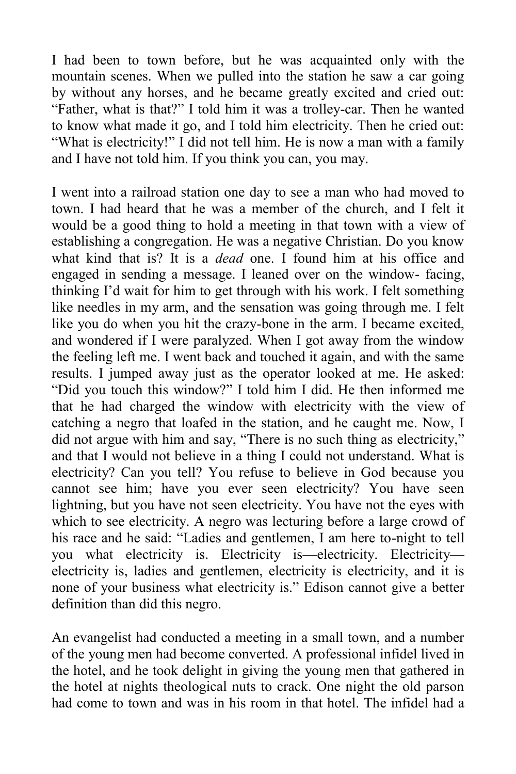I had been to town before, but he was acquainted only with the mountain scenes. When we pulled into the station he saw a car going by without any horses, and he became greatly excited and cried out: "Father, what is that?" I told him it was a trolley-car. Then he wanted to know what made it go, and I told him electricity. Then he cried out: "What is electricity!" I did not tell him. He is now a man with a family and I have not told him. If you think you can, you may.

I went into a railroad station one day to see a man who had moved to town. I had heard that he was a member of the church, and I felt it would be a good thing to hold a meeting in that town with a view of establishing a congregation. He was a negative Christian. Do you know what kind that is? It is a *dead* one. I found him at his office and engaged in sending a message. I leaned over on the window- facing, thinking I'd wait for him to get through with his work. I felt something like needles in my arm, and the sensation was going through me. I felt like you do when you hit the crazy-bone in the arm. I became excited, and wondered if I were paralyzed. When I got away from the window the feeling left me. I went back and touched it again, and with the same results. I jumped away just as the operator looked at me. He asked: "Did you touch this window?" I told him I did. He then informed me that he had charged the window with electricity with the view of catching a negro that loafed in the station, and he caught me. Now, I did not argue with him and say, "There is no such thing as electricity," and that I would not believe in a thing I could not understand. What is electricity? Can you tell? You refuse to believe in God because you cannot see him; have you ever seen electricity? You have seen lightning, but you have not seen electricity. You have not the eyes with which to see electricity. A negro was lecturing before a large crowd of his race and he said: "Ladies and gentlemen, I am here to-night to tell you what electricity is. Electricity is—electricity. Electricity electricity is, ladies and gentlemen, electricity is electricity, and it is none of your business what electricity is." Edison cannot give a better definition than did this negro.

An evangelist had conducted a meeting in a small town, and a number of the young men had become converted. A professional infidel lived in the hotel, and he took delight in giving the young men that gathered in the hotel at nights theological nuts to crack. One night the old parson had come to town and was in his room in that hotel. The infidel had a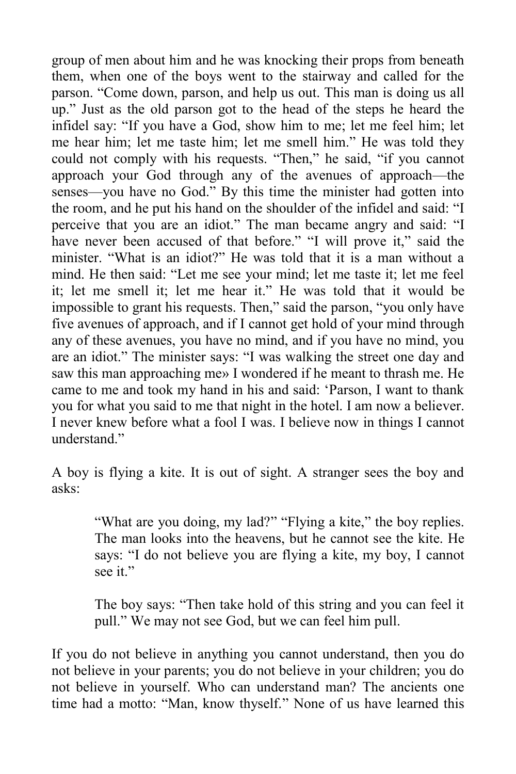group of men about him and he was knocking their props from beneath them, when one of the boys went to the stairway and called for the parson. "Come down, parson, and help us out. This man is doing us all up." Just as the old parson got to the head of the steps he heard the infidel say: "If you have a God, show him to me; let me feel him; let me hear him; let me taste him; let me smell him." He was told they could not comply with his requests. "Then," he said, "if you cannot approach your God through any of the avenues of approach—the senses—you have no God." By this time the minister had gotten into the room, and he put his hand on the shoulder of the infidel and said: "I perceive that you are an idiot." The man became angry and said: "I have never been accused of that before." "I will prove it," said the minister. "What is an idiot?" He was told that it is a man without a mind. He then said: "Let me see your mind; let me taste it; let me feel it; let me smell it; let me hear it." He was told that it would be impossible to grant his requests. Then," said the parson, "you only have five avenues of approach, and if I cannot get hold of your mind through any of these avenues, you have no mind, and if you have no mind, you are an idiot." The minister says: "I was walking the street one day and saw this man approaching me» I wondered if he meant to thrash me. He came to me and took my hand in his and said: 'Parson, I want to thank you for what you said to me that night in the hotel. I am now a believer. I never knew before what a fool I was. I believe now in things I cannot understand<sup>"</sup>

A boy is flying a kite. It is out of sight. A stranger sees the boy and asks:

> "What are you doing, my lad?" "Flying a kite," the boy replies. The man looks into the heavens, but he cannot see the kite. He says: "I do not believe you are flying a kite, my boy, I cannot see it."

> The boy says: "Then take hold of this string and you can feel it pull." We may not see God, but we can feel him pull.

If you do not believe in anything you cannot understand, then you do not believe in your parents; you do not believe in your children; you do not believe in yourself. Who can understand man? The ancients one time had a motto: "Man, know thyself." None of us have learned this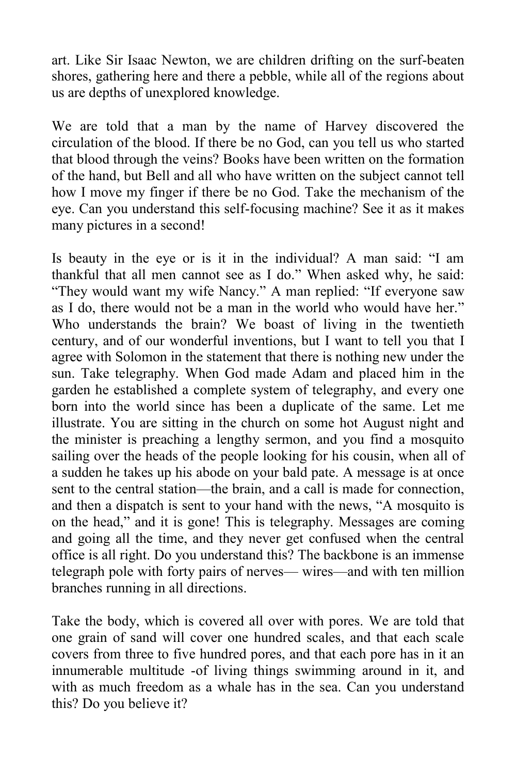art. Like Sir Isaac Newton, we are children drifting on the surf-beaten shores, gathering here and there a pebble, while all of the regions about us are depths of unexplored knowledge.

We are told that a man by the name of Harvey discovered the circulation of the blood. If there be no God, can you tell us who started that blood through the veins? Books have been written on the formation of the hand, but Bell and all who have written on the subject cannot tell how I move my finger if there be no God. Take the mechanism of the eye. Can you understand this self-focusing machine? See it as it makes many pictures in a second!

Is beauty in the eye or is it in the individual? A man said: "I am thankful that all men cannot see as I do." When asked why, he said: "They would want my wife Nancy." A man replied: "If everyone saw as I do, there would not be a man in the world who would have her." Who understands the brain? We boast of living in the twentieth century, and of our wonderful inventions, but I want to tell you that I agree with Solomon in the statement that there is nothing new under the sun. Take telegraphy. When God made Adam and placed him in the garden he established a complete system of telegraphy, and every one born into the world since has been a duplicate of the same. Let me illustrate. You are sitting in the church on some hot August night and the minister is preaching a lengthy sermon, and you find a mosquito sailing over the heads of the people looking for his cousin, when all of a sudden he takes up his abode on your bald pate. A message is at once sent to the central station—the brain, and a call is made for connection, and then a dispatch is sent to your hand with the news, "A mosquito is on the head," and it is gone! This is telegraphy. Messages are coming and going all the time, and they never get confused when the central office is all right. Do you understand this? The backbone is an immense telegraph pole with forty pairs of nerves— wires—and with ten million branches running in all directions.

Take the body, which is covered all over with pores. We are told that one grain of sand will cover one hundred scales, and that each scale covers from three to five hundred pores, and that each pore has in it an innumerable multitude -of living things swimming around in it, and with as much freedom as a whale has in the sea. Can you understand this? Do you believe it?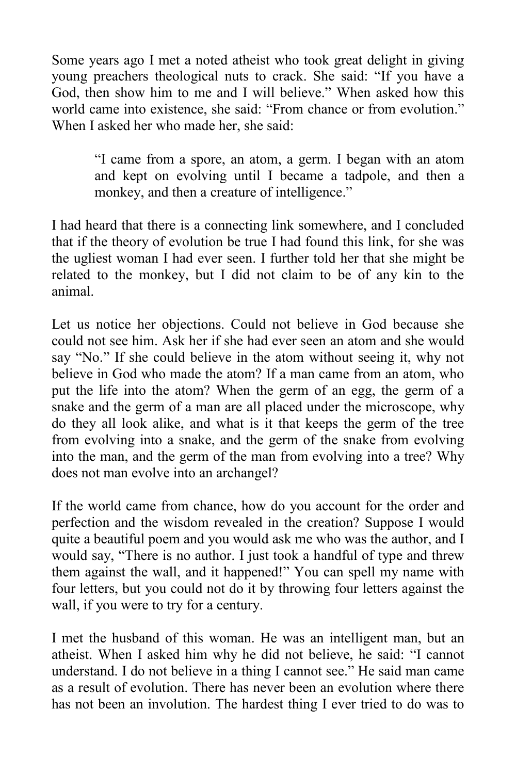Some years ago I met a noted atheist who took great delight in giving young preachers theological nuts to crack. She said: "If you have a God, then show him to me and I will believe." When asked how this world came into existence, she said: "From chance or from evolution." When I asked her who made her, she said:

> "I came from a spore, an atom, a germ. I began with an atom and kept on evolving until I became a tadpole, and then a monkey, and then a creature of intelligence."

I had heard that there is a connecting link somewhere, and I concluded that if the theory of evolution be true I had found this link, for she was the ugliest woman I had ever seen. I further told her that she might be related to the monkey, but I did not claim to be of any kin to the animal.

Let us notice her objections. Could not believe in God because she could not see him. Ask her if she had ever seen an atom and she would say "No." If she could believe in the atom without seeing it, why not believe in God who made the atom? If a man came from an atom, who put the life into the atom? When the germ of an egg, the germ of a snake and the germ of a man are all placed under the microscope, why do they all look alike, and what is it that keeps the germ of the tree from evolving into a snake, and the germ of the snake from evolving into the man, and the germ of the man from evolving into a tree? Why does not man evolve into an archangel?

If the world came from chance, how do you account for the order and perfection and the wisdom revealed in the creation? Suppose I would quite a beautiful poem and you would ask me who was the author, and I would say, "There is no author. I just took a handful of type and threw them against the wall, and it happened!" You can spell my name with four letters, but you could not do it by throwing four letters against the wall, if you were to try for a century.

I met the husband of this woman. He was an intelligent man, but an atheist. When I asked him why he did not believe, he said: "I cannot understand. I do not believe in a thing I cannot see." He said man came as a result of evolution. There has never been an evolution where there has not been an involution. The hardest thing I ever tried to do was to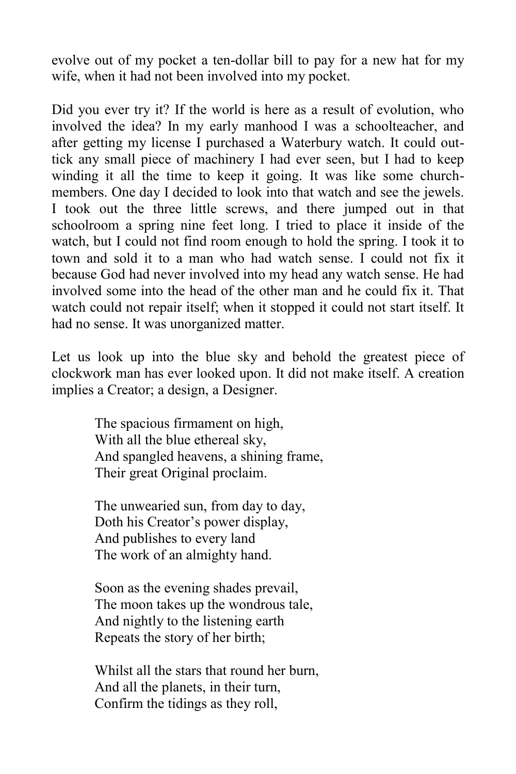evolve out of my pocket a ten-dollar bill to pay for a new hat for my wife, when it had not been involved into my pocket.

Did you ever try it? If the world is here as a result of evolution, who involved the idea? In my early manhood I was a schoolteacher, and after getting my license I purchased a Waterbury watch. It could outtick any small piece of machinery I had ever seen, but I had to keep winding it all the time to keep it going. It was like some churchmembers. One day I decided to look into that watch and see the jewels. I took out the three little screws, and there jumped out in that schoolroom a spring nine feet long. I tried to place it inside of the watch, but I could not find room enough to hold the spring. I took it to town and sold it to a man who had watch sense. I could not fix it because God had never involved into my head any watch sense. He had involved some into the head of the other man and he could fix it. That watch could not repair itself; when it stopped it could not start itself. It had no sense. It was unorganized matter.

Let us look up into the blue sky and behold the greatest piece of clockwork man has ever looked upon. It did not make itself. A creation implies a Creator; a design, a Designer.

> The spacious firmament on high, With all the blue ethereal sky, And spangled heavens, a shining frame, Their great Original proclaim.

The unwearied sun, from day to day, Doth his Creator's power display, And publishes to every land The work of an almighty hand.

Soon as the evening shades prevail, The moon takes up the wondrous tale, And nightly to the listening earth Repeats the story of her birth;

Whilst all the stars that round her burn, And all the planets, in their turn, Confirm the tidings as they roll,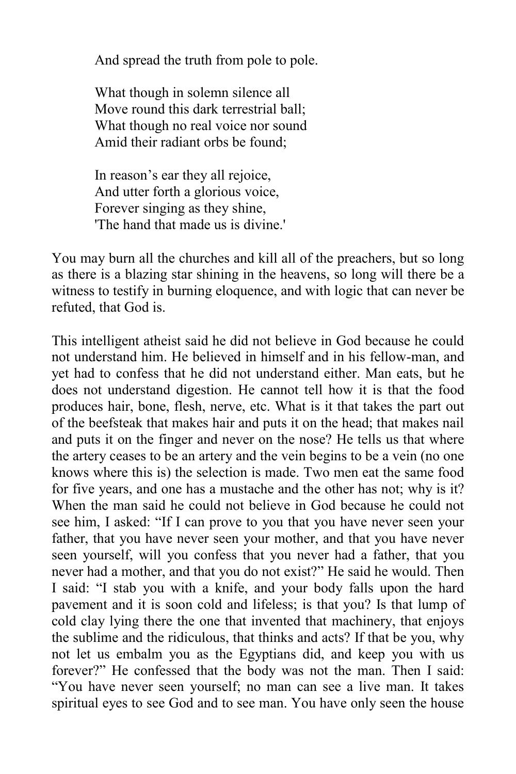And spread the truth from pole to pole.

What though in solemn silence all Move round this dark terrestrial ball; What though no real voice nor sound Amid their radiant orbs be found;

In reason's ear they all rejoice, And utter forth a glorious voice, Forever singing as they shine, 'The hand that made us is divine.'

You may burn all the churches and kill all of the preachers, but so long as there is a blazing star shining in the heavens, so long will there be a witness to testify in burning eloquence, and with logic that can never be refuted, that God is.

This intelligent atheist said he did not believe in God because he could not understand him. He believed in himself and in his fellow-man, and yet had to confess that he did not understand either. Man eats, but he does not understand digestion. He cannot tell how it is that the food produces hair, bone, flesh, nerve, etc. What is it that takes the part out of the beefsteak that makes hair and puts it on the head; that makes nail and puts it on the finger and never on the nose? He tells us that where the artery ceases to be an artery and the vein begins to be a vein (no one knows where this is) the selection is made. Two men eat the same food for five years, and one has a mustache and the other has not; why is it? When the man said he could not believe in God because he could not see him, I asked: "If I can prove to you that you have never seen your father, that you have never seen your mother, and that you have never seen yourself, will you confess that you never had a father, that you never had a mother, and that you do not exist?" He said he would. Then I said: "I stab you with a knife, and your body falls upon the hard pavement and it is soon cold and lifeless; is that you? Is that lump of cold clay lying there the one that invented that machinery, that enjoys the sublime and the ridiculous, that thinks and acts? If that be you, why not let us embalm you as the Egyptians did, and keep you with us forever?" He confessed that the body was not the man. Then I said: "You have never seen yourself; no man can see a live man. It takes spiritual eyes to see God and to see man. You have only seen the house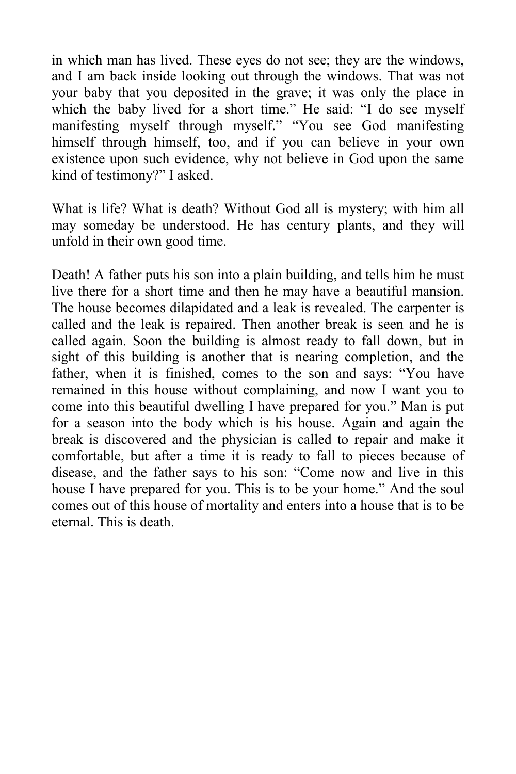in which man has lived. These eyes do not see; they are the windows, and I am back inside looking out through the windows. That was not your baby that you deposited in the grave; it was only the place in which the baby lived for a short time." He said: "I do see myself manifesting myself through myself." "You see God manifesting himself through himself, too, and if you can believe in your own existence upon such evidence, why not believe in God upon the same kind of testimony?" I asked.

What is life? What is death? Without God all is mystery; with him all may someday be understood. He has century plants, and they will unfold in their own good time.

Death! A father puts his son into a plain building, and tells him he must live there for a short time and then he may have a beautiful mansion. The house becomes dilapidated and a leak is revealed. The carpenter is called and the leak is repaired. Then another break is seen and he is called again. Soon the building is almost ready to fall down, but in sight of this building is another that is nearing completion, and the father, when it is finished, comes to the son and says: "You have remained in this house without complaining, and now I want you to come into this beautiful dwelling I have prepared for you." Man is put for a season into the body which is his house. Again and again the break is discovered and the physician is called to repair and make it comfortable, but after a time it is ready to fall to pieces because of disease, and the father says to his son: "Come now and live in this house I have prepared for you. This is to be your home." And the soul comes out of this house of mortality and enters into a house that is to be eternal. This is death.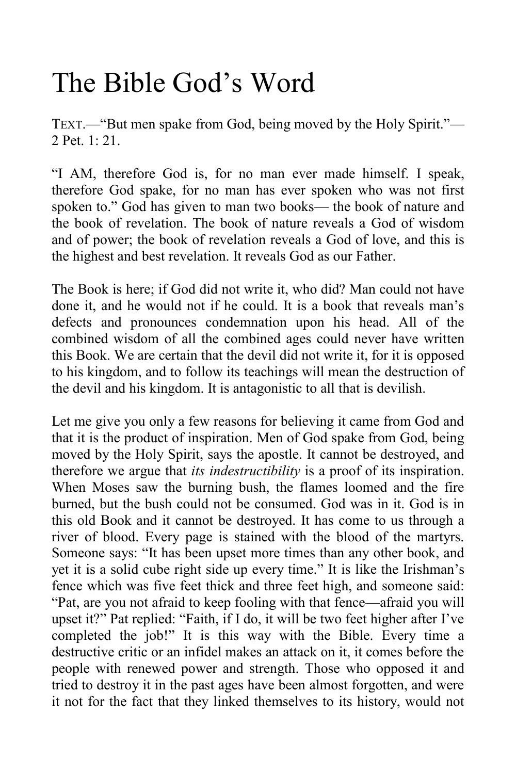### <span id="page-13-0"></span>The Bible God's Word

TEXT.—"But men spake from God, being moved by the Holy Spirit."— 2 Pet. 1: 21.

"I AM, therefore God is, for no man ever made himself. I speak, therefore God spake, for no man has ever spoken who was not first spoken to." God has given to man two books— the book of nature and the book of revelation. The book of nature reveals a God of wisdom and of power; the book of revelation reveals a God of love, and this is the highest and best revelation. It reveals God as our Father.

The Book is here; if God did not write it, who did? Man could not have done it, and he would not if he could. It is a book that reveals man's defects and pronounces condemnation upon his head. All of the combined wisdom of all the combined ages could never have written this Book. We are certain that the devil did not write it, for it is opposed to his kingdom, and to follow its teachings will mean the destruction of the devil and his kingdom. It is antagonistic to all that is devilish.

Let me give you only a few reasons for believing it came from God and that it is the product of inspiration. Men of God spake from God, being moved by the Holy Spirit, says the apostle. It cannot be destroyed, and therefore we argue that *its indestructibility* is a proof of its inspiration. When Moses saw the burning bush, the flames loomed and the fire burned, but the bush could not be consumed. God was in it. God is in this old Book and it cannot be destroyed. It has come to us through a river of blood. Every page is stained with the blood of the martyrs. Someone says: "It has been upset more times than any other book, and yet it is a solid cube right side up every time." It is like the Irishman's fence which was five feet thick and three feet high, and someone said: "Pat, are you not afraid to keep fooling with that fence—afraid you will upset it?" Pat replied: "Faith, if I do, it will be two feet higher after I've completed the job!" It is this way with the Bible. Every time a destructive critic or an infidel makes an attack on it, it comes before the people with renewed power and strength. Those who opposed it and tried to destroy it in the past ages have been almost forgotten, and were it not for the fact that they linked themselves to its history, would not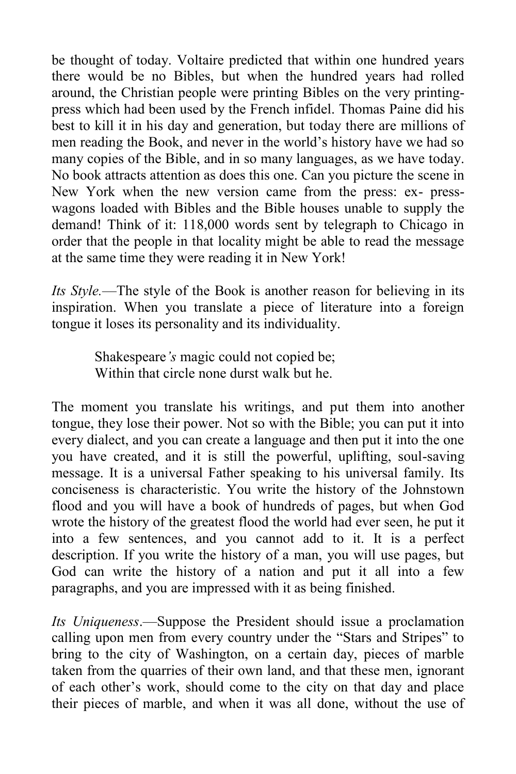be thought of today. Voltaire predicted that within one hundred years there would be no Bibles, but when the hundred years had rolled around, the Christian people were printing Bibles on the very printingpress which had been used by the French infidel. Thomas Paine did his best to kill it in his day and generation, but today there are millions of men reading the Book, and never in the world's history have we had so many copies of the Bible, and in so many languages, as we have today. No book attracts attention as does this one. Can you picture the scene in New York when the new version came from the press: ex- presswagons loaded with Bibles and the Bible houses unable to supply the demand! Think of it: 118,000 words sent by telegraph to Chicago in order that the people in that locality might be able to read the message at the same time they were reading it in New York!

*Its Style.*—The style of the Book is another reason for believing in its inspiration. When you translate a piece of literature into a foreign tongue it loses its personality and its individuality.

> Shakespeare*'s* magic could not copied be; Within that circle none durst walk but he.

The moment you translate his writings, and put them into another tongue, they lose their power. Not so with the Bible; you can put it into every dialect, and you can create a language and then put it into the one you have created, and it is still the powerful, uplifting, soul-saving message. It is a universal Father speaking to his universal family. Its conciseness is characteristic. You write the history of the Johnstown flood and you will have a book of hundreds of pages, but when God wrote the history of the greatest flood the world had ever seen, he put it into a few sentences, and you cannot add to it. It is a perfect description. If you write the history of a man, you will use pages, but God can write the history of a nation and put it all into a few paragraphs, and you are impressed with it as being finished.

*Its Uniqueness*.—Suppose the President should issue a proclamation calling upon men from every country under the "Stars and Stripes" to bring to the city of Washington, on a certain day, pieces of marble taken from the quarries of their own land, and that these men, ignorant of each other's work, should come to the city on that day and place their pieces of marble, and when it was all done, without the use of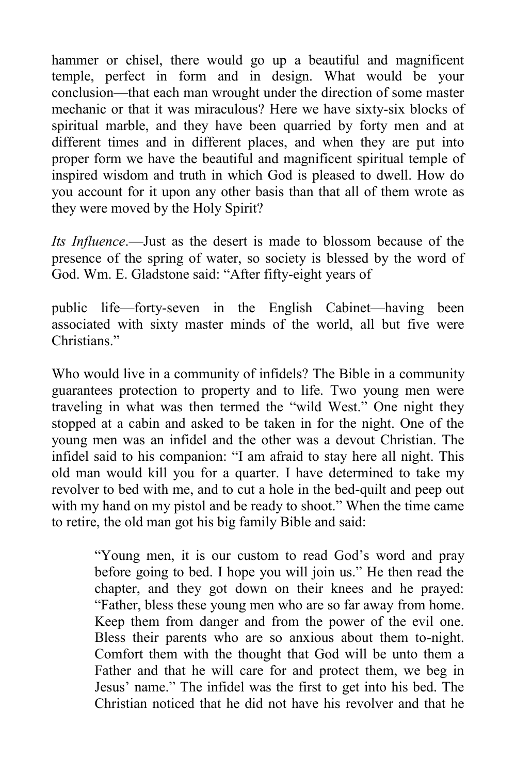hammer or chisel, there would go up a beautiful and magnificent temple, perfect in form and in design. What would be your conclusion—that each man wrought under the direction of some master mechanic or that it was miraculous? Here we have sixty-six blocks of spiritual marble, and they have been quarried by forty men and at different times and in different places, and when they are put into proper form we have the beautiful and magnificent spiritual temple of inspired wisdom and truth in which God is pleased to dwell. How do you account for it upon any other basis than that all of them wrote as they were moved by the Holy Spirit?

*Its Influence*.—Just as the desert is made to blossom because of the presence of the spring of water, so society is blessed by the word of God. Wm. E. Gladstone said: "After fifty-eight years of

public life—forty-seven in the English Cabinet—having been associated with sixty master minds of the world, all but five were Christians<sup>"</sup>

Who would live in a community of infidels? The Bible in a community guarantees protection to property and to life. Two young men were traveling in what was then termed the "wild West." One night they stopped at a cabin and asked to be taken in for the night. One of the young men was an infidel and the other was a devout Christian. The infidel said to his companion: "I am afraid to stay here all night. This old man would kill you for a quarter. I have determined to take my revolver to bed with me, and to cut a hole in the bed-quilt and peep out with my hand on my pistol and be ready to shoot." When the time came to retire, the old man got his big family Bible and said:

> "Young men, it is our custom to read God's word and pray before going to bed. I hope you will join us." He then read the chapter, and they got down on their knees and he prayed: "Father, bless these young men who are so far away from home. Keep them from danger and from the power of the evil one. Bless their parents who are so anxious about them to-night. Comfort them with the thought that God will be unto them a Father and that he will care for and protect them, we beg in Jesus' name." The infidel was the first to get into his bed. The Christian noticed that he did not have his revolver and that he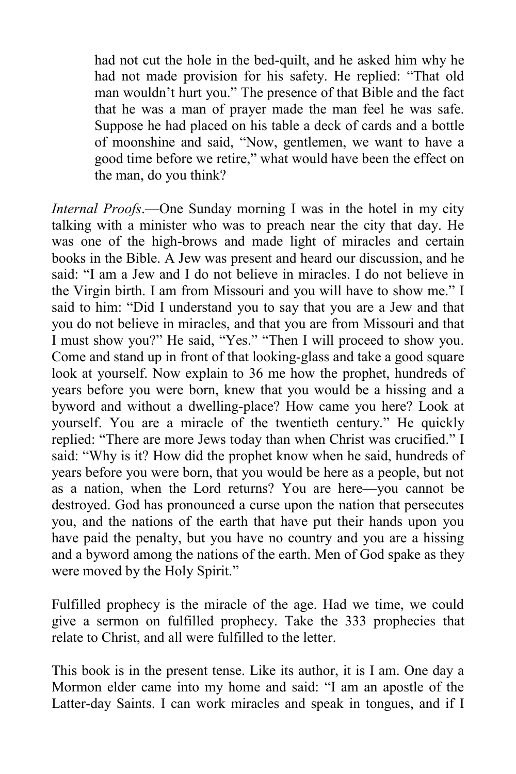had not cut the hole in the bed-quilt, and he asked him why he had not made provision for his safety. He replied: "That old man wouldn't hurt you." The presence of that Bible and the fact that he was a man of prayer made the man feel he was safe. Suppose he had placed on his table a deck of cards and a bottle of moonshine and said, "Now, gentlemen, we want to have a good time before we retire," what would have been the effect on the man, do you think?

*Internal Proofs*.—One Sunday morning I was in the hotel in my city talking with a minister who was to preach near the city that day. He was one of the high-brows and made light of miracles and certain books in the Bible. A Jew was present and heard our discussion, and he said: "I am a Jew and I do not believe in miracles. I do not believe in the Virgin birth. I am from Missouri and you will have to show me." I said to him: "Did I understand you to say that you are a Jew and that you do not believe in miracles, and that you are from Missouri and that I must show you?" He said, "Yes." "Then I will proceed to show you. Come and stand up in front of that looking-glass and take a good square look at yourself. Now explain to 36 me how the prophet, hundreds of years before you were born, knew that you would be a hissing and a byword and without a dwelling-place? How came you here? Look at yourself. You are a miracle of the twentieth century." He quickly replied: "There are more Jews today than when Christ was crucified." I said: "Why is it? How did the prophet know when he said, hundreds of years before you were born, that you would be here as a people, but not as a nation, when the Lord returns? You are here—you cannot be destroyed. God has pronounced a curse upon the nation that persecutes you, and the nations of the earth that have put their hands upon you have paid the penalty, but you have no country and you are a hissing and a byword among the nations of the earth. Men of God spake as they were moved by the Holy Spirit."

Fulfilled prophecy is the miracle of the age. Had we time, we could give a sermon on fulfilled prophecy. Take the 333 prophecies that relate to Christ, and all were fulfilled to the letter.

This book is in the present tense. Like its author, it is I am. One day a Mormon elder came into my home and said: "I am an apostle of the Latter-day Saints. I can work miracles and speak in tongues, and if I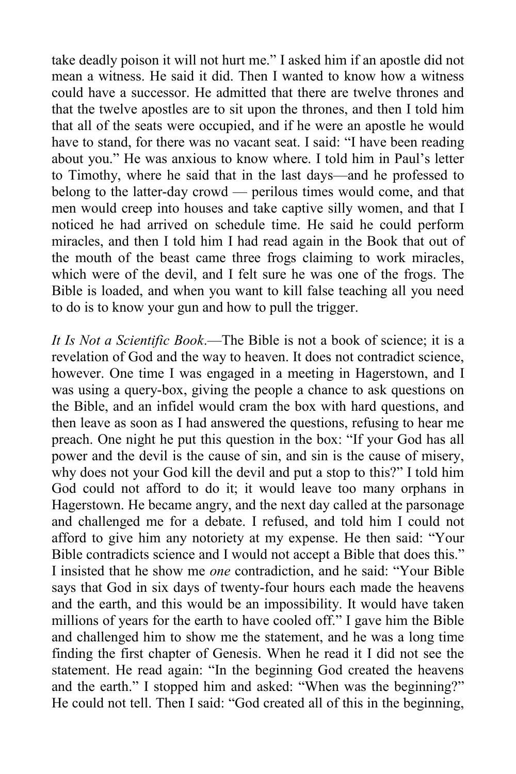take deadly poison it will not hurt me." I asked him if an apostle did not mean a witness. He said it did. Then I wanted to know how a witness could have a successor. He admitted that there are twelve thrones and that the twelve apostles are to sit upon the thrones, and then I told him that all of the seats were occupied, and if he were an apostle he would have to stand, for there was no vacant seat. I said: "I have been reading about you." He was anxious to know where. I told him in Paul's letter to Timothy, where he said that in the last days—and he professed to belong to the latter-day crowd — perilous times would come, and that men would creep into houses and take captive silly women, and that I noticed he had arrived on schedule time. He said he could perform miracles, and then I told him I had read again in the Book that out of the mouth of the beast came three frogs claiming to work miracles, which were of the devil, and I felt sure he was one of the frogs. The Bible is loaded, and when you want to kill false teaching all you need to do is to know your gun and how to pull the trigger.

*It Is Not a Scientific Book*.—The Bible is not a book of science; it is a revelation of God and the way to heaven. It does not contradict science, however. One time I was engaged in a meeting in Hagerstown, and I was using a query-box, giving the people a chance to ask questions on the Bible, and an infidel would cram the box with hard questions, and then leave as soon as I had answered the questions, refusing to hear me preach. One night he put this question in the box: "If your God has all power and the devil is the cause of sin, and sin is the cause of misery, why does not your God kill the devil and put a stop to this?" I told him God could not afford to do it; it would leave too many orphans in Hagerstown. He became angry, and the next day called at the parsonage and challenged me for a debate. I refused, and told him I could not afford to give him any notoriety at my expense. He then said: "Your Bible contradicts science and I would not accept a Bible that does this." I insisted that he show me *one* contradiction, and he said: "Your Bible says that God in six days of twenty-four hours each made the heavens and the earth, and this would be an impossibility. It would have taken millions of years for the earth to have cooled off." I gave him the Bible and challenged him to show me the statement, and he was a long time finding the first chapter of Genesis. When he read it I did not see the statement. He read again: "In the beginning God created the heavens and the earth." I stopped him and asked: "When was the beginning?" He could not tell. Then I said: "God created all of this in the beginning,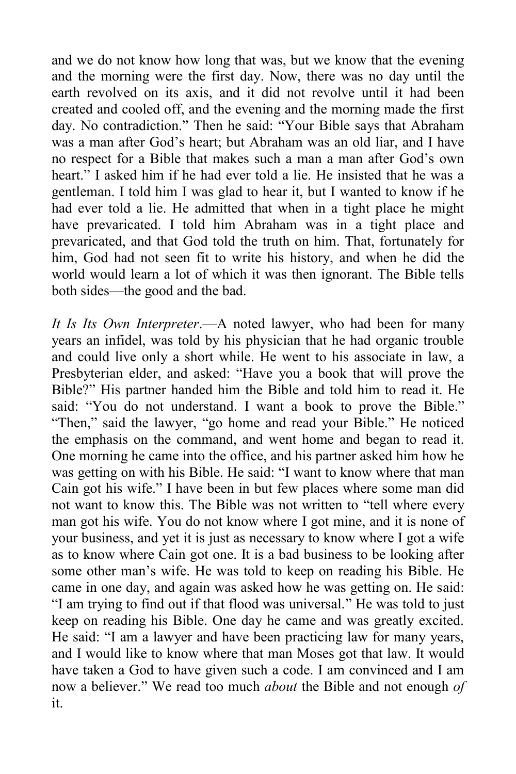and we do not know how long that was, but we know that the evening and the morning were the first day. Now, there was no day until the earth revolved on its axis, and it did not revolve until it had been created and cooled off, and the evening and the morning made the first day. No contradiction." Then he said: "Your Bible says that Abraham was a man after God's heart; but Abraham was an old liar, and I have no respect for a Bible that makes such a man a man after God's own heart." I asked him if he had ever told a lie. He insisted that he was a gentleman. I told him I was glad to hear it, but I wanted to know if he had ever told a lie. He admitted that when in a tight place he might have prevaricated. I told him Abraham was in a tight place and prevaricated, and that God told the truth on him. That, fortunately for him, God had not seen fit to write his history, and when he did the world would learn a lot of which it was then ignorant. The Bible tells both sides—the good and the bad.

*It Is Its Own Interpreter*.—A noted lawyer, who had been for many years an infidel, was told by his physician that he had organic trouble and could live only a short while. He went to his associate in law, a Presbyterian elder, and asked: "Have you a book that will prove the Bible?" His partner handed him the Bible and told him to read it. He said: "You do not understand. I want a book to prove the Bible." "Then," said the lawyer, "go home and read your Bible." He noticed the emphasis on the command, and went home and began to read it. One morning he came into the office, and his partner asked him how he was getting on with his Bible. He said: "I want to know where that man Cain got his wife." I have been in but few places where some man did not want to know this. The Bible was not written to "tell where every man got his wife. You do not know where I got mine, and it is none of your business, and yet it is just as necessary to know where I got a wife as to know where Cain got one. It is a bad business to be looking after some other man's wife. He was told to keep on reading his Bible. He came in one day, and again was asked how he was getting on. He said: "I am trying to find out if that flood was universal." He was told to just keep on reading his Bible. One day he came and was greatly excited. He said: "I am a lawyer and have been practicing law for many years, and I would like to know where that man Moses got that law. It would have taken a God to have given such a code. I am convinced and I am now a believer." We read too much *about* the Bible and not enough *of* it.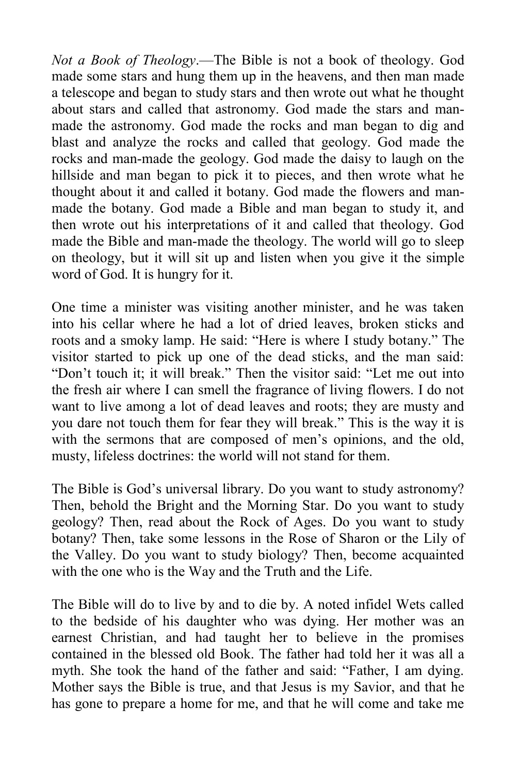*Not a Book of Theology*.—The Bible is not a book of theology. God made some stars and hung them up in the heavens, and then man made a telescope and began to study stars and then wrote out what he thought about stars and called that astronomy. God made the stars and manmade the astronomy. God made the rocks and man began to dig and blast and analyze the rocks and called that geology. God made the rocks and man-made the geology. God made the daisy to laugh on the hillside and man began to pick it to pieces, and then wrote what he thought about it and called it botany. God made the flowers and manmade the botany. God made a Bible and man began to study it, and then wrote out his interpretations of it and called that theology. God made the Bible and man-made the theology. The world will go to sleep on theology, but it will sit up and listen when you give it the simple word of God. It is hungry for it.

One time a minister was visiting another minister, and he was taken into his cellar where he had a lot of dried leaves, broken sticks and roots and a smoky lamp. He said: "Here is where I study botany." The visitor started to pick up one of the dead sticks, and the man said: "Don't touch it; it will break." Then the visitor said: "Let me out into the fresh air where I can smell the fragrance of living flowers. I do not want to live among a lot of dead leaves and roots; they are musty and you dare not touch them for fear they will break." This is the way it is with the sermons that are composed of men's opinions, and the old, musty, lifeless doctrines: the world will not stand for them.

The Bible is God's universal library. Do you want to study astronomy? Then, behold the Bright and the Morning Star. Do you want to study geology? Then, read about the Rock of Ages. Do you want to study botany? Then, take some lessons in the Rose of Sharon or the Lily of the Valley. Do you want to study biology? Then, become acquainted with the one who is the Way and the Truth and the Life.

The Bible will do to live by and to die by. A noted infidel Wets called to the bedside of his daughter who was dying. Her mother was an earnest Christian, and had taught her to believe in the promises contained in the blessed old Book. The father had told her it was all a myth. She took the hand of the father and said: "Father, I am dying. Mother says the Bible is true, and that Jesus is my Savior, and that he has gone to prepare a home for me, and that he will come and take me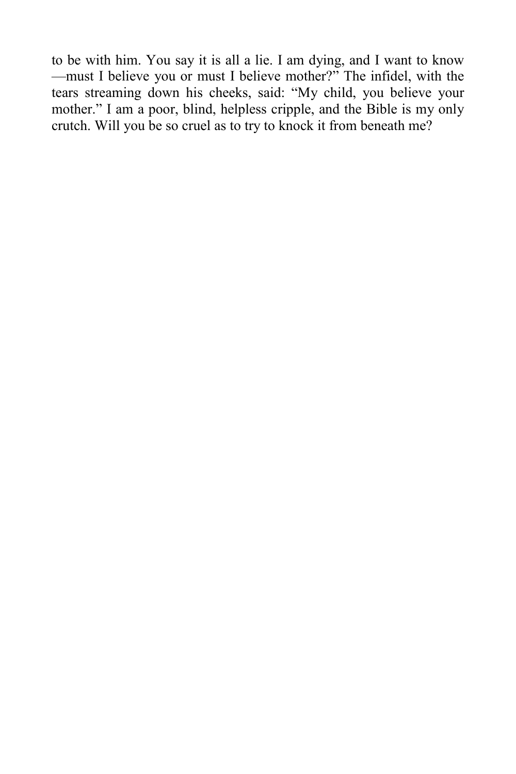to be with him. You say it is all a lie. I am dying, and I want to know —must I believe you or must I believe mother?" The infidel, with the tears streaming down his cheeks, said: "My child, you believe your mother." I am a poor, blind, helpless cripple, and the Bible is my only crutch. Will you be so cruel as to try to knock it from beneath me?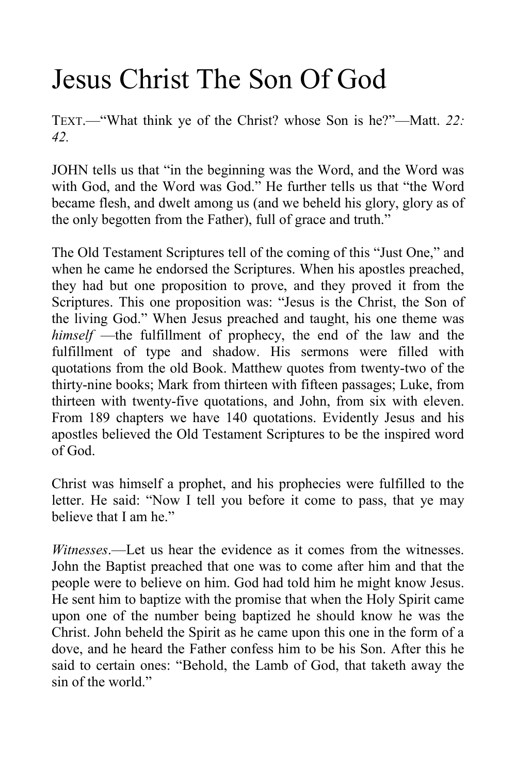### Jesus Christ The Son Of God

TEXT.—"What think ye of the Christ? whose Son is he?"—Matt. *22: 42.*

JOHN tells us that "in the beginning was the Word, and the Word was with God, and the Word was God." He further tells us that "the Word became flesh, and dwelt among us (and we beheld his glory, glory as of the only begotten from the Father), full of grace and truth."

The Old Testament Scriptures tell of the coming of this "Just One," and when he came he endorsed the Scriptures. When his apostles preached, they had but one proposition to prove, and they proved it from the Scriptures. This one proposition was: "Jesus is the Christ, the Son of the living God." When Jesus preached and taught, his one theme was *himself* —the fulfillment of prophecy, the end of the law and the fulfillment of type and shadow. His sermons were filled with quotations from the old Book. Matthew quotes from twenty-two of the thirty-nine books; Mark from thirteen with fifteen passages; Luke, from thirteen with twenty-five quotations, and John, from six with eleven. From 189 chapters we have 140 quotations. Evidently Jesus and his apostles believed the Old Testament Scriptures to be the inspired word of God.

Christ was himself a prophet, and his prophecies were fulfilled to the letter. He said: "Now I tell you before it come to pass, that ye may believe that I am he."

*Witnesses*.—Let us hear the evidence as it comes from the witnesses. John the Baptist preached that one was to come after him and that the people were to believe on him. God had told him he might know Jesus. He sent him to baptize with the promise that when the Holy Spirit came upon one of the number being baptized he should know he was the Christ. John beheld the Spirit as he came upon this one in the form of a dove, and he heard the Father confess him to be his Son. After this he said to certain ones: "Behold, the Lamb of God, that taketh away the sin of the world."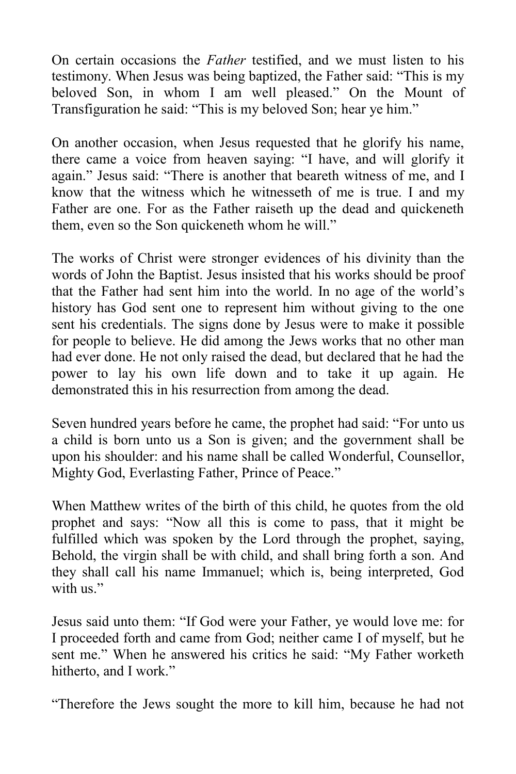On certain occasions the *Father* testified, and we must listen to his testimony. When Jesus was being baptized, the Father said: "This is my beloved Son, in whom I am well pleased." On the Mount of Transfiguration he said: "This is my beloved Son; hear ye him."

On another occasion, when Jesus requested that he glorify his name, there came a voice from heaven saying: "I have, and will glorify it again." Jesus said: "There is another that beareth witness of me, and I know that the witness which he witnesseth of me is true. I and my Father are one. For as the Father raiseth up the dead and quickeneth them, even so the Son quickeneth whom he will."

The works of Christ were stronger evidences of his divinity than the words of John the Baptist. Jesus insisted that his works should be proof that the Father had sent him into the world. In no age of the world's history has God sent one to represent him without giving to the one sent his credentials. The signs done by Jesus were to make it possible for people to believe. He did among the Jews works that no other man had ever done. He not only raised the dead, but declared that he had the power to lay his own life down and to take it up again. He demonstrated this in his resurrection from among the dead.

Seven hundred years before he came, the prophet had said: "For unto us a child is born unto us a Son is given; and the government shall be upon his shoulder: and his name shall be called Wonderful, Counsellor, Mighty God, Everlasting Father, Prince of Peace."

When Matthew writes of the birth of this child, he quotes from the old prophet and says: "Now all this is come to pass, that it might be fulfilled which was spoken by the Lord through the prophet, saying, Behold, the virgin shall be with child, and shall bring forth a son. And they shall call his name Immanuel; which is, being interpreted, God with us<sup>"</sup>

Jesus said unto them: "If God were your Father, ye would love me: for I proceeded forth and came from God; neither came I of myself, but he sent me." When he answered his critics he said: "My Father worketh hitherto, and I work."

"Therefore the Jews sought the more to kill him, because he had not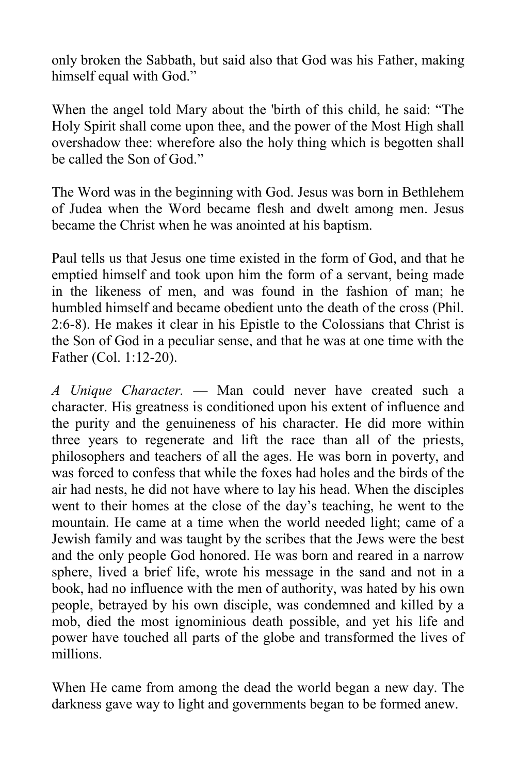only broken the Sabbath, but said also that God was his Father, making himself equal with God."

When the angel told Mary about the 'birth of this child, he said: "The Holy Spirit shall come upon thee, and the power of the Most High shall overshadow thee: wherefore also the holy thing which is begotten shall be called the Son of God."

The Word was in the beginning with God. Jesus was born in Bethlehem of Judea when the Word became flesh and dwelt among men. Jesus became the Christ when he was anointed at his baptism.

Paul tells us that Jesus one time existed in the form of God, and that he emptied himself and took upon him the form of a servant, being made in the likeness of men, and was found in the fashion of man; he humbled himself and became obedient unto the death of the cross (Phil. 2:6-8). He makes it clear in his Epistle to the Colossians that Christ is the Son of God in a peculiar sense, and that he was at one time with the Father (Col. 1:12-20).

*A Unique Character.* — Man could never have created such a character. His greatness is conditioned upon his extent of influence and the purity and the genuineness of his character. He did more within three years to regenerate and lift the race than all of the priests, philosophers and teachers of all the ages. He was born in poverty, and was forced to confess that while the foxes had holes and the birds of the air had nests, he did not have where to lay his head. When the disciples went to their homes at the close of the day's teaching, he went to the mountain. He came at a time when the world needed light; came of a Jewish family and was taught by the scribes that the Jews were the best and the only people God honored. He was born and reared in a narrow sphere, lived a brief life, wrote his message in the sand and not in a book, had no influence with the men of authority, was hated by his own people, betrayed by his own disciple, was condemned and killed by a mob, died the most ignominious death possible, and yet his life and power have touched all parts of the globe and transformed the lives of millions.

When He came from among the dead the world began a new day. The darkness gave way to light and governments began to be formed anew.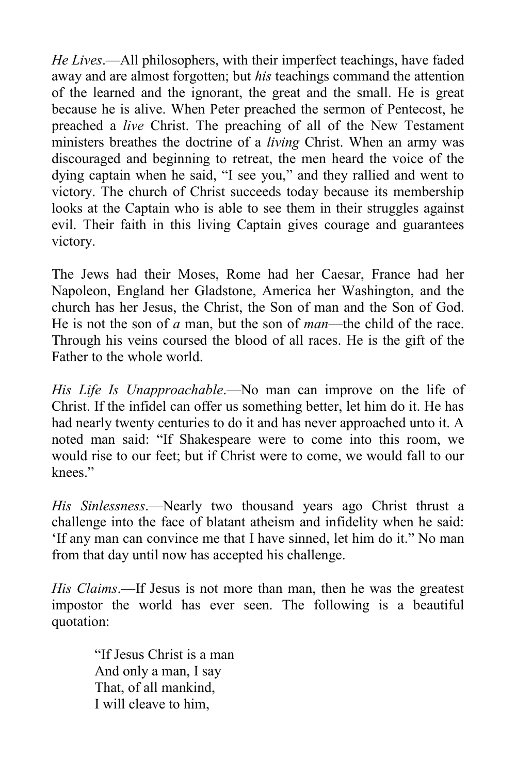*He Lives*.—All philosophers, with their imperfect teachings, have faded away and are almost forgotten; but *his* teachings command the attention of the learned and the ignorant, the great and the small. He is great because he is alive. When Peter preached the sermon of Pentecost, he preached a *live* Christ. The preaching of all of the New Testament ministers breathes the doctrine of a *living* Christ. When an army was discouraged and beginning to retreat, the men heard the voice of the dying captain when he said, "I see you," and they rallied and went to victory. The church of Christ succeeds today because its membership looks at the Captain who is able to see them in their struggles against evil. Their faith in this living Captain gives courage and guarantees victory.

The Jews had their Moses, Rome had her Caesar, France had her Napoleon, England her Gladstone, America her Washington, and the church has her Jesus, the Christ, the Son of man and the Son of God. He is not the son of *a* man, but the son of *man*—the child of the race. Through his veins coursed the blood of all races. He is the gift of the Father to the whole world.

*His Life Is Unapproachable*.—No man can improve on the life of Christ. If the infidel can offer us something better, let him do it. He has had nearly twenty centuries to do it and has never approached unto it. A noted man said: "If Shakespeare were to come into this room, we would rise to our feet; but if Christ were to come, we would fall to our knees."

*His Sinlessness*.—Nearly two thousand years ago Christ thrust a challenge into the face of blatant atheism and infidelity when he said: 'If any man can convince me that I have sinned, let him do it." No man from that day until now has accepted his challenge.

*His Claims*.—If Jesus is not more than man, then he was the greatest impostor the world has ever seen. The following is a beautiful quotation:

> "If Jesus Christ is a man And only a man, I say That, of all mankind, I will cleave to him,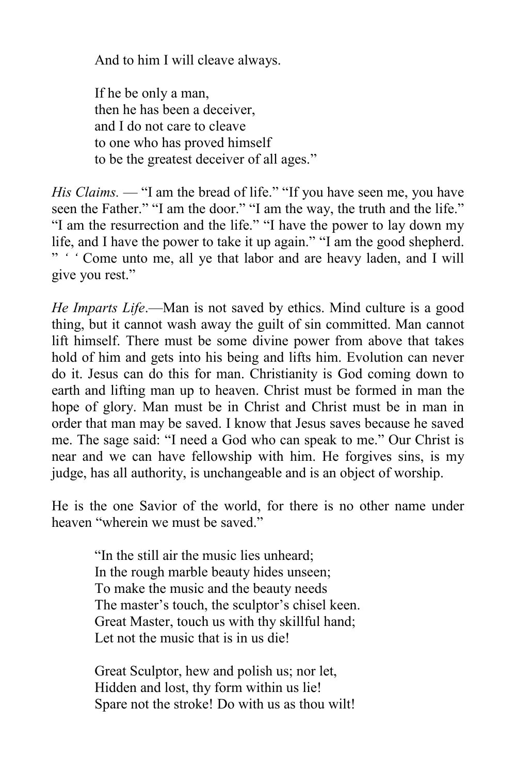And to him I will cleave always.

If he be only a man, then he has been a deceiver, and I do not care to cleave to one who has proved himself to be the greatest deceiver of all ages."

*His Claims.* — "I am the bread of life." "If you have seen me, you have seen the Father." "I am the door." "I am the way, the truth and the life." "I am the resurrection and the life." "I have the power to lay down my life, and I have the power to take it up again." "I am the good shepherd. " *' '* Come unto me, all ye that labor and are heavy laden, and I will give you rest."

*He Imparts Life*.—Man is not saved by ethics. Mind culture is a good thing, but it cannot wash away the guilt of sin committed. Man cannot lift himself. There must be some divine power from above that takes hold of him and gets into his being and lifts him. Evolution can never do it. Jesus can do this for man. Christianity is God coming down to earth and lifting man up to heaven. Christ must be formed in man the hope of glory. Man must be in Christ and Christ must be in man in order that man may be saved. I know that Jesus saves because he saved me. The sage said: "I need a God who can speak to me." Our Christ is near and we can have fellowship with him. He forgives sins, is my judge, has all authority, is unchangeable and is an object of worship.

He is the one Savior of the world, for there is no other name under heaven "wherein we must be saved."

> "In the still air the music lies unheard; In the rough marble beauty hides unseen; To make the music and the beauty needs The master's touch, the sculptor's chisel keen. Great Master, touch us with thy skillful hand; Let not the music that is in us die!

Great Sculptor, hew and polish us; nor let, Hidden and lost, thy form within us lie! Spare not the stroke! Do with us as thou wilt!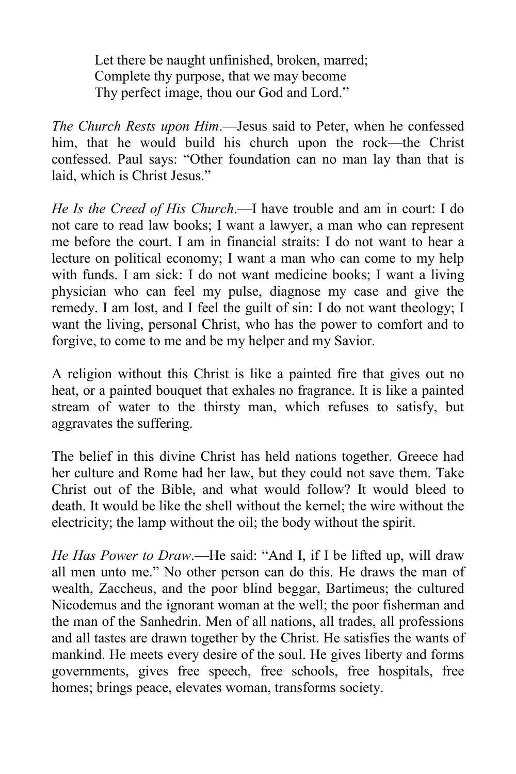Let there be naught unfinished, broken, marred; Complete thy purpose, that we may become Thy perfect image, thou our God and Lord."

*The Church Rests upon Him*.—Jesus said to Peter, when he confessed him, that he would build his church upon the rock—the Christ confessed. Paul says: "Other foundation can no man lay than that is laid, which is Christ Jesus."

*He Is the Creed of His Church*.—I have trouble and am in court: I do not care to read law books; I want a lawyer, a man who can represent me before the court. I am in financial straits: I do not want to hear a lecture on political economy; I want a man who can come to my help with funds. I am sick: I do not want medicine books; I want a living physician who can feel my pulse, diagnose my case and give the remedy. I am lost, and I feel the guilt of sin: I do not want theology; I want the living, personal Christ, who has the power to comfort and to forgive, to come to me and be my helper and my Savior.

A religion without this Christ is like a painted fire that gives out no heat, or a painted bouquet that exhales no fragrance. It is like a painted stream of water to the thirsty man, which refuses to satisfy, but aggravates the suffering.

The belief in this divine Christ has held nations together. Greece had her culture and Rome had her law, but they could not save them. Take Christ out of the Bible, and what would follow? It would bleed to death. It would be like the shell without the kernel; the wire without the electricity; the lamp without the oil; the body without the spirit.

*He Has Power to Draw*.—He said: "And I, if I be lifted up, will draw all men unto me." No other person can do this. He draws the man of wealth, Zaccheus, and the poor blind beggar, Bartimeus; the cultured Nicodemus and the ignorant woman at the well; the poor fisherman and the man of the Sanhedrin. Men of all nations, all trades, all professions and all tastes are drawn together by the Christ. He satisfies the wants of mankind. He meets every desire of the soul. He gives liberty and forms governments, gives free speech, free schools, free hospitals, free homes; brings peace, elevates woman, transforms society.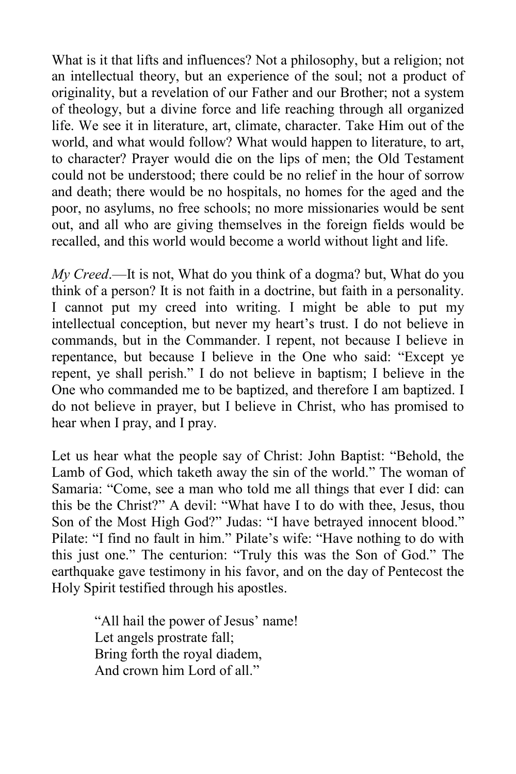What is it that lifts and influences? Not a philosophy, but a religion; not an intellectual theory, but an experience of the soul; not a product of originality, but a revelation of our Father and our Brother; not a system of theology, but a divine force and life reaching through all organized life. We see it in literature, art, climate, character. Take Him out of the world, and what would follow? What would happen to literature, to art, to character? Prayer would die on the lips of men; the Old Testament could not be understood; there could be no relief in the hour of sorrow and death; there would be no hospitals, no homes for the aged and the poor, no asylums, no free schools; no more missionaries would be sent out, and all who are giving themselves in the foreign fields would be recalled, and this world would become a world without light and life.

*My Creed*.—It is not, What do you think of a dogma? but, What do you think of a person? It is not faith in a doctrine, but faith in a personality. I cannot put my creed into writing. I might be able to put my intellectual conception, but never my heart's trust. I do not believe in commands, but in the Commander. I repent, not because I believe in repentance, but because I believe in the One who said: "Except ye repent, ye shall perish." I do not believe in baptism; I believe in the One who commanded me to be baptized, and therefore I am baptized. I do not believe in prayer, but I believe in Christ, who has promised to hear when I pray, and I pray.

Let us hear what the people say of Christ: John Baptist: "Behold, the Lamb of God, which taketh away the sin of the world." The woman of Samaria: "Come, see a man who told me all things that ever I did: can this be the Christ?" A devil: "What have I to do with thee, Jesus, thou Son of the Most High God?" Judas: "I have betrayed innocent blood." Pilate: "I find no fault in him." Pilate's wife: "Have nothing to do with this just one." The centurion: "Truly this was the Son of God." The earthquake gave testimony in his favor, and on the day of Pentecost the Holy Spirit testified through his apostles.

> "All hail the power of Jesus' name! Let angels prostrate fall; Bring forth the royal diadem, And crown him Lord of all."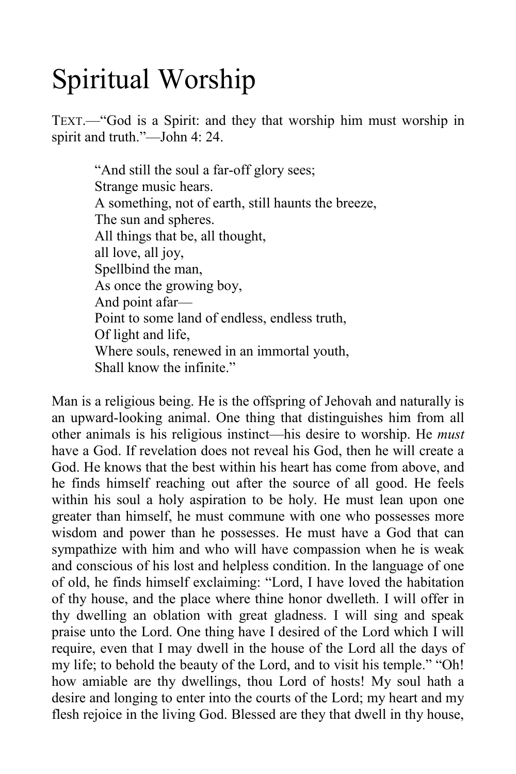### Spiritual Worship

TEXT.—"God is a Spirit: and they that worship him must worship in spirit and truth."—John 4: 24.

> "And still the soul a far-off glory sees; Strange music hears. A something, not of earth, still haunts the breeze, The sun and spheres. All things that be, all thought, all love, all joy, Spellbind the man, As once the growing boy, And point afar— Point to some land of endless, endless truth, Of light and life, Where souls, renewed in an immortal youth, Shall know the infinite."

Man is a religious being. He is the offspring of Jehovah and naturally is an upward-looking animal. One thing that distinguishes him from all other animals is his religious instinct—his desire to worship. He *must* have a God. If revelation does not reveal his God, then he will create a God. He knows that the best within his heart has come from above, and he finds himself reaching out after the source of all good. He feels within his soul a holy aspiration to be holy. He must lean upon one greater than himself, he must commune with one who possesses more wisdom and power than he possesses. He must have a God that can sympathize with him and who will have compassion when he is weak and conscious of his lost and helpless condition. In the language of one of old, he finds himself exclaiming: "Lord, I have loved the habitation of thy house, and the place where thine honor dwelleth. I will offer in thy dwelling an oblation with great gladness. I will sing and speak praise unto the Lord. One thing have I desired of the Lord which I will require, even that I may dwell in the house of the Lord all the days of my life; to behold the beauty of the Lord, and to visit his temple." "Oh! how amiable are thy dwellings, thou Lord of hosts! My soul hath a desire and longing to enter into the courts of the Lord; my heart and my flesh rejoice in the living God. Blessed are they that dwell in thy house,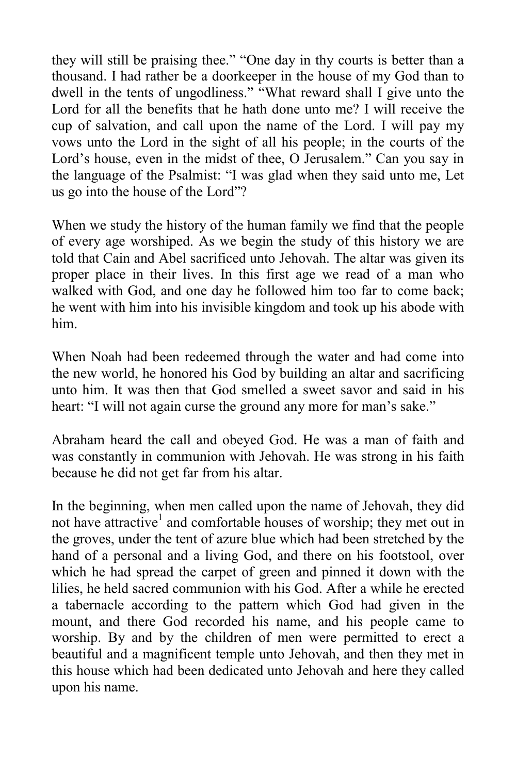they will still be praising thee." "One day in thy courts is better than a thousand. I had rather be a doorkeeper in the house of my God than to dwell in the tents of ungodliness." "What reward shall I give unto the Lord for all the benefits that he hath done unto me? I will receive the cup of salvation, and call upon the name of the Lord. I will pay my vows unto the Lord in the sight of all his people; in the courts of the Lord's house, even in the midst of thee, O Jerusalem." Can you say in the language of the Psalmist: "I was glad when they said unto me, Let us go into the house of the Lord"?

When we study the history of the human family we find that the people of every age worshiped. As we begin the study of this history we are told that Cain and Abel sacrificed unto Jehovah. The altar was given its proper place in their lives. In this first age we read of a man who walked with God, and one day he followed him too far to come back; he went with him into his invisible kingdom and took up his abode with him.

When Noah had been redeemed through the water and had come into the new world, he honored his God by building an altar and sacrificing unto him. It was then that God smelled a sweet savor and said in his heart: "I will not again curse the ground any more for man's sake."

Abraham heard the call and obeyed God. He was a man of faith and was constantly in communion with Jehovah. He was strong in his faith because he did not get far from his altar.

In the beginning, when men called upon the name of Jehovah, they did not have attractive<sup>1</sup> and comfortable houses of worship; they met out in the groves, under the tent of azure blue which had been stretched by the hand of a personal and a living God, and there on his footstool, over which he had spread the carpet of green and pinned it down with the lilies, he held sacred communion with his God. After a while he erected a tabernacle according to the pattern which God had given in the mount, and there God recorded his name, and his people came to worship. By and by the children of men were permitted to erect a beautiful and a magnificent temple unto Jehovah, and then they met in this house which had been dedicated unto Jehovah and here they called upon his name.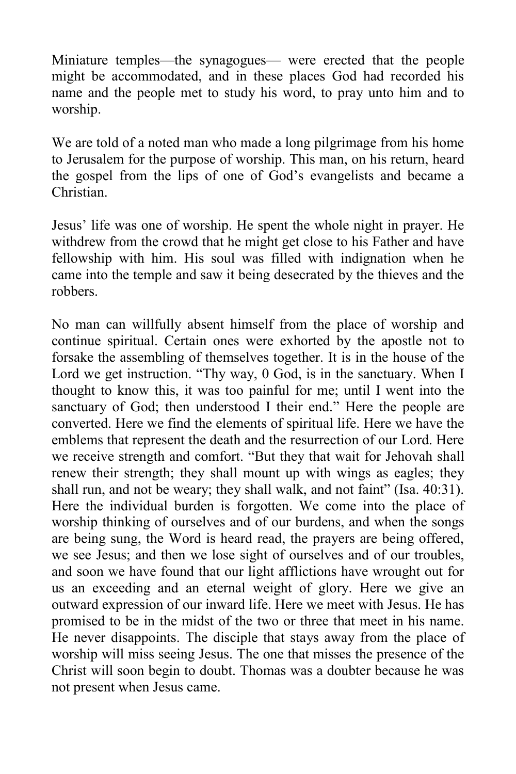Miniature temples—the synagogues— were erected that the people might be accommodated, and in these places God had recorded his name and the people met to study his word, to pray unto him and to worship.

We are told of a noted man who made a long pilgrimage from his home to Jerusalem for the purpose of worship. This man, on his return, heard the gospel from the lips of one of God's evangelists and became a Christian.

Jesus' life was one of worship. He spent the whole night in prayer. He withdrew from the crowd that he might get close to his Father and have fellowship with him. His soul was filled with indignation when he came into the temple and saw it being desecrated by the thieves and the robbers.

No man can willfully absent himself from the place of worship and continue spiritual. Certain ones were exhorted by the apostle not to forsake the assembling of themselves together. It is in the house of the Lord we get instruction. "Thy way, 0 God, is in the sanctuary. When I thought to know this, it was too painful for me; until I went into the sanctuary of God; then understood I their end." Here the people are converted. Here we find the elements of spiritual life. Here we have the emblems that represent the death and the resurrection of our Lord. Here we receive strength and comfort. "But they that wait for Jehovah shall renew their strength; they shall mount up with wings as eagles; they shall run, and not be weary; they shall walk, and not faint" (Isa. 40:31). Here the individual burden is forgotten. We come into the place of worship thinking of ourselves and of our burdens, and when the songs are being sung, the Word is heard read, the prayers are being offered, we see Jesus; and then we lose sight of ourselves and of our troubles, and soon we have found that our light afflictions have wrought out for us an exceeding and an eternal weight of glory. Here we give an outward expression of our inward life. Here we meet with Jesus. He has promised to be in the midst of the two or three that meet in his name. He never disappoints. The disciple that stays away from the place of worship will miss seeing Jesus. The one that misses the presence of the Christ will soon begin to doubt. Thomas was a doubter because he was not present when Jesus came.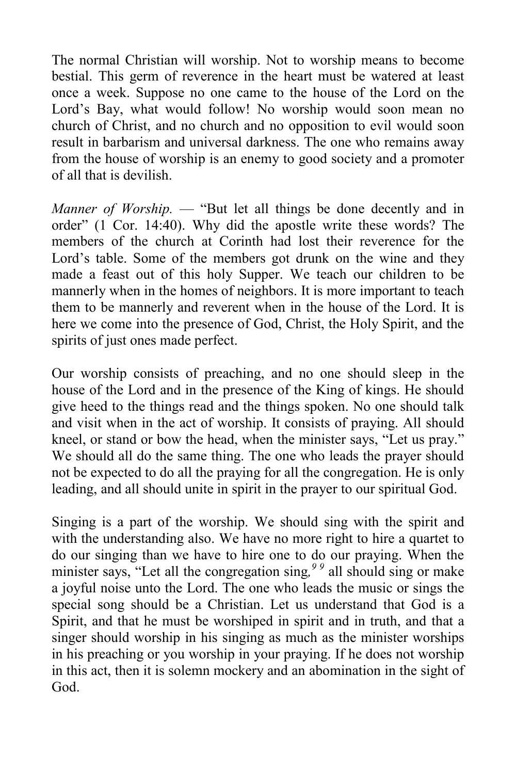The normal Christian will worship. Not to worship means to become bestial. This germ of reverence in the heart must be watered at least once a week. Suppose no one came to the house of the Lord on the Lord's Bay, what would follow! No worship would soon mean no church of Christ, and no church and no opposition to evil would soon result in barbarism and universal darkness. The one who remains away from the house of worship is an enemy to good society and a promoter of all that is devilish.

*Manner of Worship.* — "But let all things be done decently and in order" (1 Cor. 14:40). Why did the apostle write these words? The members of the church at Corinth had lost their reverence for the Lord's table. Some of the members got drunk on the wine and they made a feast out of this holy Supper. We teach our children to be mannerly when in the homes of neighbors. It is more important to teach them to be mannerly and reverent when in the house of the Lord. It is here we come into the presence of God, Christ, the Holy Spirit, and the spirits of just ones made perfect.

Our worship consists of preaching, and no one should sleep in the house of the Lord and in the presence of the King of kings. He should give heed to the things read and the things spoken. No one should talk and visit when in the act of worship. It consists of praying. All should kneel, or stand or bow the head, when the minister says, "Let us pray." We should all do the same thing. The one who leads the prayer should not be expected to do all the praying for all the congregation. He is only leading, and all should unite in spirit in the prayer to our spiritual God.

Singing is a part of the worship. We should sing with the spirit and with the understanding also. We have no more right to hire a quartet to do our singing than we have to hire one to do our praying. When the minister says, "Let all the congregation sing,<sup>99</sup> all should sing or make a joyful noise unto the Lord. The one who leads the music or sings the special song should be a Christian. Let us understand that God is a Spirit, and that he must be worshiped in spirit and in truth, and that a singer should worship in his singing as much as the minister worships in his preaching or you worship in your praying. If he does not worship in this act, then it is solemn mockery and an abomination in the sight of God.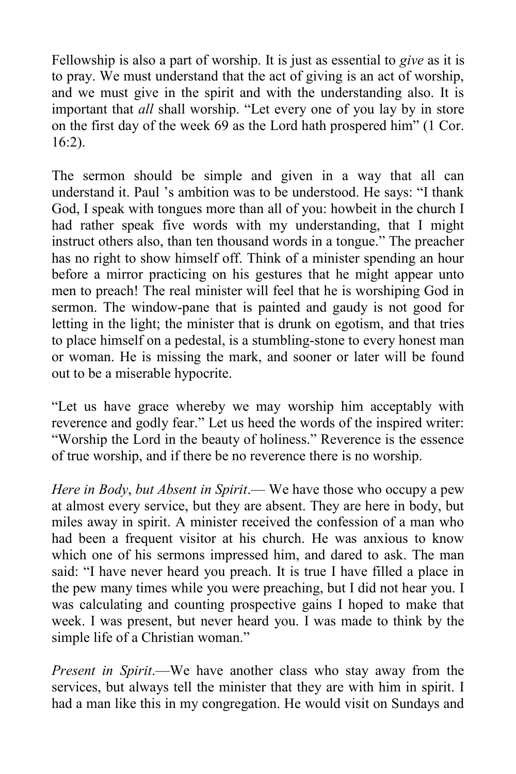Fellowship is also a part of worship. It is just as essential to *give* as it is to pray. We must understand that the act of giving is an act of worship, and we must give in the spirit and with the understanding also. It is important that *all* shall worship. "Let every one of you lay by in store on the first day of the week 69 as the Lord hath prospered him" (1 Cor. 16:2).

The sermon should be simple and given in a way that all can understand it. Paul 's ambition was to be understood. He says: "I thank God, I speak with tongues more than all of you: howbeit in the church I had rather speak five words with my understanding, that I might instruct others also, than ten thousand words in a tongue." The preacher has no right to show himself off. Think of a minister spending an hour before a mirror practicing on his gestures that he might appear unto men to preach! The real minister will feel that he is worshiping God in sermon. The window-pane that is painted and gaudy is not good for letting in the light; the minister that is drunk on egotism, and that tries to place himself on a pedestal, is a stumbling-stone to every honest man or woman. He is missing the mark, and sooner or later will be found out to be a miserable hypocrite.

"Let us have grace whereby we may worship him acceptably with reverence and godly fear." Let us heed the words of the inspired writer: "Worship the Lord in the beauty of holiness." Reverence is the essence of true worship, and if there be no reverence there is no worship.

*Here in Body*, *but Absent in Spirit*.— We have those who occupy a pew at almost every service, but they are absent. They are here in body, but miles away in spirit. A minister received the confession of a man who had been a frequent visitor at his church. He was anxious to know which one of his sermons impressed him, and dared to ask. The man said: "I have never heard you preach. It is true I have filled a place in the pew many times while you were preaching, but I did not hear you. I was calculating and counting prospective gains I hoped to make that week. I was present, but never heard you. I was made to think by the simple life of a Christian woman."

*Present in Spirit*.—We have another class who stay away from the services, but always tell the minister that they are with him in spirit. I had a man like this in my congregation. He would visit on Sundays and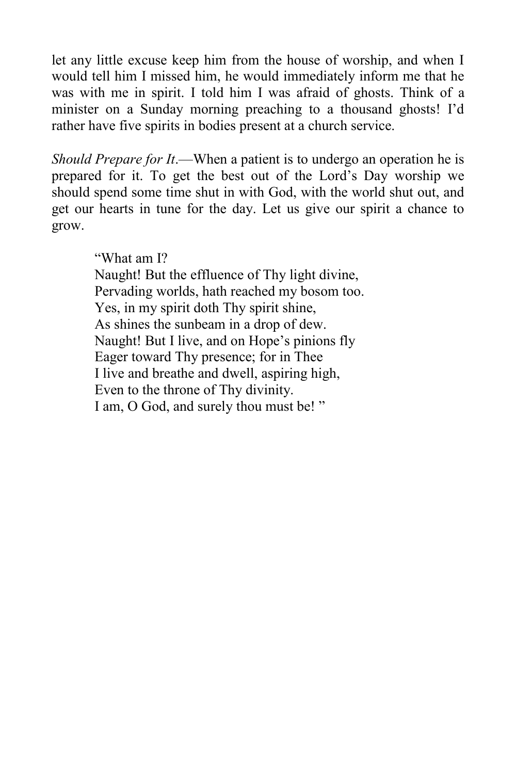let any little excuse keep him from the house of worship, and when I would tell him I missed him, he would immediately inform me that he was with me in spirit. I told him I was afraid of ghosts. Think of a minister on a Sunday morning preaching to a thousand ghosts! I'd rather have five spirits in bodies present at a church service.

*Should Prepare for It*.—When a patient is to undergo an operation he is prepared for it. To get the best out of the Lord's Day worship we should spend some time shut in with God, with the world shut out, and get our hearts in tune for the day. Let us give our spirit a chance to grow.

"What am I?

Naught! But the effluence of Thy light divine, Pervading worlds, hath reached my bosom too. Yes, in my spirit doth Thy spirit shine, As shines the sunbeam in a drop of dew. Naught! But I live, and on Hope's pinions fly Eager toward Thy presence; for in Thee I live and breathe and dwell, aspiring high, Even to the throne of Thy divinity. I am, O God, and surely thou must be! "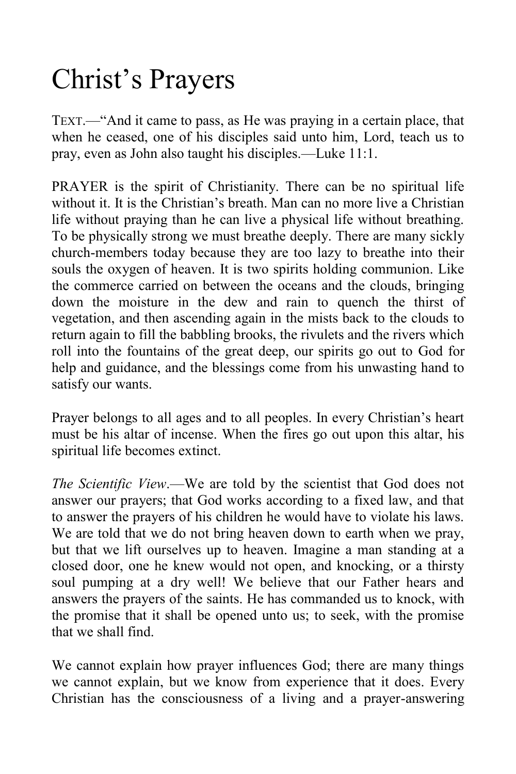### Christ's Prayers

TEXT.—"And it came to pass, as He was praying in a certain place, that when he ceased, one of his disciples said unto him, Lord, teach us to pray, even as John also taught his disciples.—Luke 11:1.

PRAYER is the spirit of Christianity. There can be no spiritual life without it. It is the Christian's breath. Man can no more live a Christian life without praying than he can live a physical life without breathing. To be physically strong we must breathe deeply. There are many sickly church-members today because they are too lazy to breathe into their souls the oxygen of heaven. It is two spirits holding communion. Like the commerce carried on between the oceans and the clouds, bringing down the moisture in the dew and rain to quench the thirst of vegetation, and then ascending again in the mists back to the clouds to return again to fill the babbling brooks, the rivulets and the rivers which roll into the fountains of the great deep, our spirits go out to God for help and guidance, and the blessings come from his unwasting hand to satisfy our wants.

Prayer belongs to all ages and to all peoples. In every Christian's heart must be his altar of incense. When the fires go out upon this altar, his spiritual life becomes extinct.

*The Scientific View*.—We are told by the scientist that God does not answer our prayers; that God works according to a fixed law, and that to answer the prayers of his children he would have to violate his laws. We are told that we do not bring heaven down to earth when we pray, but that we lift ourselves up to heaven. Imagine a man standing at a closed door, one he knew would not open, and knocking, or a thirsty soul pumping at a dry well! We believe that our Father hears and answers the prayers of the saints. He has commanded us to knock, with the promise that it shall be opened unto us; to seek, with the promise that we shall find.

We cannot explain how prayer influences God; there are many things we cannot explain, but we know from experience that it does. Every Christian has the consciousness of a living and a prayer-answering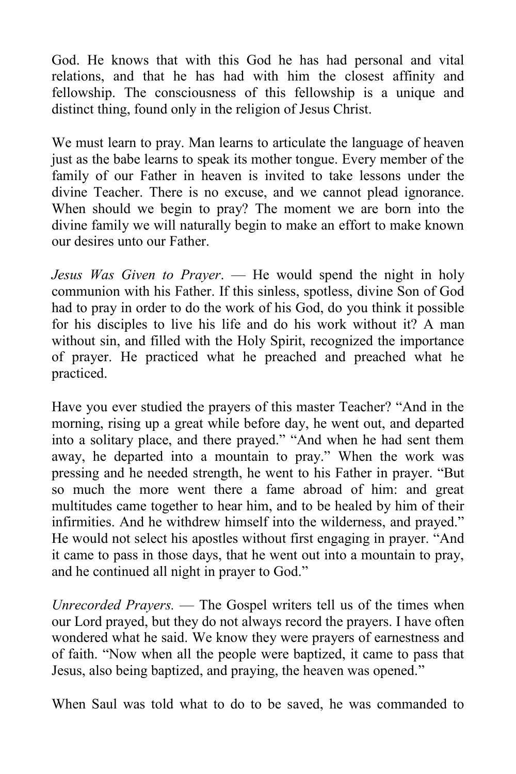God. He knows that with this God he has had personal and vital relations, and that he has had with him the closest affinity and fellowship. The consciousness of this fellowship is a unique and distinct thing, found only in the religion of Jesus Christ.

We must learn to pray. Man learns to articulate the language of heaven just as the babe learns to speak its mother tongue. Every member of the family of our Father in heaven is invited to take lessons under the divine Teacher. There is no excuse, and we cannot plead ignorance. When should we begin to pray? The moment we are born into the divine family we will naturally begin to make an effort to make known our desires unto our Father.

*Jesus Was Given to Prayer*. — He would spend the night in holy communion with his Father. If this sinless, spotless, divine Son of God had to pray in order to do the work of his God, do you think it possible for his disciples to live his life and do his work without it? A man without sin, and filled with the Holy Spirit, recognized the importance of prayer. He practiced what he preached and preached what he practiced.

Have you ever studied the prayers of this master Teacher? "And in the morning, rising up a great while before day, he went out, and departed into a solitary place, and there prayed." "And when he had sent them away, he departed into a mountain to pray." When the work was pressing and he needed strength, he went to his Father in prayer. "But so much the more went there a fame abroad of him: and great multitudes came together to hear him, and to be healed by him of their infirmities. And he withdrew himself into the wilderness, and prayed." He would not select his apostles without first engaging in prayer. "And it came to pass in those days, that he went out into a mountain to pray, and he continued all night in prayer to God."

*Unrecorded Prayers.* — The Gospel writers tell us of the times when our Lord prayed, but they do not always record the prayers. I have often wondered what he said. We know they were prayers of earnestness and of faith. "Now when all the people were baptized, it came to pass that Jesus, also being baptized, and praying, the heaven was opened."

When Saul was told what to do to be saved, he was commanded to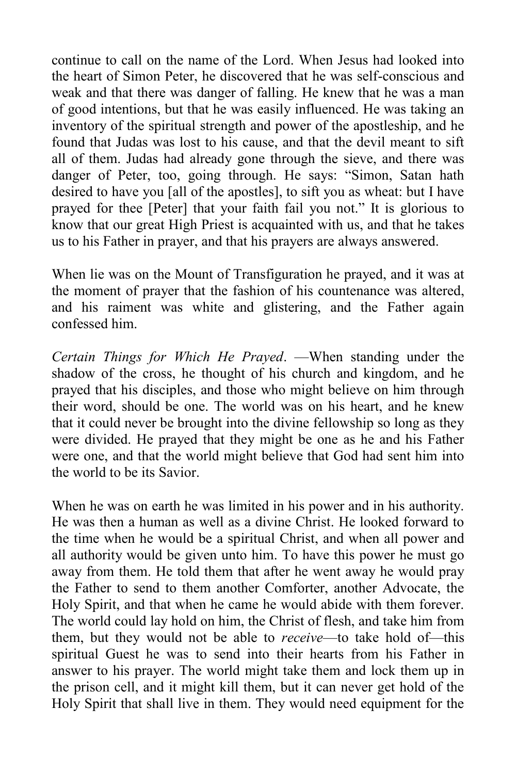continue to call on the name of the Lord. When Jesus had looked into the heart of Simon Peter, he discovered that he was self-conscious and weak and that there was danger of falling. He knew that he was a man of good intentions, but that he was easily influenced. He was taking an inventory of the spiritual strength and power of the apostleship, and he found that Judas was lost to his cause, and that the devil meant to sift all of them. Judas had already gone through the sieve, and there was danger of Peter, too, going through. He says: "Simon, Satan hath desired to have you [all of the apostles], to sift you as wheat: but I have prayed for thee [Peter] that your faith fail you not." It is glorious to know that our great High Priest is acquainted with us, and that he takes us to his Father in prayer, and that his prayers are always answered.

When lie was on the Mount of Transfiguration he prayed, and it was at the moment of prayer that the fashion of his countenance was altered, and his raiment was white and glistering, and the Father again confessed him.

*Certain Things for Which He Prayed*. —When standing under the shadow of the cross, he thought of his church and kingdom, and he prayed that his disciples, and those who might believe on him through their word, should be one. The world was on his heart, and he knew that it could never be brought into the divine fellowship so long as they were divided. He prayed that they might be one as he and his Father were one, and that the world might believe that God had sent him into the world to be its Savior.

When he was on earth he was limited in his power and in his authority. He was then a human as well as a divine Christ. He looked forward to the time when he would be a spiritual Christ, and when all power and all authority would be given unto him. To have this power he must go away from them. He told them that after he went away he would pray the Father to send to them another Comforter, another Advocate, the Holy Spirit, and that when he came he would abide with them forever. The world could lay hold on him, the Christ of flesh, and take him from them, but they would not be able to *receive*—to take hold of—this spiritual Guest he was to send into their hearts from his Father in answer to his prayer. The world might take them and lock them up in the prison cell, and it might kill them, but it can never get hold of the Holy Spirit that shall live in them. They would need equipment for the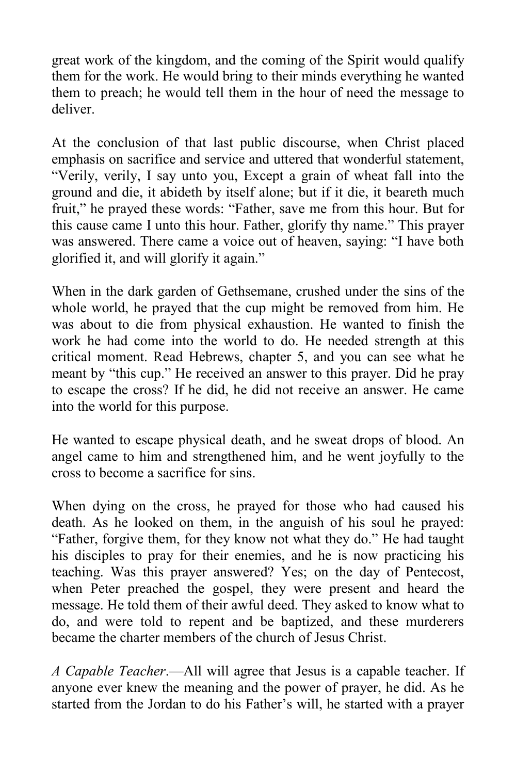great work of the kingdom, and the coming of the Spirit would qualify them for the work. He would bring to their minds everything he wanted them to preach; he would tell them in the hour of need the message to deliver.

At the conclusion of that last public discourse, when Christ placed emphasis on sacrifice and service and uttered that wonderful statement, "Verily, verily, I say unto you, Except a grain of wheat fall into the ground and die, it abideth by itself alone; but if it die, it beareth much fruit," he prayed these words: "Father, save me from this hour. But for this cause came I unto this hour. Father, glorify thy name." This prayer was answered. There came a voice out of heaven, saying: "I have both glorified it, and will glorify it again."

When in the dark garden of Gethsemane, crushed under the sins of the whole world, he prayed that the cup might be removed from him. He was about to die from physical exhaustion. He wanted to finish the work he had come into the world to do. He needed strength at this critical moment. Read Hebrews, chapter 5, and you can see what he meant by "this cup." He received an answer to this prayer. Did he pray to escape the cross? If he did, he did not receive an answer. He came into the world for this purpose.

He wanted to escape physical death, and he sweat drops of blood. An angel came to him and strengthened him, and he went joyfully to the cross to become a sacrifice for sins.

When dying on the cross, he prayed for those who had caused his death. As he looked on them, in the anguish of his soul he prayed: "Father, forgive them, for they know not what they do." He had taught his disciples to pray for their enemies, and he is now practicing his teaching. Was this prayer answered? Yes; on the day of Pentecost, when Peter preached the gospel, they were present and heard the message. He told them of their awful deed. They asked to know what to do, and were told to repent and be baptized, and these murderers became the charter members of the church of Jesus Christ.

*A Capable Teacher*.—All will agree that Jesus is a capable teacher. If anyone ever knew the meaning and the power of prayer, he did. As he started from the Jordan to do his Father's will, he started with a prayer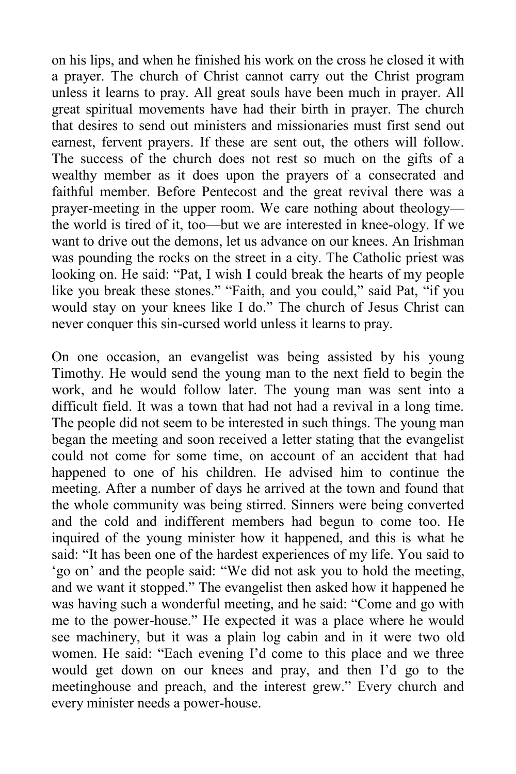on his lips, and when he finished his work on the cross he closed it with a prayer. The church of Christ cannot carry out the Christ program unless it learns to pray. All great souls have been much in prayer. All great spiritual movements have had their birth in prayer. The church that desires to send out ministers and missionaries must first send out earnest, fervent prayers. If these are sent out, the others will follow. The success of the church does not rest so much on the gifts of a wealthy member as it does upon the prayers of a consecrated and faithful member. Before Pentecost and the great revival there was a prayer-meeting in the upper room. We care nothing about theology the world is tired of it, too—but we are interested in knee-ology. If we want to drive out the demons, let us advance on our knees. An Irishman was pounding the rocks on the street in a city. The Catholic priest was looking on. He said: "Pat, I wish I could break the hearts of my people like you break these stones." "Faith, and you could," said Pat, "if you would stay on your knees like I do." The church of Jesus Christ can never conquer this sin-cursed world unless it learns to pray.

On one occasion, an evangelist was being assisted by his young Timothy. He would send the young man to the next field to begin the work, and he would follow later. The young man was sent into a difficult field. It was a town that had not had a revival in a long time. The people did not seem to be interested in such things. The young man began the meeting and soon received a letter stating that the evangelist could not come for some time, on account of an accident that had happened to one of his children. He advised him to continue the meeting. After a number of days he arrived at the town and found that the whole community was being stirred. Sinners were being converted and the cold and indifferent members had begun to come too. He inquired of the young minister how it happened, and this is what he said: "It has been one of the hardest experiences of my life. You said to 'go on' and the people said: "We did not ask you to hold the meeting, and we want it stopped." The evangelist then asked how it happened he was having such a wonderful meeting, and he said: "Come and go with me to the power-house." He expected it was a place where he would see machinery, but it was a plain log cabin and in it were two old women. He said: "Each evening I'd come to this place and we three would get down on our knees and pray, and then I'd go to the meetinghouse and preach, and the interest grew." Every church and every minister needs a power-house.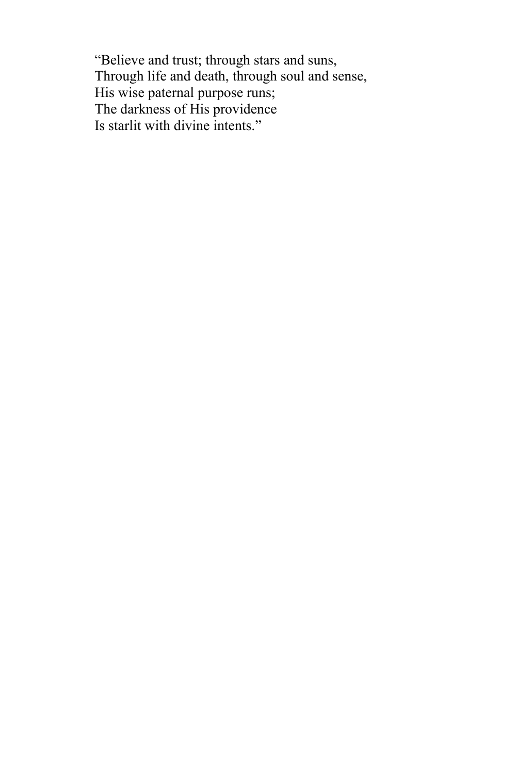"Believe and trust; through stars and suns, Through life and death, through soul and sense, His wise paternal purpose runs; The darkness of His providence Is starlit with divine intents."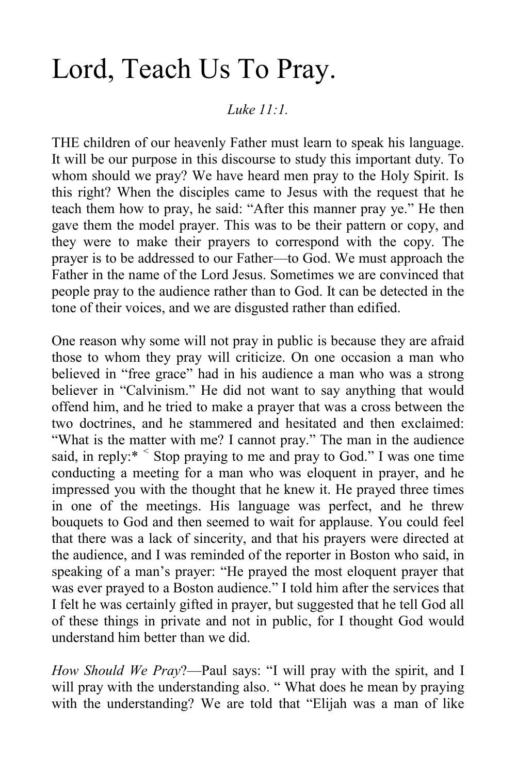### Lord, Teach Us To Pray.

#### *Luke 11:1.*

THE children of our heavenly Father must learn to speak his language. It will be our purpose in this discourse to study this important duty. To whom should we pray? We have heard men pray to the Holy Spirit. Is this right? When the disciples came to Jesus with the request that he teach them how to pray, he said: "After this manner pray ye." He then gave them the model prayer. This was to be their pattern or copy, and they were to make their prayers to correspond with the copy. The prayer is to be addressed to our Father—to God. We must approach the Father in the name of the Lord Jesus. Sometimes we are convinced that people pray to the audience rather than to God. It can be detected in the tone of their voices, and we are disgusted rather than edified.

One reason why some will not pray in public is because they are afraid those to whom they pray will criticize. On one occasion a man who believed in "free grace" had in his audience a man who was a strong believer in "Calvinism." He did not want to say anything that would offend him, and he tried to make a prayer that was a cross between the two doctrines, and he stammered and hesitated and then exclaimed: "What is the matter with me? I cannot pray." The man in the audience said, in reply:\* *<sup>&</sup>lt;* Stop praying to me and pray to God." I was one time conducting a meeting for a man who was eloquent in prayer, and he impressed you with the thought that he knew it. He prayed three times in one of the meetings. His language was perfect, and he threw bouquets to God and then seemed to wait for applause. You could feel that there was a lack of sincerity, and that his prayers were directed at the audience, and I was reminded of the reporter in Boston who said, in speaking of a man's prayer: "He prayed the most eloquent prayer that was ever prayed to a Boston audience." I told him after the services that I felt he was certainly gifted in prayer, but suggested that he tell God all of these things in private and not in public, for I thought God would understand him better than we did.

*How Should We Pray*?—Paul says: "I will pray with the spirit, and I will pray with the understanding also. "What does he mean by praying with the understanding? We are told that "Elijah was a man of like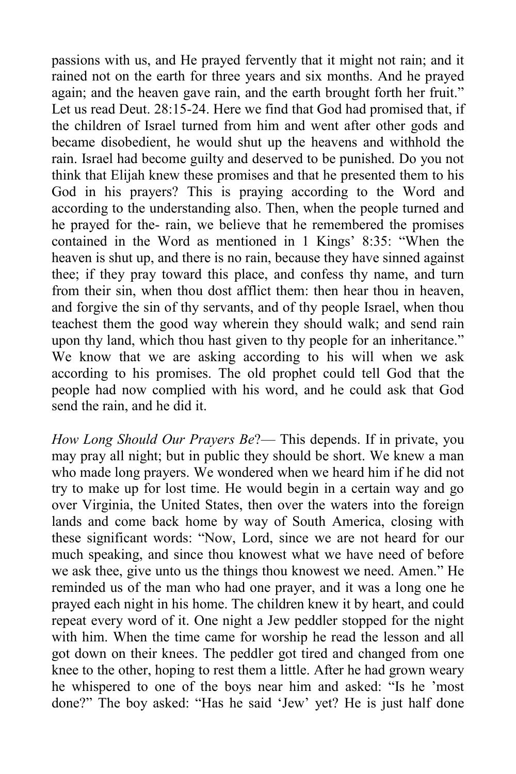passions with us, and He prayed fervently that it might not rain; and it rained not on the earth for three years and six months. And he prayed again; and the heaven gave rain, and the earth brought forth her fruit." Let us read Deut. 28:15-24. Here we find that God had promised that, if the children of Israel turned from him and went after other gods and became disobedient, he would shut up the heavens and withhold the rain. Israel had become guilty and deserved to be punished. Do you not think that Elijah knew these promises and that he presented them to his God in his prayers? This is praying according to the Word and according to the understanding also. Then, when the people turned and he prayed for the- rain, we believe that he remembered the promises contained in the Word as mentioned in 1 Kings' 8:35: "When the heaven is shut up, and there is no rain, because they have sinned against thee; if they pray toward this place, and confess thy name, and turn from their sin, when thou dost afflict them: then hear thou in heaven, and forgive the sin of thy servants, and of thy people Israel, when thou teachest them the good way wherein they should walk; and send rain upon thy land, which thou hast given to thy people for an inheritance." We know that we are asking according to his will when we ask according to his promises. The old prophet could tell God that the people had now complied with his word, and he could ask that God send the rain, and he did it.

*How Long Should Our Prayers Be*?— This depends. If in private, you may pray all night; but in public they should be short. We knew a man who made long prayers. We wondered when we heard him if he did not try to make up for lost time. He would begin in a certain way and go over Virginia, the United States, then over the waters into the foreign lands and come back home by way of South America, closing with these significant words: "Now, Lord, since we are not heard for our much speaking, and since thou knowest what we have need of before we ask thee, give unto us the things thou knowest we need. Amen." He reminded us of the man who had one prayer, and it was a long one he prayed each night in his home. The children knew it by heart, and could repeat every word of it. One night a Jew peddler stopped for the night with him. When the time came for worship he read the lesson and all got down on their knees. The peddler got tired and changed from one knee to the other, hoping to rest them a little. After he had grown weary he whispered to one of the boys near him and asked: "Is he 'most done?" The boy asked: "Has he said 'Jew' yet? He is just half done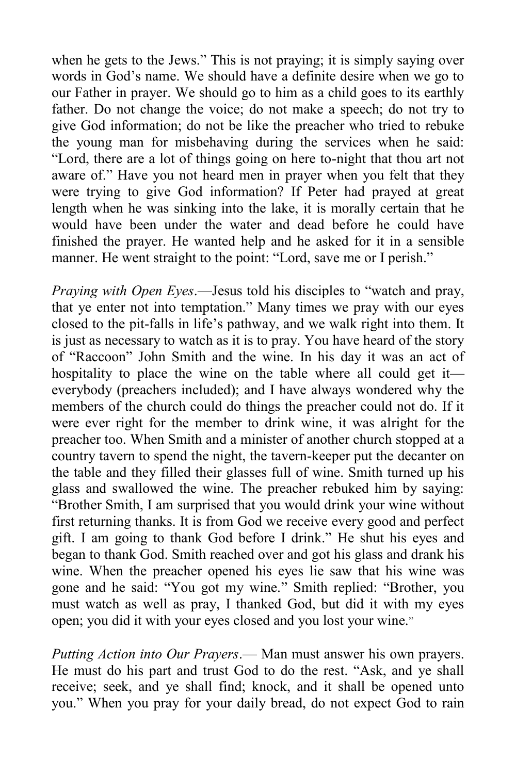when he gets to the Jews." This is not praying; it is simply saying over words in God's name. We should have a definite desire when we go to our Father in prayer. We should go to him as a child goes to its earthly father. Do not change the voice; do not make a speech; do not try to give God information; do not be like the preacher who tried to rebuke the young man for misbehaving during the services when he said: "Lord, there are a lot of things going on here to-night that thou art not aware of." Have you not heard men in prayer when you felt that they were trying to give God information? If Peter had prayed at great length when he was sinking into the lake, it is morally certain that he would have been under the water and dead before he could have finished the prayer. He wanted help and he asked for it in a sensible manner. He went straight to the point: "Lord, save me or I perish."

*Praying with Open Eyes*.—Jesus told his disciples to "watch and pray, that ye enter not into temptation." Many times we pray with our eyes closed to the pit-falls in life's pathway, and we walk right into them. It is just as necessary to watch as it is to pray. You have heard of the story of "Raccoon" John Smith and the wine. In his day it was an act of hospitality to place the wine on the table where all could get it everybody (preachers included); and I have always wondered why the members of the church could do things the preacher could not do. If it were ever right for the member to drink wine, it was alright for the preacher too. When Smith and a minister of another church stopped at a country tavern to spend the night, the tavern-keeper put the decanter on the table and they filled their glasses full of wine. Smith turned up his glass and swallowed the wine. The preacher rebuked him by saying: "Brother Smith, I am surprised that you would drink your wine without first returning thanks. It is from God we receive every good and perfect gift. I am going to thank God before I drink." He shut his eyes and began to thank God. Smith reached over and got his glass and drank his wine. When the preacher opened his eyes lie saw that his wine was gone and he said: "You got my wine." Smith replied: "Brother, you must watch as well as pray, I thanked God, but did it with my eyes open; you did it with your eyes closed and you lost your wine."

*Putting Action into Our Prayers*.— Man must answer his own prayers. He must do his part and trust God to do the rest. "Ask, and ye shall receive; seek, and ye shall find; knock, and it shall be opened unto you." When you pray for your daily bread, do not expect God to rain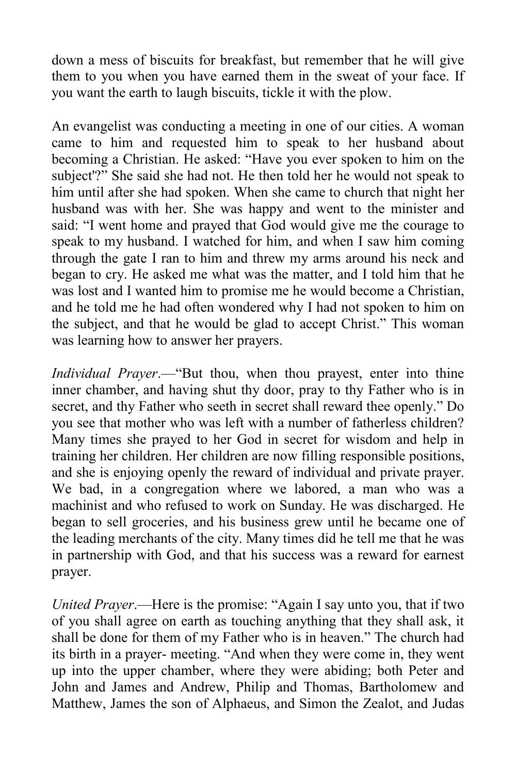down a mess of biscuits for breakfast, but remember that he will give them to you when you have earned them in the sweat of your face. If you want the earth to laugh biscuits, tickle it with the plow.

An evangelist was conducting a meeting in one of our cities. A woman came to him and requested him to speak to her husband about becoming a Christian. He asked: "Have you ever spoken to him on the subject'?" She said she had not. He then told her he would not speak to him until after she had spoken. When she came to church that night her husband was with her. She was happy and went to the minister and said: "I went home and prayed that God would give me the courage to speak to my husband. I watched for him, and when I saw him coming through the gate I ran to him and threw my arms around his neck and began to cry. He asked me what was the matter, and I told him that he was lost and I wanted him to promise me he would become a Christian, and he told me he had often wondered why I had not spoken to him on the subject, and that he would be glad to accept Christ." This woman was learning how to answer her prayers.

*Individual Prayer*.—"But thou, when thou prayest, enter into thine inner chamber, and having shut thy door, pray to thy Father who is in secret, and thy Father who seeth in secret shall reward thee openly." Do you see that mother who was left with a number of fatherless children? Many times she prayed to her God in secret for wisdom and help in training her children. Her children are now filling responsible positions, and she is enjoying openly the reward of individual and private prayer. We bad, in a congregation where we labored, a man who was a machinist and who refused to work on Sunday. He was discharged. He began to sell groceries, and his business grew until he became one of the leading merchants of the city. Many times did he tell me that he was in partnership with God, and that his success was a reward for earnest prayer.

*United Prayer*.—Here is the promise: "Again I say unto you, that if two of you shall agree on earth as touching anything that they shall ask, it shall be done for them of my Father who is in heaven." The church had its birth in a prayer- meeting. "And when they were come in, they went up into the upper chamber, where they were abiding; both Peter and John and James and Andrew, Philip and Thomas, Bartholomew and Matthew, James the son of Alphaeus, and Simon the Zealot, and Judas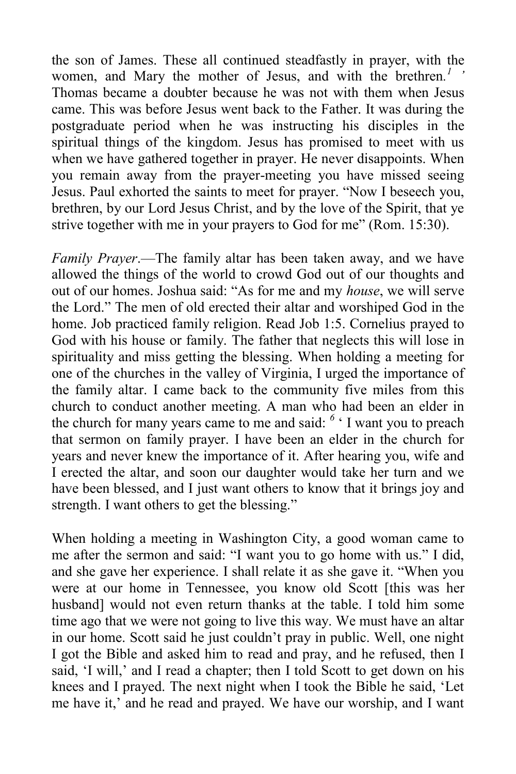the son of James. These all continued steadfastly in prayer, with the women, and Mary the mother of Jesus, and with the brethren*. 1 '* Thomas became a doubter because he was not with them when Jesus came. This was before Jesus went back to the Father. It was during the postgraduate period when he was instructing his disciples in the spiritual things of the kingdom. Jesus has promised to meet with us when we have gathered together in prayer. He never disappoints. When you remain away from the prayer-meeting you have missed seeing Jesus. Paul exhorted the saints to meet for prayer. "Now I beseech you, brethren, by our Lord Jesus Christ, and by the love of the Spirit, that ye strive together with me in your prayers to God for me" (Rom. 15:30).

*Family Prayer*.—The family altar has been taken away, and we have allowed the things of the world to crowd God out of our thoughts and out of our homes. Joshua said: "As for me and my *house*, we will serve the Lord." The men of old erected their altar and worshiped God in the home. Job practiced family religion. Read Job 1:5. Cornelius prayed to God with his house or family. The father that neglects this will lose in spirituality and miss getting the blessing. When holding a meeting for one of the churches in the valley of Virginia, I urged the importance of the family altar. I came back to the community five miles from this church to conduct another meeting. A man who had been an elder in the church for many years came to me and said: *<sup>6</sup>* ' I want you to preach that sermon on family prayer. I have been an elder in the church for years and never knew the importance of it. After hearing you, wife and I erected the altar, and soon our daughter would take her turn and we have been blessed, and I just want others to know that it brings joy and strength. I want others to get the blessing."

When holding a meeting in Washington City, a good woman came to me after the sermon and said: "I want you to go home with us." I did, and she gave her experience. I shall relate it as she gave it. "When you were at our home in Tennessee, you know old Scott [this was her husband] would not even return thanks at the table. I told him some time ago that we were not going to live this way. We must have an altar in our home. Scott said he just couldn't pray in public. Well, one night I got the Bible and asked him to read and pray, and he refused, then I said, 'I will,' and I read a chapter; then I told Scott to get down on his knees and I prayed. The next night when I took the Bible he said, 'Let me have it,' and he read and prayed. We have our worship, and I want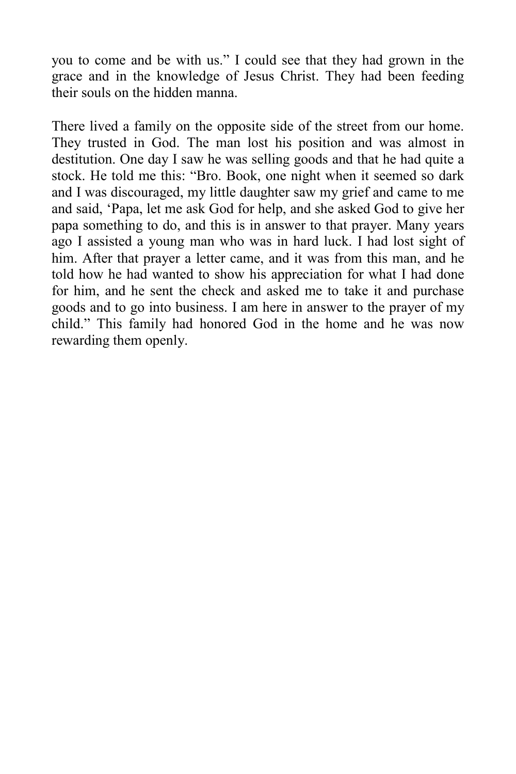you to come and be with us." I could see that they had grown in the grace and in the knowledge of Jesus Christ. They had been feeding their souls on the hidden manna.

There lived a family on the opposite side of the street from our home. They trusted in God. The man lost his position and was almost in destitution. One day I saw he was selling goods and that he had quite a stock. He told me this: "Bro. Book, one night when it seemed so dark and I was discouraged, my little daughter saw my grief and came to me and said, 'Papa, let me ask God for help, and she asked God to give her papa something to do, and this is in answer to that prayer. Many years ago I assisted a young man who was in hard luck. I had lost sight of him. After that prayer a letter came, and it was from this man, and he told how he had wanted to show his appreciation for what I had done for him, and he sent the check and asked me to take it and purchase goods and to go into business. I am here in answer to the prayer of my child." This family had honored God in the home and he was now rewarding them openly.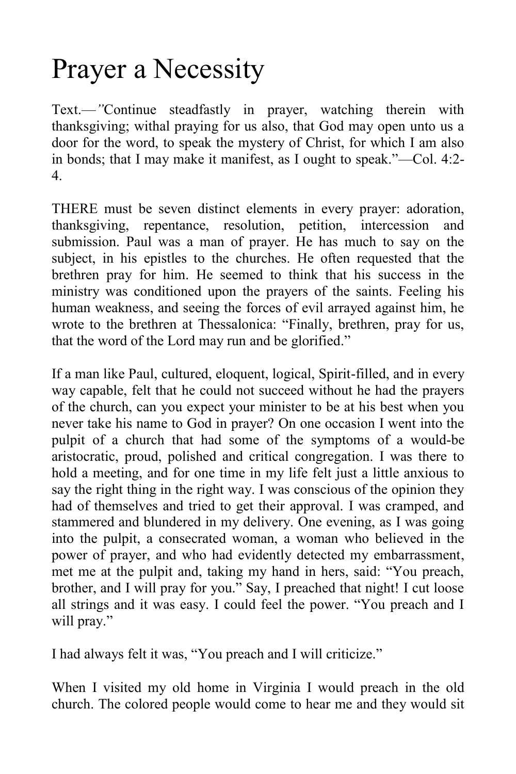# Prayer a Necessity

Text.—*"*Continue steadfastly in prayer, watching therein with thanksgiving; withal praying for us also, that God may open unto us a door for the word, to speak the mystery of Christ, for which I am also in bonds; that I may make it manifest, as I ought to speak."—Col. 4:2- 4.

THERE must be seven distinct elements in every prayer: adoration, thanksgiving, repentance, resolution, petition, intercession and submission. Paul was a man of prayer. He has much to say on the subject, in his epistles to the churches. He often requested that the brethren pray for him. He seemed to think that his success in the ministry was conditioned upon the prayers of the saints. Feeling his human weakness, and seeing the forces of evil arrayed against him, he wrote to the brethren at Thessalonica: "Finally, brethren, pray for us, that the word of the Lord may run and be glorified."

If a man like Paul, cultured, eloquent, logical, Spirit-filled, and in every way capable, felt that he could not succeed without he had the prayers of the church, can you expect your minister to be at his best when you never take his name to God in prayer? On one occasion I went into the pulpit of a church that had some of the symptoms of a would-be aristocratic, proud, polished and critical congregation. I was there to hold a meeting, and for one time in my life felt just a little anxious to say the right thing in the right way. I was conscious of the opinion they had of themselves and tried to get their approval. I was cramped, and stammered and blundered in my delivery. One evening, as I was going into the pulpit, a consecrated woman, a woman who believed in the power of prayer, and who had evidently detected my embarrassment, met me at the pulpit and, taking my hand in hers, said: "You preach, brother, and I will pray for you." Say, I preached that night! I cut loose all strings and it was easy. I could feel the power. "You preach and I will pray."

I had always felt it was, "You preach and I will criticize."

When I visited my old home in Virginia I would preach in the old church. The colored people would come to hear me and they would sit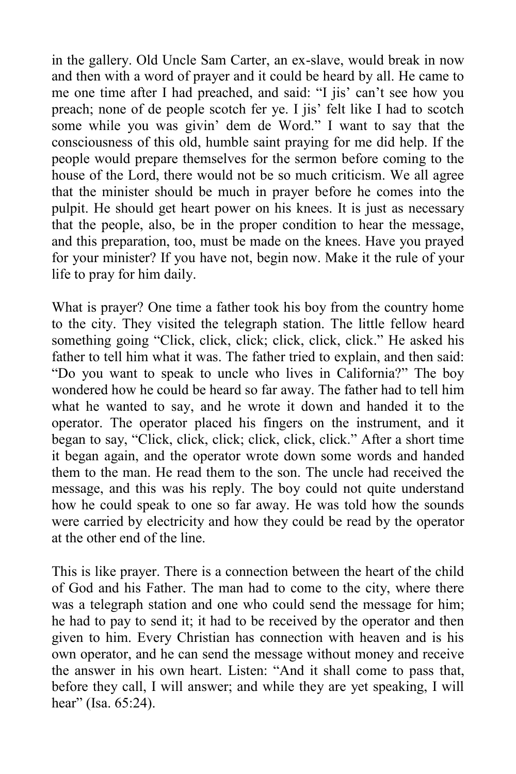in the gallery. Old Uncle Sam Carter, an ex-slave, would break in now and then with a word of prayer and it could be heard by all. He came to me one time after I had preached, and said: "I jis' can't see how you preach; none of de people scotch fer ye. I jis' felt like I had to scotch some while you was givin' dem de Word." I want to say that the consciousness of this old, humble saint praying for me did help. If the people would prepare themselves for the sermon before coming to the house of the Lord, there would not be so much criticism. We all agree that the minister should be much in prayer before he comes into the pulpit. He should get heart power on his knees. It is just as necessary that the people, also, be in the proper condition to hear the message, and this preparation, too, must be made on the knees. Have you prayed for your minister? If you have not, begin now. Make it the rule of your life to pray for him daily.

What is prayer? One time a father took his boy from the country home to the city. They visited the telegraph station. The little fellow heard something going "Click, click, click; click, click, click." He asked his father to tell him what it was. The father tried to explain, and then said: "Do you want to speak to uncle who lives in California?" The boy wondered how he could be heard so far away. The father had to tell him what he wanted to say, and he wrote it down and handed it to the operator. The operator placed his fingers on the instrument, and it began to say, "Click, click, click; click, click, click." After a short time it began again, and the operator wrote down some words and handed them to the man. He read them to the son. The uncle had received the message, and this was his reply. The boy could not quite understand how he could speak to one so far away. He was told how the sounds were carried by electricity and how they could be read by the operator at the other end of the line.

This is like prayer. There is a connection between the heart of the child of God and his Father. The man had to come to the city, where there was a telegraph station and one who could send the message for him; he had to pay to send it; it had to be received by the operator and then given to him. Every Christian has connection with heaven and is his own operator, and he can send the message without money and receive the answer in his own heart. Listen: "And it shall come to pass that, before they call, I will answer; and while they are yet speaking, I will hear" (Isa. 65:24).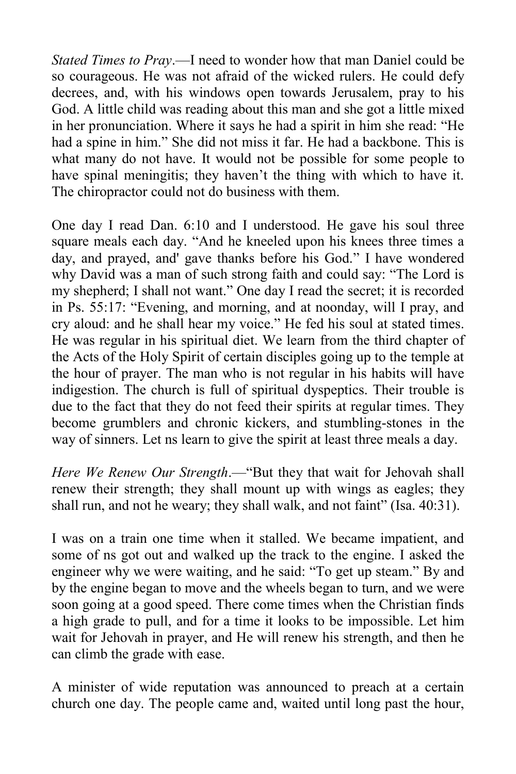*Stated Times to Pray*.—I need to wonder how that man Daniel could be so courageous. He was not afraid of the wicked rulers. He could defy decrees, and, with his windows open towards Jerusalem, pray to his God. A little child was reading about this man and she got a little mixed in her pronunciation. Where it says he had a spirit in him she read: "He had a spine in him." She did not miss it far. He had a backbone. This is what many do not have. It would not be possible for some people to have spinal meningitis; they haven't the thing with which to have it. The chiropractor could not do business with them.

One day I read Dan. 6:10 and I understood. He gave his soul three square meals each day. "And he kneeled upon his knees three times a day, and prayed, and' gave thanks before his God." I have wondered why David was a man of such strong faith and could say: "The Lord is my shepherd; I shall not want." One day I read the secret; it is recorded in Ps. 55:17: "Evening, and morning, and at noonday, will I pray, and cry aloud: and he shall hear my voice." He fed his soul at stated times. He was regular in his spiritual diet. We learn from the third chapter of the Acts of the Holy Spirit of certain disciples going up to the temple at the hour of prayer. The man who is not regular in his habits will have indigestion. The church is full of spiritual dyspeptics. Their trouble is due to the fact that they do not feed their spirits at regular times. They become grumblers and chronic kickers, and stumbling-stones in the way of sinners. Let ns learn to give the spirit at least three meals a day.

*Here We Renew Our Strength*.—"But they that wait for Jehovah shall renew their strength; they shall mount up with wings as eagles; they shall run, and not he weary; they shall walk, and not faint" (Isa. 40:31).

I was on a train one time when it stalled. We became impatient, and some of ns got out and walked up the track to the engine. I asked the engineer why we were waiting, and he said: "To get up steam." By and by the engine began to move and the wheels began to turn, and we were soon going at a good speed. There come times when the Christian finds a high grade to pull, and for a time it looks to be impossible. Let him wait for Jehovah in prayer, and He will renew his strength, and then he can climb the grade with ease.

A minister of wide reputation was announced to preach at a certain church one day. The people came and, waited until long past the hour,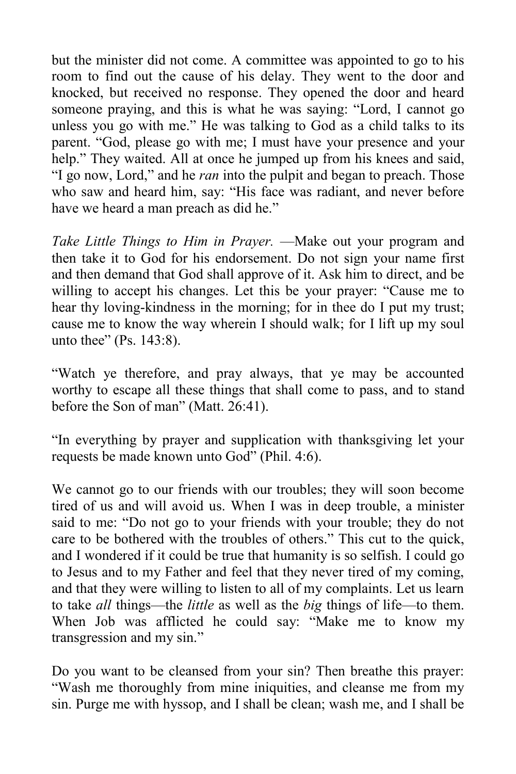but the minister did not come. A committee was appointed to go to his room to find out the cause of his delay. They went to the door and knocked, but received no response. They opened the door and heard someone praying, and this is what he was saying: "Lord, I cannot go unless you go with me." He was talking to God as a child talks to its parent. "God, please go with me; I must have your presence and your help." They waited. All at once he jumped up from his knees and said, "I go now, Lord," and he *ran* into the pulpit and began to preach. Those who saw and heard him, say: "His face was radiant, and never before have we heard a man preach as did he."

*Take Little Things to Him in Prayer.* —Make out your program and then take it to God for his endorsement. Do not sign your name first and then demand that God shall approve of it. Ask him to direct, and be willing to accept his changes. Let this be your prayer: "Cause me to hear thy loving-kindness in the morning; for in thee do I put my trust; cause me to know the way wherein I should walk; for I lift up my soul unto thee" (Ps. 143:8).

"Watch ye therefore, and pray always, that ye may be accounted worthy to escape all these things that shall come to pass, and to stand before the Son of man" (Matt. 26:41).

"In everything by prayer and supplication with thanksgiving let your requests be made known unto God" (Phil. 4:6).

We cannot go to our friends with our troubles; they will soon become tired of us and will avoid us. When I was in deep trouble, a minister said to me: "Do not go to your friends with your trouble; they do not care to be bothered with the troubles of others." This cut to the quick, and I wondered if it could be true that humanity is so selfish. I could go to Jesus and to my Father and feel that they never tired of my coming, and that they were willing to listen to all of my complaints. Let us learn to take *all* things—the *little* as well as the *big* things of life—to them. When Job was afflicted he could say: "Make me to know my transgression and my sin."

Do you want to be cleansed from your sin? Then breathe this prayer: "Wash me thoroughly from mine iniquities, and cleanse me from my sin. Purge me with hyssop, and I shall be clean; wash me, and I shall be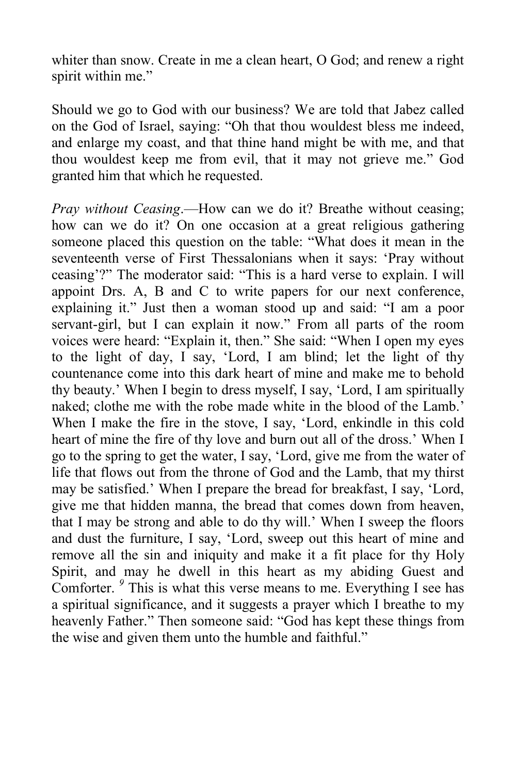whiter than snow. Create in me a clean heart, O God; and renew a right spirit within me."

Should we go to God with our business? We are told that Jabez called on the God of Israel, saying: "Oh that thou wouldest bless me indeed, and enlarge my coast, and that thine hand might be with me, and that thou wouldest keep me from evil, that it may not grieve me." God granted him that which he requested.

*Pray without Ceasing*.—How can we do it? Breathe without ceasing; how can we do it? On one occasion at a great religious gathering someone placed this question on the table: "What does it mean in the seventeenth verse of First Thessalonians when it says: 'Pray without ceasing'?" The moderator said: "This is a hard verse to explain. I will appoint Drs. A, B and C to write papers for our next conference, explaining it." Just then a woman stood up and said: "I am a poor servant-girl, but I can explain it now." From all parts of the room voices were heard: "Explain it, then." She said: "When I open my eyes to the light of day, I say, 'Lord, I am blind; let the light of thy countenance come into this dark heart of mine and make me to behold thy beauty.' When I begin to dress myself, I say, 'Lord, I am spiritually naked; clothe me with the robe made white in the blood of the Lamb.' When I make the fire in the stove, I say, 'Lord, enkindle in this cold heart of mine the fire of thy love and burn out all of the dross.' When I go to the spring to get the water, I say, 'Lord, give me from the water of life that flows out from the throne of God and the Lamb, that my thirst may be satisfied.' When I prepare the bread for breakfast, I say, 'Lord, give me that hidden manna, the bread that comes down from heaven, that I may be strong and able to do thy will.' When I sweep the floors and dust the furniture, I say, 'Lord, sweep out this heart of mine and remove all the sin and iniquity and make it a fit place for thy Holy Spirit, and may he dwell in this heart as my abiding Guest and Comforter. <sup>9</sup> This is what this verse means to me. Everything I see has a spiritual significance, and it suggests a prayer which I breathe to my heavenly Father." Then someone said: "God has kept these things from the wise and given them unto the humble and faithful."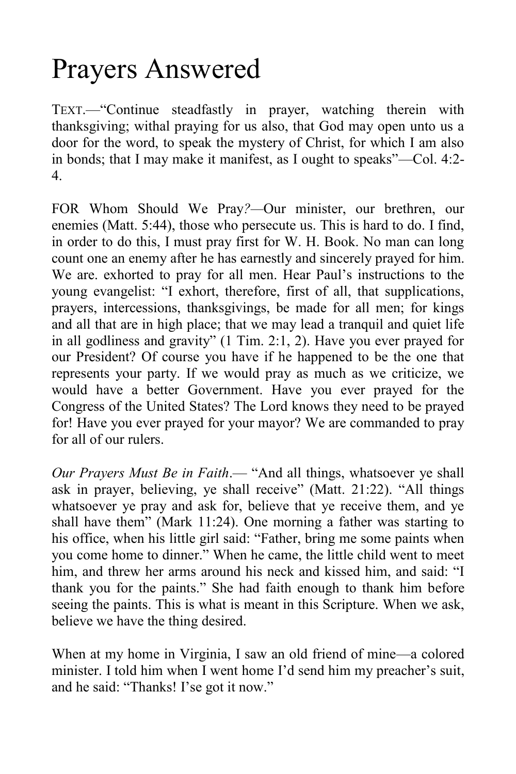# Prayers Answered

TEXT.—"Continue steadfastly in prayer, watching therein with thanksgiving; withal praying for us also, that God may open unto us a door for the word, to speak the mystery of Christ, for which I am also in bonds; that I may make it manifest, as I ought to speaks"—Col. 4:2- 4.

FOR Whom Should We Pray*?—*Our minister, our brethren, our enemies (Matt. 5:44), those who persecute us. This is hard to do. I find, in order to do this, I must pray first for W. H. Book. No man can long count one an enemy after he has earnestly and sincerely prayed for him. We are. exhorted to pray for all men. Hear Paul's instructions to the young evangelist: "I exhort, therefore, first of all, that supplications, prayers, intercessions, thanksgivings, be made for all men; for kings and all that are in high place; that we may lead a tranquil and quiet life in all godliness and gravity" (1 Tim. 2:1, 2). Have you ever prayed for our President? Of course you have if he happened to be the one that represents your party. If we would pray as much as we criticize, we would have a better Government. Have you ever prayed for the Congress of the United States? The Lord knows they need to be prayed for! Have you ever prayed for your mayor? We are commanded to pray for all of our rulers.

*Our Prayers Must Be in Faith*.— "And all things, whatsoever ye shall ask in prayer, believing, ye shall receive" (Matt. 21:22). "All things whatsoever ye pray and ask for, believe that ye receive them, and ye shall have them" (Mark 11:24). One morning a father was starting to his office, when his little girl said: "Father, bring me some paints when you come home to dinner." When he came, the little child went to meet him, and threw her arms around his neck and kissed him, and said: "I thank you for the paints." She had faith enough to thank him before seeing the paints. This is what is meant in this Scripture. When we ask, believe we have the thing desired.

When at my home in Virginia, I saw an old friend of mine—a colored minister. I told him when I went home I'd send him my preacher's suit, and he said: "Thanks! I'se got it now."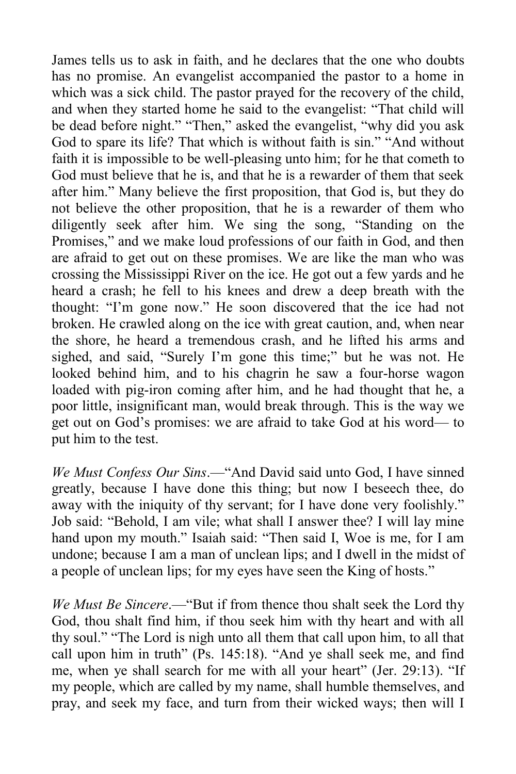James tells us to ask in faith, and he declares that the one who doubts has no promise. An evangelist accompanied the pastor to a home in which was a sick child. The pastor prayed for the recovery of the child, and when they started home he said to the evangelist: "That child will be dead before night." "Then," asked the evangelist, "why did you ask God to spare its life? That which is without faith is sin." "And without faith it is impossible to be well-pleasing unto him; for he that cometh to God must believe that he is, and that he is a rewarder of them that seek after him." Many believe the first proposition, that God is, but they do not believe the other proposition, that he is a rewarder of them who diligently seek after him. We sing the song, "Standing on the Promises," and we make loud professions of our faith in God, and then are afraid to get out on these promises. We are like the man who was crossing the Mississippi River on the ice. He got out a few yards and he heard a crash; he fell to his knees and drew a deep breath with the thought: "I'm gone now." He soon discovered that the ice had not broken. He crawled along on the ice with great caution, and, when near the shore, he heard a tremendous crash, and he lifted his arms and sighed, and said, "Surely I'm gone this time;" but he was not. He looked behind him, and to his chagrin he saw a four-horse wagon loaded with pig-iron coming after him, and he had thought that he, a poor little, insignificant man, would break through. This is the way we get out on God's promises: we are afraid to take God at his word— to put him to the test.

*We Must Confess Our Sins*.—"And David said unto God, I have sinned greatly, because I have done this thing; but now I beseech thee, do away with the iniquity of thy servant; for I have done very foolishly." Job said: "Behold, I am vile; what shall I answer thee? I will lay mine hand upon my mouth." Isaiah said: "Then said I, Woe is me, for I am undone; because I am a man of unclean lips; and I dwell in the midst of a people of unclean lips; for my eyes have seen the King of hosts."

*We Must Be Sincere*.—"But if from thence thou shalt seek the Lord thy God, thou shalt find him, if thou seek him with thy heart and with all thy soul." "The Lord is nigh unto all them that call upon him, to all that call upon him in truth" (Ps. 145:18). "And ye shall seek me, and find me, when ye shall search for me with all your heart" (Jer. 29:13). "If my people, which are called by my name, shall humble themselves, and pray, and seek my face, and turn from their wicked ways; then will I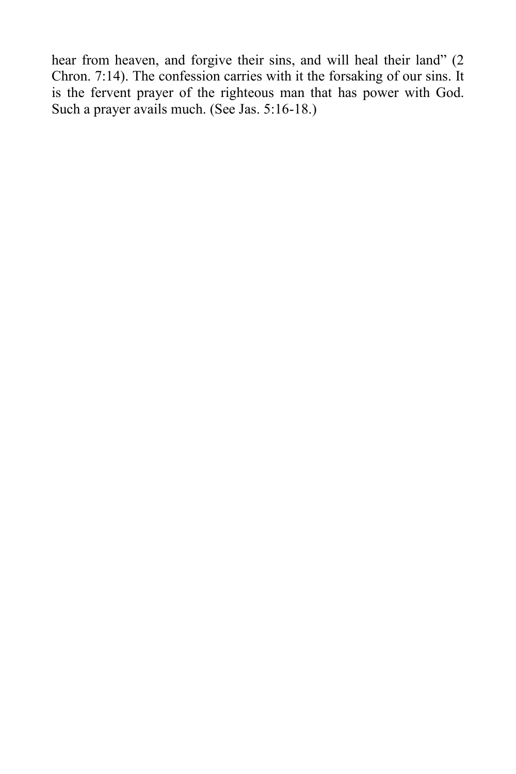hear from heaven, and forgive their sins, and will heal their land" (2) Chron. 7:14). The confession carries with it the forsaking of our sins. It is the fervent prayer of the righteous man that has power with God. Such a prayer avails much. (See Jas. 5:16-18.)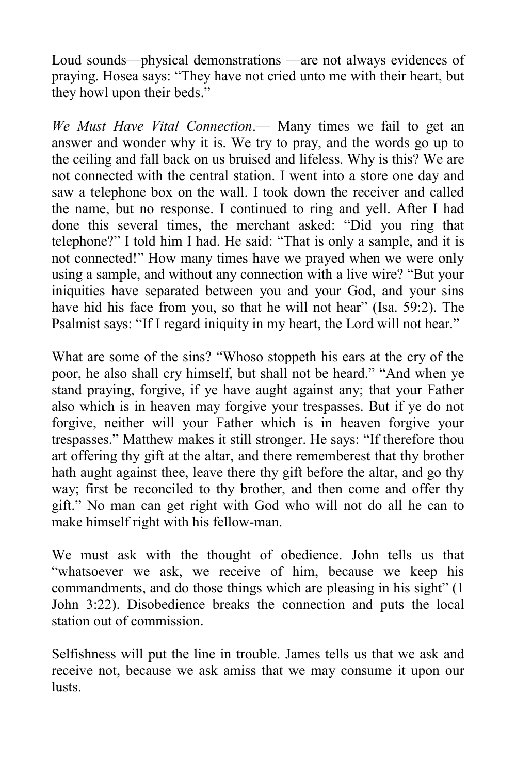Loud sounds—physical demonstrations —are not always evidences of praying. Hosea says: "They have not cried unto me with their heart, but they howl upon their beds."

*We Must Have Vital Connection*.— Many times we fail to get an answer and wonder why it is. We try to pray, and the words go up to the ceiling and fall back on us bruised and lifeless. Why is this? We are not connected with the central station. I went into a store one day and saw a telephone box on the wall. I took down the receiver and called the name, but no response. I continued to ring and yell. After I had done this several times, the merchant asked: "Did you ring that telephone?" I told him I had. He said: "That is only a sample, and it is not connected!" How many times have we prayed when we were only using a sample, and without any connection with a live wire? "But your iniquities have separated between you and your God, and your sins have hid his face from you, so that he will not hear" (Isa. 59:2). The Psalmist says: "If I regard iniquity in my heart, the Lord will not hear."

What are some of the sins? "Whoso stoppeth his ears at the cry of the poor, he also shall cry himself, but shall not be heard." "And when ye stand praying, forgive, if ye have aught against any; that your Father also which is in heaven may forgive your trespasses. But if ye do not forgive, neither will your Father which is in heaven forgive your trespasses." Matthew makes it still stronger. He says: "If therefore thou art offering thy gift at the altar, and there rememberest that thy brother hath aught against thee, leave there thy gift before the altar, and go thy way; first be reconciled to thy brother, and then come and offer thy gift." No man can get right with God who will not do all he can to make himself right with his fellow-man.

We must ask with the thought of obedience. John tells us that "whatsoever we ask, we receive of him, because we keep his commandments, and do those things which are pleasing in his sight" (1 John 3:22). Disobedience breaks the connection and puts the local station out of commission.

Selfishness will put the line in trouble. James tells us that we ask and receive not, because we ask amiss that we may consume it upon our lusts.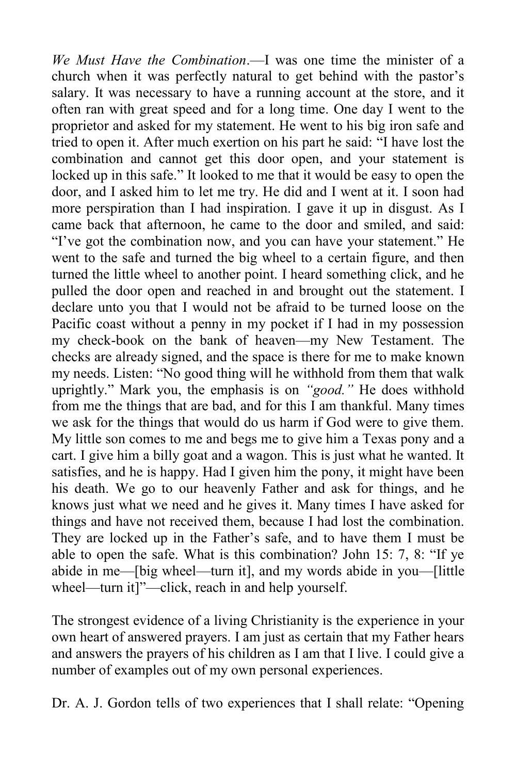*We Must Have the Combination*.—I was one time the minister of a church when it was perfectly natural to get behind with the pastor's salary. It was necessary to have a running account at the store, and it often ran with great speed and for a long time. One day I went to the proprietor and asked for my statement. He went to his big iron safe and tried to open it. After much exertion on his part he said: "I have lost the combination and cannot get this door open, and your statement is locked up in this safe." It looked to me that it would be easy to open the door, and I asked him to let me try. He did and I went at it. I soon had more perspiration than I had inspiration. I gave it up in disgust. As I came back that afternoon, he came to the door and smiled, and said: "I've got the combination now, and you can have your statement." He went to the safe and turned the big wheel to a certain figure, and then turned the little wheel to another point. I heard something click, and he pulled the door open and reached in and brought out the statement. I declare unto you that I would not be afraid to be turned loose on the Pacific coast without a penny in my pocket if I had in my possession my check-book on the bank of heaven—my New Testament. The checks are already signed, and the space is there for me to make known my needs. Listen: "No good thing will he withhold from them that walk uprightly." Mark you, the emphasis is on *"good."* He does withhold from me the things that are bad, and for this I am thankful. Many times we ask for the things that would do us harm if God were to give them. My little son comes to me and begs me to give him a Texas pony and a cart. I give him a billy goat and a wagon. This is just what he wanted. It satisfies, and he is happy. Had I given him the pony, it might have been his death. We go to our heavenly Father and ask for things, and he knows just what we need and he gives it. Many times I have asked for things and have not received them, because I had lost the combination. They are locked up in the Father's safe, and to have them I must be able to open the safe. What is this combination? John 15: 7, 8: "If ye abide in me—[big wheel—turn it], and my words abide in you—[little wheel—turn it]"—click, reach in and help yourself.

The strongest evidence of a living Christianity is the experience in your own heart of answered prayers. I am just as certain that my Father hears and answers the prayers of his children as I am that I live. I could give a number of examples out of my own personal experiences.

Dr. A. J. Gordon tells of two experiences that I shall relate: "Opening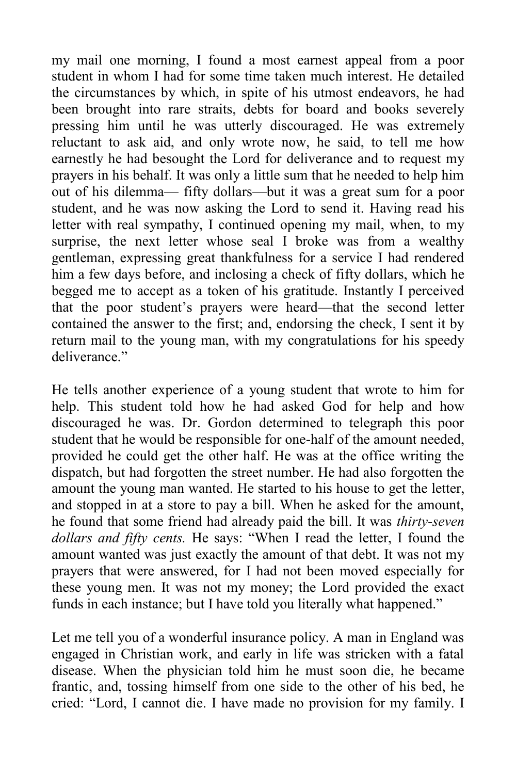my mail one morning, I found a most earnest appeal from a poor student in whom I had for some time taken much interest. He detailed the circumstances by which, in spite of his utmost endeavors, he had been brought into rare straits, debts for board and books severely pressing him until he was utterly discouraged. He was extremely reluctant to ask aid, and only wrote now, he said, to tell me how earnestly he had besought the Lord for deliverance and to request my prayers in his behalf. It was only a little sum that he needed to help him out of his dilemma— fifty dollars—but it was a great sum for a poor student, and he was now asking the Lord to send it. Having read his letter with real sympathy, I continued opening my mail, when, to my surprise, the next letter whose seal I broke was from a wealthy gentleman, expressing great thankfulness for a service I had rendered him a few days before, and inclosing a check of fifty dollars, which he begged me to accept as a token of his gratitude. Instantly I perceived that the poor student's prayers were heard—that the second letter contained the answer to the first; and, endorsing the check, I sent it by return mail to the young man, with my congratulations for his speedy deliverance"

He tells another experience of a young student that wrote to him for help. This student told how he had asked God for help and how discouraged he was. Dr. Gordon determined to telegraph this poor student that he would be responsible for one-half of the amount needed, provided he could get the other half. He was at the office writing the dispatch, but had forgotten the street number. He had also forgotten the amount the young man wanted. He started to his house to get the letter, and stopped in at a store to pay a bill. When he asked for the amount, he found that some friend had already paid the bill. It was *thirty-seven dollars and fifty cents.* He says: "When I read the letter, I found the amount wanted was just exactly the amount of that debt. It was not my prayers that were answered, for I had not been moved especially for these young men. It was not my money; the Lord provided the exact funds in each instance; but I have told you literally what happened."

Let me tell you of a wonderful insurance policy. A man in England was engaged in Christian work, and early in life was stricken with a fatal disease. When the physician told him he must soon die, he became frantic, and, tossing himself from one side to the other of his bed, he cried: "Lord, I cannot die. I have made no provision for my family. I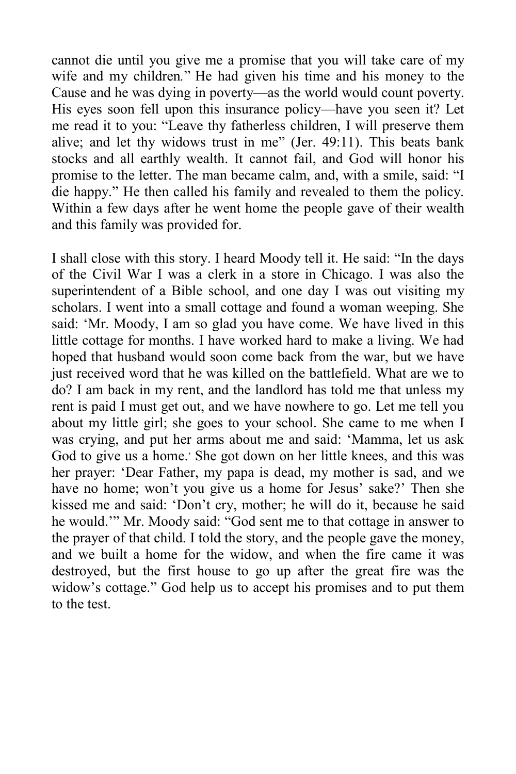cannot die until you give me a promise that you will take care of my wife and my children*.*" He had given his time and his money to the Cause and he was dying in poverty—as the world would count poverty. His eyes soon fell upon this insurance policy—have you seen it? Let me read it to you: "Leave thy fatherless children, I will preserve them alive; and let thy widows trust in me" (Jer. 49:11). This beats bank stocks and all earthly wealth. It cannot fail, and God will honor his promise to the letter. The man became calm, and, with a smile, said: "I die happy." He then called his family and revealed to them the policy. Within a few days after he went home the people gave of their wealth and this family was provided for.

I shall close with this story. I heard Moody tell it. He said: "In the days of the Civil War I was a clerk in a store in Chicago. I was also the superintendent of a Bible school, and one day I was out visiting my scholars. I went into a small cottage and found a woman weeping. She said: 'Mr. Moody, I am so glad you have come. We have lived in this little cottage for months. I have worked hard to make a living. We had hoped that husband would soon come back from the war, but we have just received word that he was killed on the battlefield. What are we to do? I am back in my rent, and the landlord has told me that unless my rent is paid I must get out, and we have nowhere to go. Let me tell you about my little girl; she goes to your school. She came to me when I was crying, and put her arms about me and said: 'Mamma, let us ask God to give us a home.' She got down on her little knees, and this was her prayer: 'Dear Father, my papa is dead, my mother is sad, and we have no home; won't you give us a home for Jesus' sake?' Then she kissed me and said: 'Don't cry, mother; he will do it, because he said he would.'" Mr. Moody said: "God sent me to that cottage in answer to the prayer of that child. I told the story, and the people gave the money, and we built a home for the widow, and when the fire came it was destroyed, but the first house to go up after the great fire was the widow's cottage." God help us to accept his promises and to put them to the test.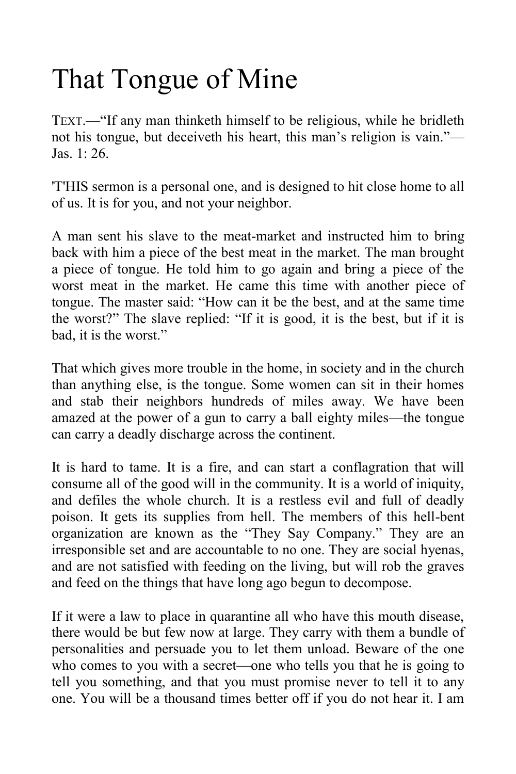# That Tongue of Mine

TEXT.—"If any man thinketh himself to be religious, while he bridleth not his tongue, but deceiveth his heart, this man's religion is vain."— Jas. 1: 26.

'T'HIS sermon is a personal one, and is designed to hit close home to all of us. It is for you, and not your neighbor.

A man sent his slave to the meat-market and instructed him to bring back with him a piece of the best meat in the market. The man brought a piece of tongue. He told him to go again and bring a piece of the worst meat in the market. He came this time with another piece of tongue. The master said: "How can it be the best, and at the same time the worst?" The slave replied: "If it is good, it is the best, but if it is bad, it is the worst."

That which gives more trouble in the home, in society and in the church than anything else, is the tongue. Some women can sit in their homes and stab their neighbors hundreds of miles away. We have been amazed at the power of a gun to carry a ball eighty miles—the tongue can carry a deadly discharge across the continent.

It is hard to tame. It is a fire, and can start a conflagration that will consume all of the good will in the community. It is a world of iniquity, and defiles the whole church. It is a restless evil and full of deadly poison. It gets its supplies from hell. The members of this hell-bent organization are known as the "They Say Company." They are an irresponsible set and are accountable to no one. They are social hyenas, and are not satisfied with feeding on the living, but will rob the graves and feed on the things that have long ago begun to decompose.

If it were a law to place in quarantine all who have this mouth disease, there would be but few now at large. They carry with them a bundle of personalities and persuade you to let them unload. Beware of the one who comes to you with a secret—one who tells you that he is going to tell you something, and that you must promise never to tell it to any one. You will be a thousand times better off if you do not hear it. I am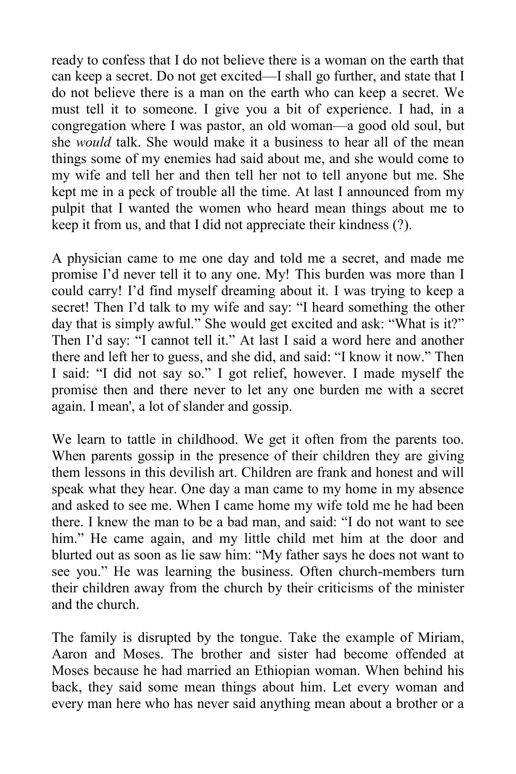ready to confess that I do not believe there is a woman on the earth that can keep a secret. Do not get excited—I shall go further, and state that I do not believe there is a man on the earth who can keep a secret. We must tell it to someone. I give you a bit of experience. I had, in a congregation where I was pastor, an old woman—a good old soul, but she *would* talk. She would make it a business to hear all of the mean things some of my enemies had said about me, and she would come to my wife and tell her and then tell her not to tell anyone but me. She kept me in a peck of trouble all the time. At last I announced from my pulpit that I wanted the women who heard mean things about me to keep it from us, and that I did not appreciate their kindness (?).

A physician came to me one day and told me a secret, and made me promise I'd never tell it to any one. My! This burden was more than I could carry! I'd find myself dreaming about it. I was trying to keep a secret! Then I'd talk to my wife and say: "I heard something the other day that is simply awful." She would get excited and ask: "What is it?" Then I'd say: "I cannot tell it." At last I said a word here and another there and left her to guess, and she did, and said: "I know it now." Then I said: "I did not say so." I got relief, however. I made myself the promise then and there never to let any one burden me with a secret again. I mean', a lot of slander and gossip.

We learn to tattle in childhood. We get it often from the parents too. When parents gossip in the presence of their children they are giving them lessons in this devilish art. Children are frank and honest and will speak what they hear. One day a man came to my home in my absence and asked to see me. When I came home my wife told me he had been there. I knew the man to be a bad man, and said: "I do not want to see him." He came again, and my little child met him at the door and blurted out as soon as lie saw him: "My father says he does not want to see you." He was learning the business. Often church-members turn their children away from the church by their criticisms of the minister and the church.

The family is disrupted by the tongue. Take the example of Miriam, Aaron and Moses. The brother and sister had become offended at Moses because he had married an Ethiopian woman. When behind his back, they said some mean things about him. Let every woman and every man here who has never said anything mean about a brother or a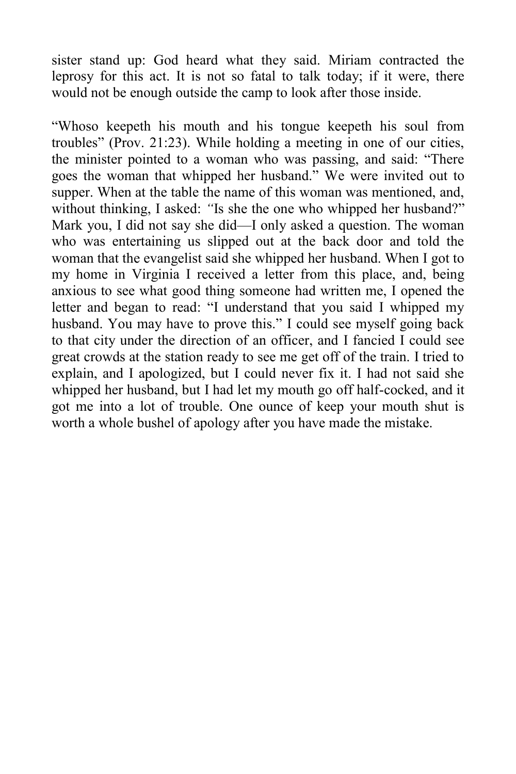sister stand up: God heard what they said. Miriam contracted the leprosy for this act. It is not so fatal to talk today; if it were, there would not be enough outside the camp to look after those inside.

"Whoso keepeth his mouth and his tongue keepeth his soul from troubles" (Prov. 21:23). While holding a meeting in one of our cities, the minister pointed to a woman who was passing, and said: "There goes the woman that whipped her husband." We were invited out to supper. When at the table the name of this woman was mentioned, and, without thinking, I asked: "Is she the one who whipped her husband?" Mark you, I did not say she did—I only asked a question. The woman who was entertaining us slipped out at the back door and told the woman that the evangelist said she whipped her husband. When I got to my home in Virginia I received a letter from this place, and, being anxious to see what good thing someone had written me, I opened the letter and began to read: "I understand that you said I whipped my husband. You may have to prove this." I could see myself going back to that city under the direction of an officer, and I fancied I could see great crowds at the station ready to see me get off of the train. I tried to explain, and I apologized, but I could never fix it. I had not said she whipped her husband, but I had let my mouth go off half-cocked, and it got me into a lot of trouble. One ounce of keep your mouth shut is worth a whole bushel of apology after you have made the mistake.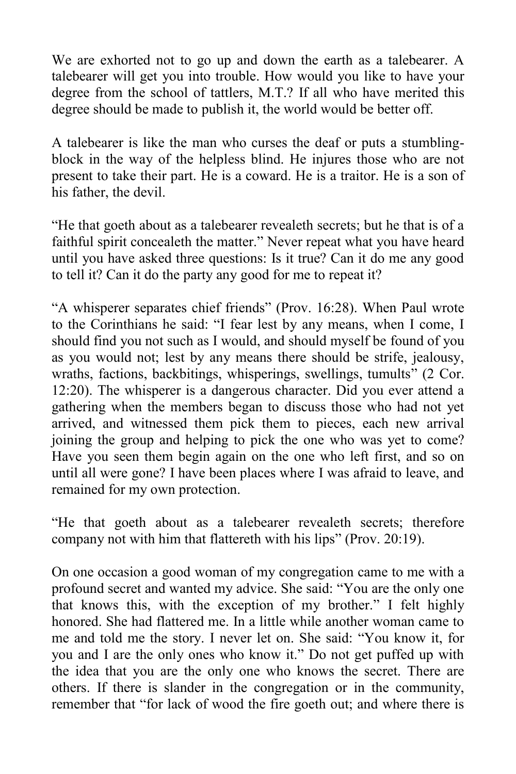We are exhorted not to go up and down the earth as a talebearer. A talebearer will get you into trouble. How would you like to have your degree from the school of tattlers, M.T.? If all who have merited this degree should be made to publish it, the world would be better off.

A talebearer is like the man who curses the deaf or puts a stumblingblock in the way of the helpless blind. He injures those who are not present to take their part. He is a coward. He is a traitor. He is a son of his father, the devil.

"He that goeth about as a talebearer revealeth secrets; but he that is of a faithful spirit concealeth the matter." Never repeat what you have heard until you have asked three questions: Is it true? Can it do me any good to tell it? Can it do the party any good for me to repeat it?

"A whisperer separates chief friends" (Prov. 16:28). When Paul wrote to the Corinthians he said: "I fear lest by any means, when I come, I should find you not such as I would, and should myself be found of you as you would not; lest by any means there should be strife, jealousy, wraths, factions, backbitings, whisperings, swellings, tumults" (2 Cor. 12:20). The whisperer is a dangerous character. Did you ever attend a gathering when the members began to discuss those who had not yet arrived, and witnessed them pick them to pieces, each new arrival joining the group and helping to pick the one who was yet to come? Have you seen them begin again on the one who left first, and so on until all were gone? I have been places where I was afraid to leave, and remained for my own protection.

"He that goeth about as a talebearer revealeth secrets; therefore company not with him that flattereth with his lips" (Prov. 20:19).

On one occasion a good woman of my congregation came to me with a profound secret and wanted my advice. She said: "You are the only one that knows this, with the exception of my brother." I felt highly honored. She had flattered me. In a little while another woman came to me and told me the story. I never let on. She said: "You know it, for you and I are the only ones who know it." Do not get puffed up with the idea that you are the only one who knows the secret. There are others. If there is slander in the congregation or in the community, remember that "for lack of wood the fire goeth out; and where there is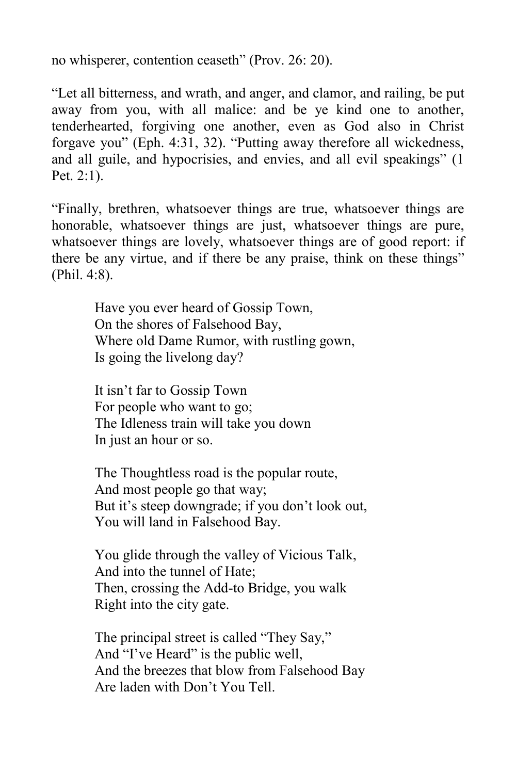no whisperer, contention ceaseth" (Prov. 26: 20).

"Let all bitterness, and wrath, and anger, and clamor, and railing, be put away from you, with all malice: and be ye kind one to another, tenderhearted, forgiving one another, even as God also in Christ forgave you" (Eph. 4:31, 32). "Putting away therefore all wickedness, and all guile, and hypocrisies, and envies, and all evil speakings" (1 Pet. 2:1).

"Finally, brethren, whatsoever things are true, whatsoever things are honorable, whatsoever things are just, whatsoever things are pure, whatsoever things are lovely, whatsoever things are of good report: if there be any virtue, and if there be any praise, think on these things" (Phil. 4:8).

> Have you ever heard of Gossip Town, On the shores of Falsehood Bay, Where old Dame Rumor, with rustling gown, Is going the livelong day?

It isn't far to Gossip Town For people who want to go; The Idleness train will take you down In just an hour or so.

The Thoughtless road is the popular route, And most people go that way; But it's steep downgrade; if you don't look out, You will land in Falsehood Bay.

You glide through the valley of Vicious Talk, And into the tunnel of Hate; Then, crossing the Add-to Bridge, you walk Right into the city gate.

The principal street is called "They Say," And "I've Heard" is the public well, And the breezes that blow from Falsehood Bay Are laden with Don't You Tell.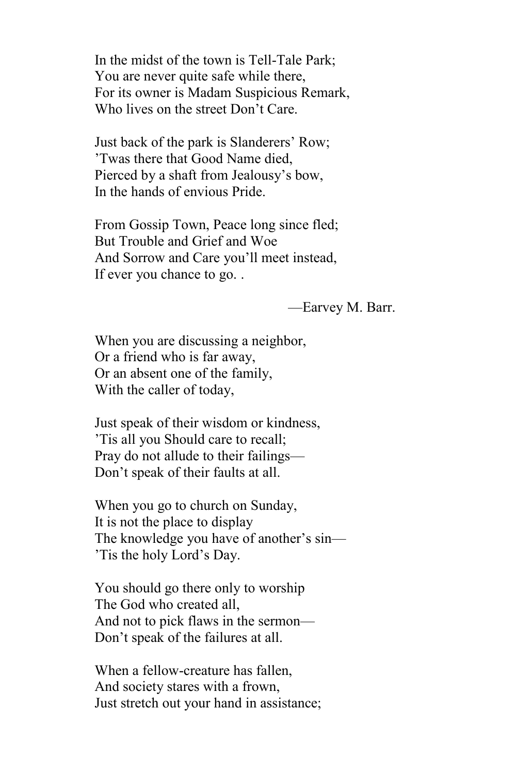In the midst of the town is Tell-Tale Park; You are never quite safe while there, For its owner is Madam Suspicious Remark, Who lives on the street Don't Care.

Just back of the park is Slanderers' Row; 'Twas there that Good Name died, Pierced by a shaft from Jealousy's bow, In the hands of envious Pride.

From Gossip Town, Peace long since fled; But Trouble and Grief and Woe And Sorrow and Care you'll meet instead, If ever you chance to go. .

—Earvey M. Barr.

When you are discussing a neighbor, Or a friend who is far away, Or an absent one of the family, With the caller of today,

Just speak of their wisdom or kindness, 'Tis all you Should care to recall; Pray do not allude to their failings— Don't speak of their faults at all.

When you go to church on Sunday, It is not the place to display The knowledge you have of another's sin— 'Tis the holy Lord's Day.

You should go there only to worship The God who created all, And not to pick flaws in the sermon— Don't speak of the failures at all.

When a fellow-creature has fallen, And society stares with a frown, Just stretch out your hand in assistance;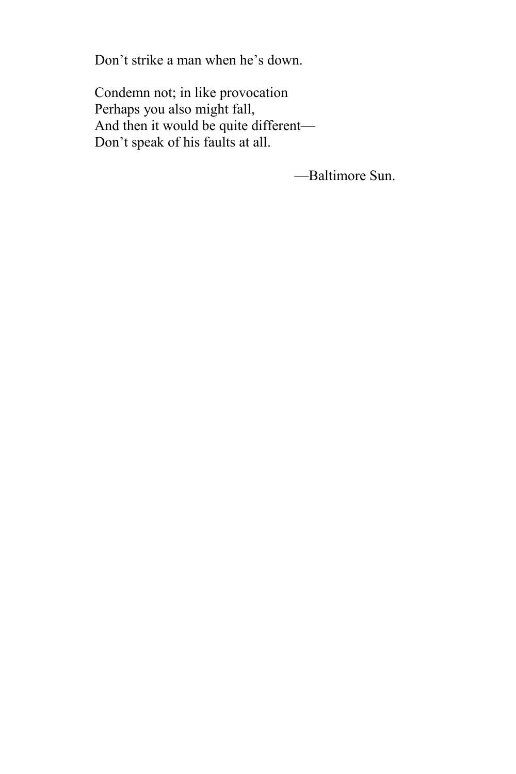Don't strike a man when he's down.

Condemn not; in like provocation Perhaps you also might fall, And then it would be quite different— Don't speak of his faults at all.

—Baltimore Sun.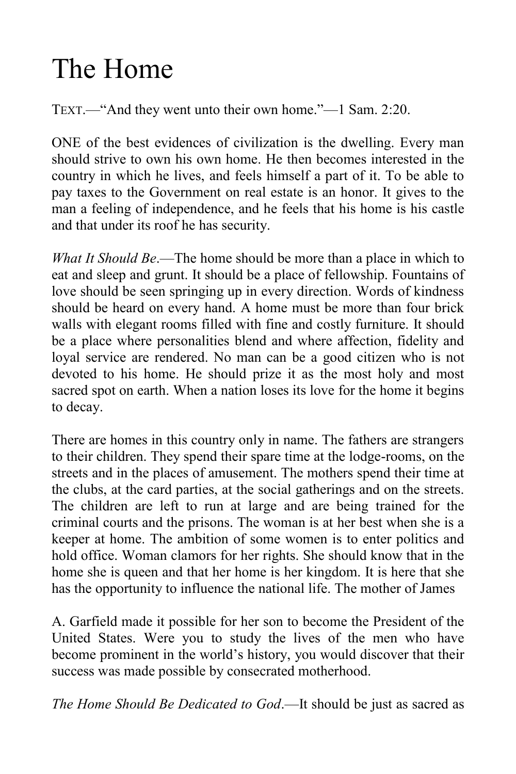# The Home

TEXT.—"And they went unto their own home."—1 Sam. 2:20.

ONE of the best evidences of civilization is the dwelling. Every man should strive to own his own home. He then becomes interested in the country in which he lives, and feels himself a part of it. To be able to pay taxes to the Government on real estate is an honor. It gives to the man a feeling of independence, and he feels that his home is his castle and that under its roof he has security.

*What It Should Be*.—The home should be more than a place in which to eat and sleep and grunt. It should be a place of fellowship. Fountains of love should be seen springing up in every direction. Words of kindness should be heard on every hand. A home must be more than four brick walls with elegant rooms filled with fine and costly furniture. It should be a place where personalities blend and where affection, fidelity and loyal service are rendered. No man can be a good citizen who is not devoted to his home. He should prize it as the most holy and most sacred spot on earth. When a nation loses its love for the home it begins to decay.

There are homes in this country only in name. The fathers are strangers to their children. They spend their spare time at the lodge-rooms, on the streets and in the places of amusement. The mothers spend their time at the clubs, at the card parties, at the social gatherings and on the streets. The children are left to run at large and are being trained for the criminal courts and the prisons. The woman is at her best when she is a keeper at home. The ambition of some women is to enter politics and hold office. Woman clamors for her rights. She should know that in the home she is queen and that her home is her kingdom. It is here that she has the opportunity to influence the national life. The mother of James

A. Garfield made it possible for her son to become the President of the United States. Were you to study the lives of the men who have become prominent in the world's history, you would discover that their success was made possible by consecrated motherhood.

*The Home Should Be Dedicated to God*.—It should be just as sacred as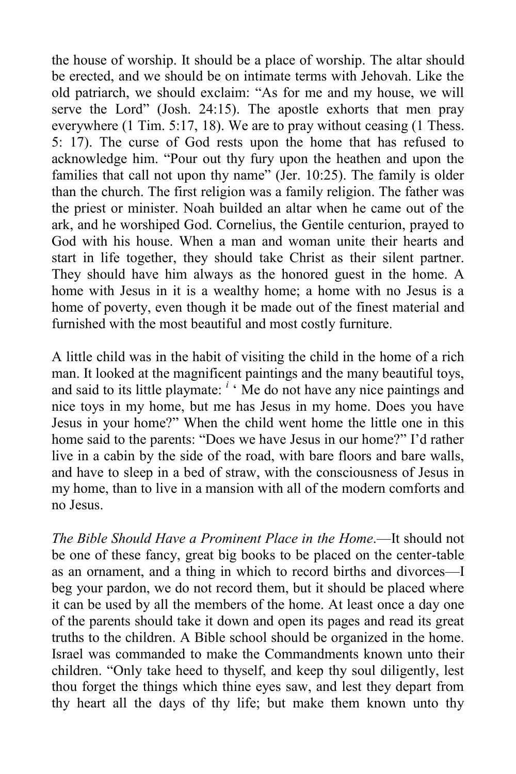the house of worship. It should be a place of worship. The altar should be erected, and we should be on intimate terms with Jehovah. Like the old patriarch, we should exclaim: "As for me and my house, we will serve the Lord" (Josh. 24:15). The apostle exhorts that men pray everywhere (1 Tim. 5:17, 18). We are to pray without ceasing (1 Thess. 5: 17). The curse of God rests upon the home that has refused to acknowledge him. "Pour out thy fury upon the heathen and upon the families that call not upon thy name" (Jer. 10:25). The family is older than the church. The first religion was a family religion. The father was the priest or minister. Noah builded an altar when he came out of the ark, and he worshiped God. Cornelius, the Gentile centurion, prayed to God with his house. When a man and woman unite their hearts and start in life together, they should take Christ as their silent partner. They should have him always as the honored guest in the home. A home with Jesus in it is a wealthy home; a home with no Jesus is a home of poverty, even though it be made out of the finest material and furnished with the most beautiful and most costly furniture.

A little child was in the habit of visiting the child in the home of a rich man. It looked at the magnificent paintings and the many beautiful toys, and said to its little playmate: <sup>*i*</sup> Me do not have any nice paintings and nice toys in my home, but me has Jesus in my home. Does you have Jesus in your home?" When the child went home the little one in this home said to the parents: "Does we have Jesus in our home?" I'd rather live in a cabin by the side of the road, with bare floors and bare walls, and have to sleep in a bed of straw, with the consciousness of Jesus in my home, than to live in a mansion with all of the modern comforts and no Jesus.

*The Bible Should Have a Prominent Place in the Home*.—It should not be one of these fancy, great big books to be placed on the center-table as an ornament, and a thing in which to record births and divorces—I beg your pardon, we do not record them, but it should be placed where it can be used by all the members of the home. At least once a day one of the parents should take it down and open its pages and read its great truths to the children. A Bible school should be organized in the home. Israel was commanded to make the Commandments known unto their children. "Only take heed to thyself, and keep thy soul diligently, lest thou forget the things which thine eyes saw, and lest they depart from thy heart all the days of thy life; but make them known unto thy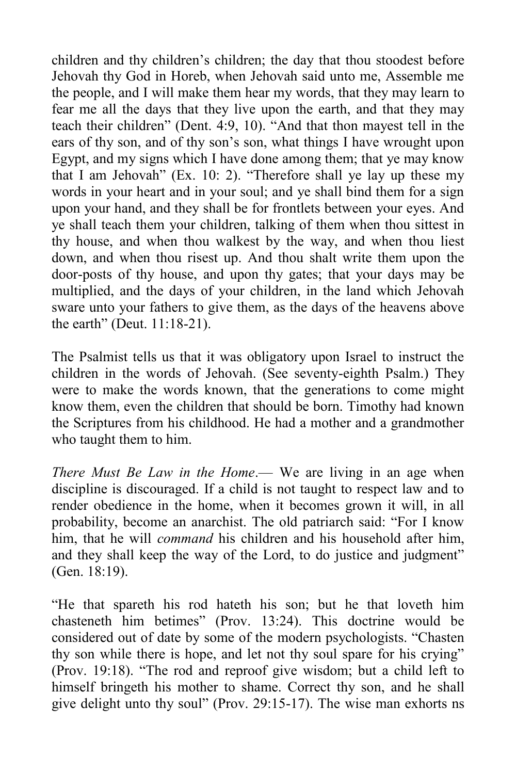children and thy children's children; the day that thou stoodest before Jehovah thy God in Horeb, when Jehovah said unto me, Assemble me the people, and I will make them hear my words, that they may learn to fear me all the days that they live upon the earth, and that they may teach their children" (Dent. 4:9, 10). "And that thon mayest tell in the ears of thy son, and of thy son's son, what things I have wrought upon Egypt, and my signs which I have done among them; that ye may know that I am Jehovah" (Ex. 10: 2). "Therefore shall ye lay up these my words in your heart and in your soul; and ye shall bind them for a sign upon your hand, and they shall be for frontlets between your eyes. And ye shall teach them your children, talking of them when thou sittest in thy house, and when thou walkest by the way, and when thou liest down, and when thou risest up. And thou shalt write them upon the door-posts of thy house, and upon thy gates; that your days may be multiplied, and the days of your children, in the land which Jehovah sware unto your fathers to give them, as the days of the heavens above the earth" (Deut. 11:18-21).

The Psalmist tells us that it was obligatory upon Israel to instruct the children in the words of Jehovah. (See seventy-eighth Psalm.) They were to make the words known, that the generations to come might know them, even the children that should be born. Timothy had known the Scriptures from his childhood. He had a mother and a grandmother who taught them to him.

*There Must Be Law in the Home*.— We are living in an age when discipline is discouraged. If a child is not taught to respect law and to render obedience in the home, when it becomes grown it will, in all probability, become an anarchist. The old patriarch said: "For I know him, that he will *command* his children and his household after him, and they shall keep the way of the Lord, to do justice and judgment" (Gen. 18:19).

"He that spareth his rod hateth his son; but he that loveth him chasteneth him betimes" (Prov. 13:24). This doctrine would be considered out of date by some of the modern psychologists. "Chasten thy son while there is hope, and let not thy soul spare for his crying" (Prov. 19:18). "The rod and reproof give wisdom; but a child left to himself bringeth his mother to shame. Correct thy son, and he shall give delight unto thy soul" (Prov. 29:15-17). The wise man exhorts ns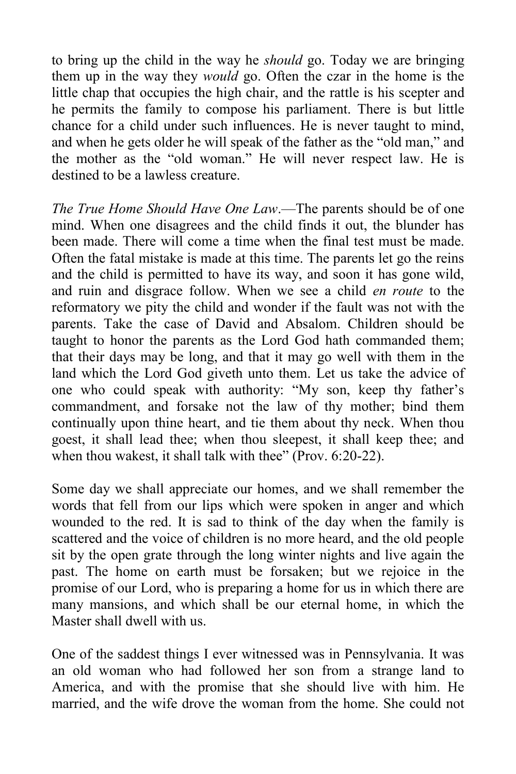to bring up the child in the way he *should* go. Today we are bringing them up in the way they *would* go. Often the czar in the home is the little chap that occupies the high chair, and the rattle is his scepter and he permits the family to compose his parliament. There is but little chance for a child under such influences. He is never taught to mind, and when he gets older he will speak of the father as the "old man," and the mother as the "old woman." He will never respect law. He is destined to be a lawless creature.

*The True Home Should Have One Law*.—The parents should be of one mind. When one disagrees and the child finds it out, the blunder has been made. There will come a time when the final test must be made. Often the fatal mistake is made at this time. The parents let go the reins and the child is permitted to have its way, and soon it has gone wild, and ruin and disgrace follow. When we see a child *en route* to the reformatory we pity the child and wonder if the fault was not with the parents. Take the case of David and Absalom. Children should be taught to honor the parents as the Lord God hath commanded them; that their days may be long, and that it may go well with them in the land which the Lord God giveth unto them. Let us take the advice of one who could speak with authority: "My son, keep thy father's commandment, and forsake not the law of thy mother; bind them continually upon thine heart, and tie them about thy neck. When thou goest, it shall lead thee; when thou sleepest, it shall keep thee; and when thou wakest, it shall talk with thee" (Prov. 6:20-22).

Some day we shall appreciate our homes, and we shall remember the words that fell from our lips which were spoken in anger and which wounded to the red. It is sad to think of the day when the family is scattered and the voice of children is no more heard, and the old people sit by the open grate through the long winter nights and live again the past. The home on earth must be forsaken; but we rejoice in the promise of our Lord, who is preparing a home for us in which there are many mansions, and which shall be our eternal home, in which the Master shall dwell with us.

One of the saddest things I ever witnessed was in Pennsylvania. It was an old woman who had followed her son from a strange land to America, and with the promise that she should live with him. He married, and the wife drove the woman from the home. She could not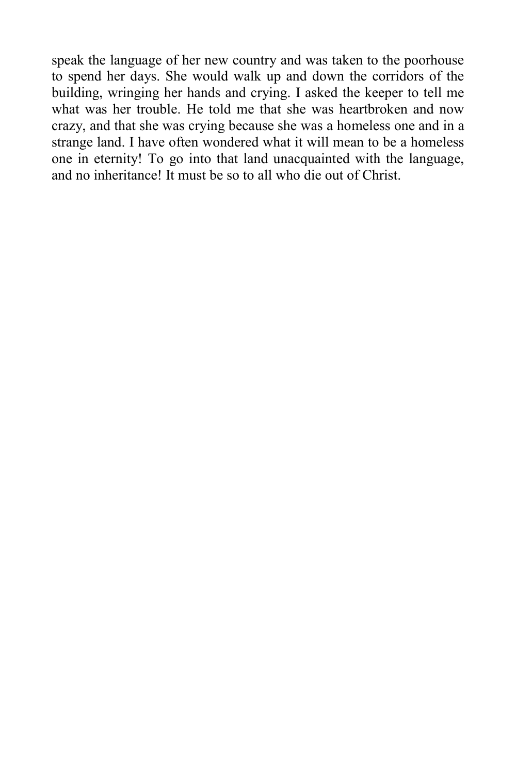speak the language of her new country and was taken to the poorhouse to spend her days. She would walk up and down the corridors of the building, wringing her hands and crying. I asked the keeper to tell me what was her trouble. He told me that she was heartbroken and now crazy, and that she was crying because she was a homeless one and in a strange land. I have often wondered what it will mean to be a homeless one in eternity! To go into that land unacquainted with the language, and no inheritance! It must be so to all who die out of Christ.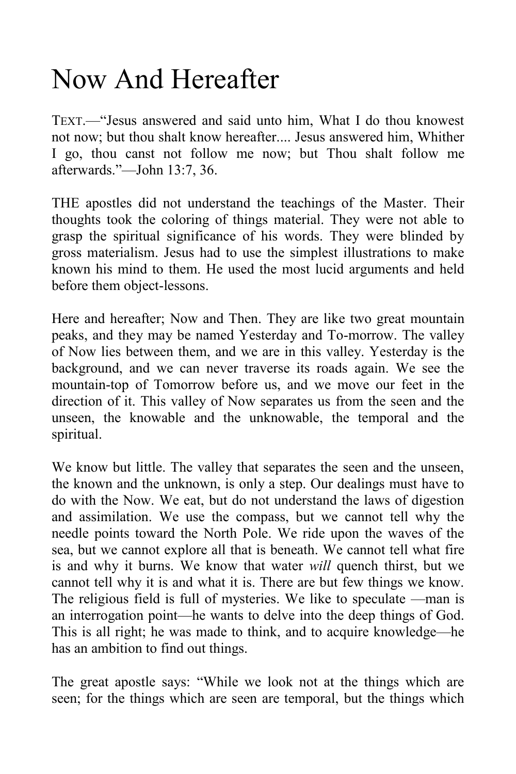#### Now And Hereafter

TEXT.—"Jesus answered and said unto him, What I do thou knowest not now; but thou shalt know hereafter.... Jesus answered him, Whither I go, thou canst not follow me now; but Thou shalt follow me afterwards."—John 13:7, 36.

THE apostles did not understand the teachings of the Master. Their thoughts took the coloring of things material. They were not able to grasp the spiritual significance of his words. They were blinded by gross materialism. Jesus had to use the simplest illustrations to make known his mind to them. He used the most lucid arguments and held before them object-lessons.

Here and hereafter; Now and Then. They are like two great mountain peaks, and they may be named Yesterday and To-morrow. The valley of Now lies between them, and we are in this valley. Yesterday is the background, and we can never traverse its roads again. We see the mountain-top of Tomorrow before us, and we move our feet in the direction of it. This valley of Now separates us from the seen and the unseen, the knowable and the unknowable, the temporal and the spiritual.

We know but little. The valley that separates the seen and the unseen, the known and the unknown, is only a step. Our dealings must have to do with the Now. We eat, but do not understand the laws of digestion and assimilation. We use the compass, but we cannot tell why the needle points toward the North Pole. We ride upon the waves of the sea, but we cannot explore all that is beneath. We cannot tell what fire is and why it burns. We know that water *will* quench thirst, but we cannot tell why it is and what it is. There are but few things we know. The religious field is full of mysteries. We like to speculate —man is an interrogation point—he wants to delve into the deep things of God. This is all right; he was made to think, and to acquire knowledge—he has an ambition to find out things.

The great apostle says: "While we look not at the things which are seen; for the things which are seen are temporal, but the things which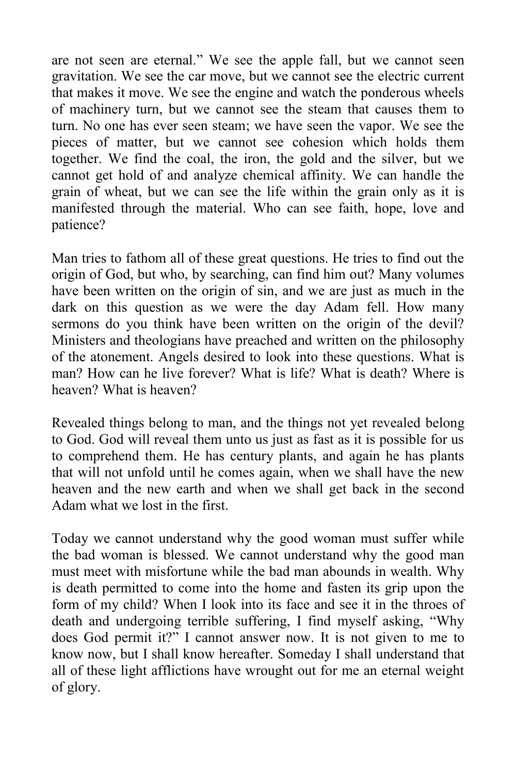are not seen are eternal." We see the apple fall, but we cannot seen gravitation. We see the car move, but we cannot see the electric current that makes it move. We see the engine and watch the ponderous wheels of machinery turn, but we cannot see the steam that causes them to turn. No one has ever seen steam; we have seen the vapor. We see the pieces of matter, but we cannot see cohesion which holds them together. We find the coal, the iron, the gold and the silver, but we cannot get hold of and analyze chemical affinity. We can handle the grain of wheat, but we can see the life within the grain only as it is manifested through the material. Who can see faith, hope, love and patience?

Man tries to fathom all of these great questions. He tries to find out the origin of God, but who, by searching, can find him out? Many volumes have been written on the origin of sin, and we are just as much in the dark on this question as we were the day Adam fell. How many sermons do you think have been written on the origin of the devil? Ministers and theologians have preached and written on the philosophy of the atonement. Angels desired to look into these questions. What is man? How can he live forever? What is life? What is death? Where is heaven? What is heaven?

Revealed things belong to man, and the things not yet revealed belong to God. God will reveal them unto us just as fast as it is possible for us to comprehend them. He has century plants, and again he has plants that will not unfold until he comes again, when we shall have the new heaven and the new earth and when we shall get back in the second Adam what we lost in the first.

Today we cannot understand why the good woman must suffer while the bad woman is blessed. We cannot understand why the good man must meet with misfortune while the bad man abounds in wealth. Why is death permitted to come into the home and fasten its grip upon the form of my child? When I look into its face and see it in the throes of death and undergoing terrible suffering, I find myself asking, "Why does God permit it?" I cannot answer now. It is not given to me to know now, but I shall know hereafter. Someday I shall understand that all of these light afflictions have wrought out for me an eternal weight of glory.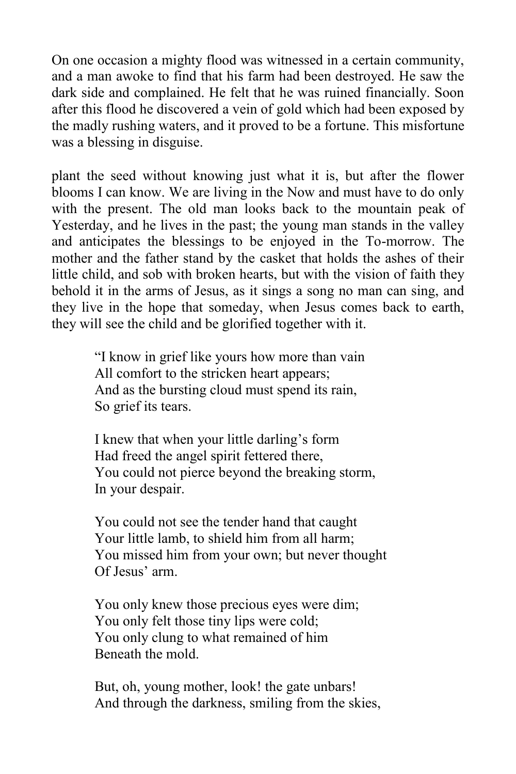On one occasion a mighty flood was witnessed in a certain community, and a man awoke to find that his farm had been destroyed. He saw the dark side and complained. He felt that he was ruined financially. Soon after this flood he discovered a vein of gold which had been exposed by the madly rushing waters, and it proved to be a fortune. This misfortune was a blessing in disguise.

plant the seed without knowing just what it is, but after the flower blooms I can know. We are living in the Now and must have to do only with the present. The old man looks back to the mountain peak of Yesterday, and he lives in the past; the young man stands in the valley and anticipates the blessings to be enjoyed in the To-morrow. The mother and the father stand by the casket that holds the ashes of their little child, and sob with broken hearts, but with the vision of faith they behold it in the arms of Jesus, as it sings a song no man can sing, and they live in the hope that someday, when Jesus comes back to earth, they will see the child and be glorified together with it.

> "I know in grief like yours how more than vain All comfort to the stricken heart appears; And as the bursting cloud must spend its rain, So grief its tears.

I knew that when your little darling's form Had freed the angel spirit fettered there, You could not pierce beyond the breaking storm, In your despair.

You could not see the tender hand that caught Your little lamb, to shield him from all harm; You missed him from your own; but never thought Of Jesus' arm.

You only knew those precious eyes were dim; You only felt those tiny lips were cold; You only clung to what remained of him Beneath the mold.

But, oh, young mother, look! the gate unbars! And through the darkness, smiling from the skies,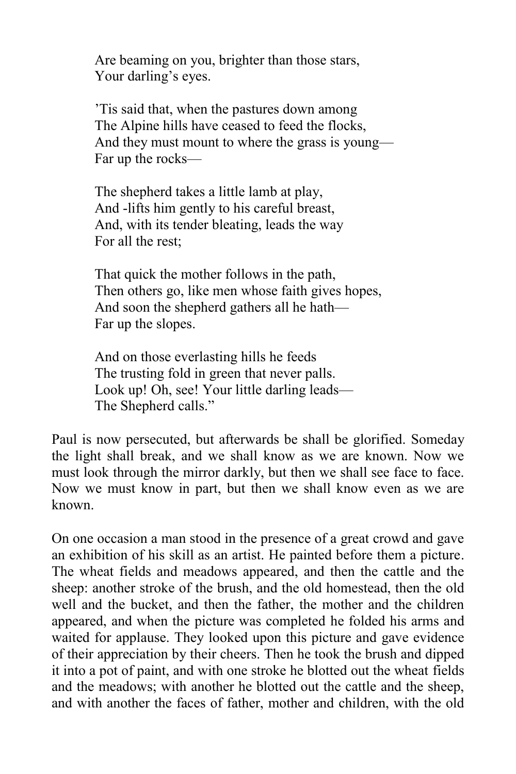Are beaming on you, brighter than those stars, Your darling's eyes.

'Tis said that, when the pastures down among The Alpine hills have ceased to feed the flocks, And they must mount to where the grass is young— Far up the rocks—

The shepherd takes a little lamb at play, And -lifts him gently to his careful breast, And, with its tender bleating, leads the way For all the rest;

That quick the mother follows in the path, Then others go, like men whose faith gives hopes, And soon the shepherd gathers all he hath— Far up the slopes.

And on those everlasting hills he feeds The trusting fold in green that never palls. Look up! Oh, see! Your little darling leads— The Shepherd calls."

Paul is now persecuted, but afterwards be shall be glorified. Someday the light shall break, and we shall know as we are known. Now we must look through the mirror darkly, but then we shall see face to face. Now we must know in part, but then we shall know even as we are known.

On one occasion a man stood in the presence of a great crowd and gave an exhibition of his skill as an artist. He painted before them a picture. The wheat fields and meadows appeared, and then the cattle and the sheep: another stroke of the brush, and the old homestead, then the old well and the bucket, and then the father, the mother and the children appeared, and when the picture was completed he folded his arms and waited for applause. They looked upon this picture and gave evidence of their appreciation by their cheers. Then he took the brush and dipped it into a pot of paint, and with one stroke he blotted out the wheat fields and the meadows; with another he blotted out the cattle and the sheep, and with another the faces of father, mother and children, with the old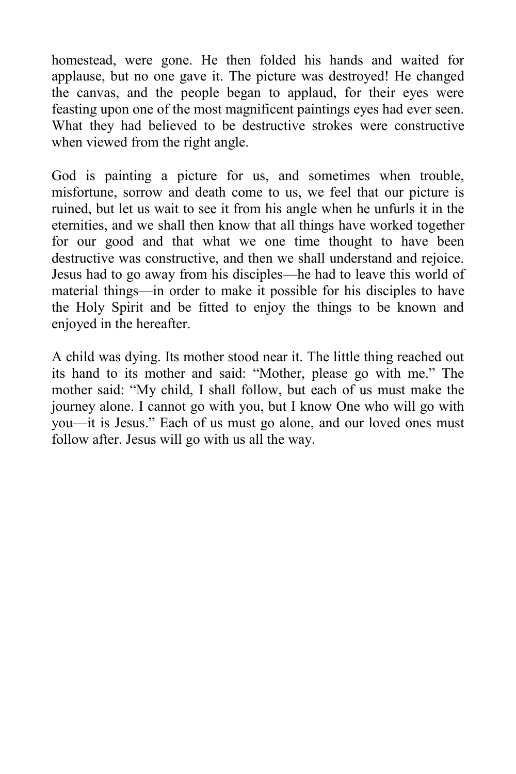homestead, were gone. He then folded his hands and waited for applause, but no one gave it. The picture was destroyed! He changed the canvas, and the people began to applaud, for their eyes were feasting upon one of the most magnificent paintings eyes had ever seen. What they had believed to be destructive strokes were constructive when viewed from the right angle.

God is painting a picture for us, and sometimes when trouble, misfortune, sorrow and death come to us, we feel that our picture is ruined, but let us wait to see it from his angle when he unfurls it in the eternities, and we shall then know that all things have worked together for our good and that what we one time thought to have been destructive was constructive, and then we shall understand and rejoice. Jesus had to go away from his disciples—he had to leave this world of material things—in order to make it possible for his disciples to have the Holy Spirit and be fitted to enjoy the things to be known and enjoyed in the hereafter.

A child was dying. Its mother stood near it. The little thing reached out its hand to its mother and said: "Mother, please go with me." The mother said: "My child, I shall follow, but each of us must make the journey alone. I cannot go with you, but I know One who will go with you—it is Jesus." Each of us must go alone, and our loved ones must follow after. Jesus will go with us all the way.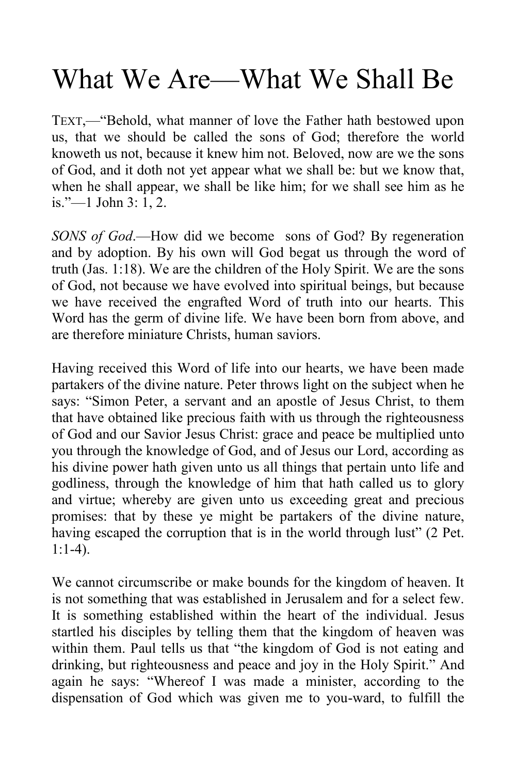## What We Are—What We Shall Be

TEXT,—"Behold, what manner of love the Father hath bestowed upon us, that we should be called the sons of God; therefore the world knoweth us not, because it knew him not. Beloved, now are we the sons of God, and it doth not yet appear what we shall be: but we know that, when he shall appear, we shall be like him; for we shall see him as he is."—1 John 3: 1, 2.

*SONS of God*.—How did we become sons of God? By regeneration and by adoption. By his own will God begat us through the word of truth (Jas. 1:18). We are the children of the Holy Spirit. We are the sons of God, not because we have evolved into spiritual beings, but because we have received the engrafted Word of truth into our hearts. This Word has the germ of divine life. We have been born from above, and are therefore miniature Christs, human saviors.

Having received this Word of life into our hearts, we have been made partakers of the divine nature. Peter throws light on the subject when he says: "Simon Peter, a servant and an apostle of Jesus Christ, to them that have obtained like precious faith with us through the righteousness of God and our Savior Jesus Christ: grace and peace be multiplied unto you through the knowledge of God, and of Jesus our Lord, according as his divine power hath given unto us all things that pertain unto life and godliness, through the knowledge of him that hath called us to glory and virtue; whereby are given unto us exceeding great and precious promises: that by these ye might be partakers of the divine nature, having escaped the corruption that is in the world through lust" (2 Pet. 1:1-4).

We cannot circumscribe or make bounds for the kingdom of heaven. It is not something that was established in Jerusalem and for a select few. It is something established within the heart of the individual. Jesus startled his disciples by telling them that the kingdom of heaven was within them. Paul tells us that "the kingdom of God is not eating and drinking, but righteousness and peace and joy in the Holy Spirit." And again he says: "Whereof I was made a minister, according to the dispensation of God which was given me to you-ward, to fulfill the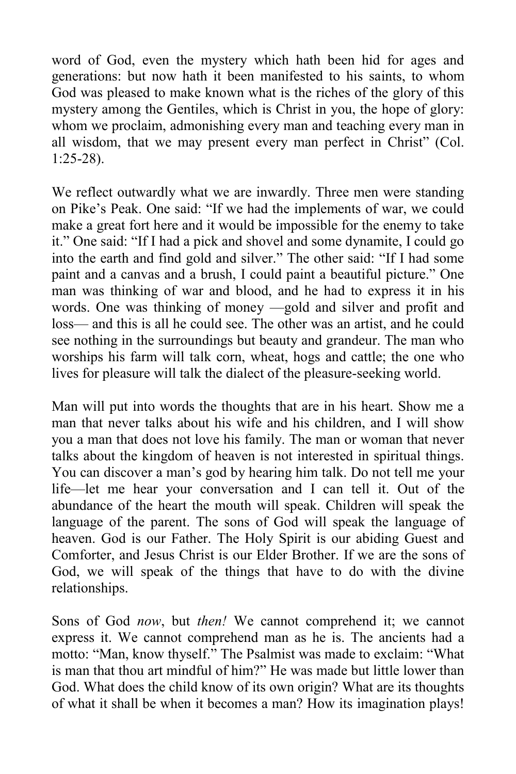word of God, even the mystery which hath been hid for ages and generations: but now hath it been manifested to his saints, to whom God was pleased to make known what is the riches of the glory of this mystery among the Gentiles, which is Christ in you, the hope of glory: whom we proclaim, admonishing every man and teaching every man in all wisdom, that we may present every man perfect in Christ" (Col. 1:25-28).

We reflect outwardly what we are inwardly. Three men were standing on Pike's Peak. One said: "If we had the implements of war, we could make a great fort here and it would be impossible for the enemy to take it." One said: "If I had a pick and shovel and some dynamite, I could go into the earth and find gold and silver." The other said: "If I had some paint and a canvas and a brush, I could paint a beautiful picture." One man was thinking of war and blood, and he had to express it in his words. One was thinking of money —gold and silver and profit and loss— and this is all he could see. The other was an artist, and he could see nothing in the surroundings but beauty and grandeur. The man who worships his farm will talk corn, wheat, hogs and cattle; the one who lives for pleasure will talk the dialect of the pleasure-seeking world.

Man will put into words the thoughts that are in his heart. Show me a man that never talks about his wife and his children, and I will show you a man that does not love his family. The man or woman that never talks about the kingdom of heaven is not interested in spiritual things. You can discover a man's god by hearing him talk. Do not tell me your life—let me hear your conversation and I can tell it. Out of the abundance of the heart the mouth will speak. Children will speak the language of the parent. The sons of God will speak the language of heaven. God is our Father. The Holy Spirit is our abiding Guest and Comforter, and Jesus Christ is our Elder Brother. If we are the sons of God, we will speak of the things that have to do with the divine relationships.

Sons of God *now*, but *then!* We cannot comprehend it; we cannot express it. We cannot comprehend man as he is. The ancients had a motto: "Man, know thyself." The Psalmist was made to exclaim: "What is man that thou art mindful of him?" He was made but little lower than God. What does the child know of its own origin? What are its thoughts of what it shall be when it becomes a man? How its imagination plays!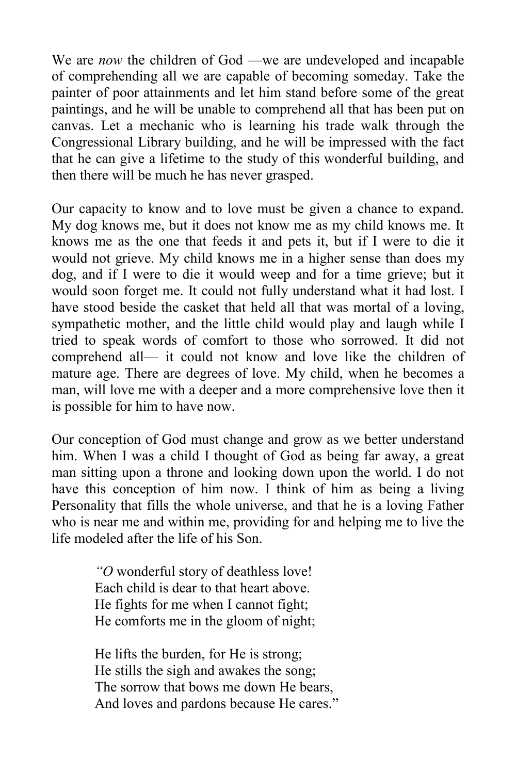We are *now* the children of God —we are undeveloped and incapable of comprehending all we are capable of becoming someday. Take the painter of poor attainments and let him stand before some of the great paintings, and he will be unable to comprehend all that has been put on canvas. Let a mechanic who is learning his trade walk through the Congressional Library building, and he will be impressed with the fact that he can give a lifetime to the study of this wonderful building, and then there will be much he has never grasped.

Our capacity to know and to love must be given a chance to expand. My dog knows me, but it does not know me as my child knows me. It knows me as the one that feeds it and pets it, but if I were to die it would not grieve. My child knows me in a higher sense than does my dog, and if I were to die it would weep and for a time grieve; but it would soon forget me. It could not fully understand what it had lost. I have stood beside the casket that held all that was mortal of a loving, sympathetic mother, and the little child would play and laugh while I tried to speak words of comfort to those who sorrowed. It did not comprehend all— it could not know and love like the children of mature age. There are degrees of love. My child, when he becomes a man, will love me with a deeper and a more comprehensive love then it is possible for him to have now.

Our conception of God must change and grow as we better understand him. When I was a child I thought of God as being far away, a great man sitting upon a throne and looking down upon the world. I do not have this conception of him now. I think of him as being a living Personality that fills the whole universe, and that he is a loving Father who is near me and within me, providing for and helping me to live the life modeled after the life of his Son.

> *"O* wonderful story of deathless love! Each child is dear to that heart above. He fights for me when I cannot fight; He comforts me in the gloom of night;

He lifts the burden, for He is strong; He stills the sigh and awakes the song; The sorrow that bows me down He bears, And loves and pardons because He cares."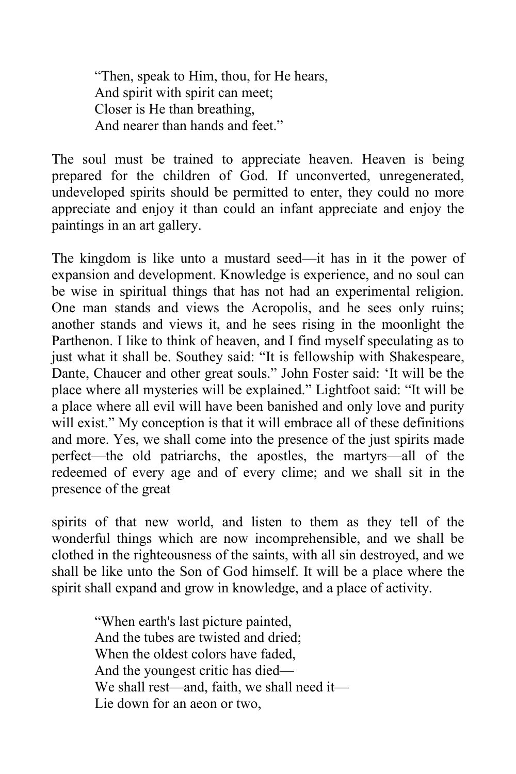"Then, speak to Him, thou, for He hears, And spirit with spirit can meet; Closer is He than breathing, And nearer than hands and feet."

The soul must be trained to appreciate heaven. Heaven is being prepared for the children of God. If unconverted, unregenerated, undeveloped spirits should be permitted to enter, they could no more appreciate and enjoy it than could an infant appreciate and enjoy the paintings in an art gallery.

The kingdom is like unto a mustard seed—it has in it the power of expansion and development. Knowledge is experience, and no soul can be wise in spiritual things that has not had an experimental religion. One man stands and views the Acropolis, and he sees only ruins; another stands and views it, and he sees rising in the moonlight the Parthenon. I like to think of heaven, and I find myself speculating as to just what it shall be. Southey said: "It is fellowship with Shakespeare, Dante, Chaucer and other great souls." John Foster said: 'It will be the place where all mysteries will be explained." Lightfoot said: "It will be a place where all evil will have been banished and only love and purity will exist." My conception is that it will embrace all of these definitions and more. Yes, we shall come into the presence of the just spirits made perfect—the old patriarchs, the apostles, the martyrs—all of the redeemed of every age and of every clime; and we shall sit in the presence of the great

spirits of that new world, and listen to them as they tell of the wonderful things which are now incomprehensible, and we shall be clothed in the righteousness of the saints, with all sin destroyed, and we shall be like unto the Son of God himself. It will be a place where the spirit shall expand and grow in knowledge, and a place of activity.

> "When earth's last picture painted, And the tubes are twisted and dried; When the oldest colors have faded. And the youngest critic has died— We shall rest—and, faith, we shall need it— Lie down for an aeon or two,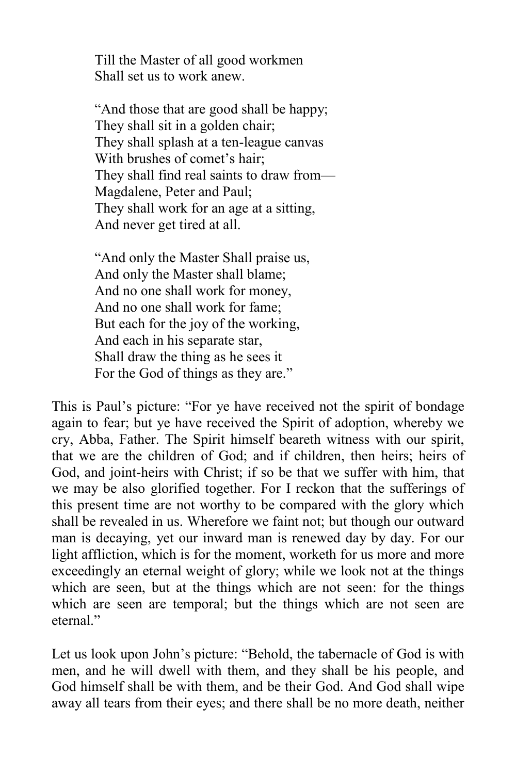Till the Master of all good workmen Shall set us to work anew.

"And those that are good shall be happy; They shall sit in a golden chair; They shall splash at a ten-league canvas With brushes of comet's hair: They shall find real saints to draw from— Magdalene, Peter and Paul; They shall work for an age at a sitting, And never get tired at all.

"And only the Master Shall praise us, And only the Master shall blame; And no one shall work for money, And no one shall work for fame; But each for the joy of the working, And each in his separate star, Shall draw the thing as he sees it For the God of things as they are."

This is Paul's picture: "For ye have received not the spirit of bondage again to fear; but ye have received the Spirit of adoption, whereby we cry, Abba, Father. The Spirit himself beareth witness with our spirit, that we are the children of God; and if children, then heirs; heirs of God, and joint-heirs with Christ; if so be that we suffer with him, that we may be also glorified together. For I reckon that the sufferings of this present time are not worthy to be compared with the glory which shall be revealed in us. Wherefore we faint not; but though our outward man is decaying, yet our inward man is renewed day by day. For our light affliction, which is for the moment, worketh for us more and more exceedingly an eternal weight of glory; while we look not at the things which are seen, but at the things which are not seen: for the things which are seen are temporal; but the things which are not seen are eternal<sup>"</sup>

Let us look upon John's picture: "Behold, the tabernacle of God is with men, and he will dwell with them, and they shall be his people, and God himself shall be with them, and be their God. And God shall wipe away all tears from their eyes; and there shall be no more death, neither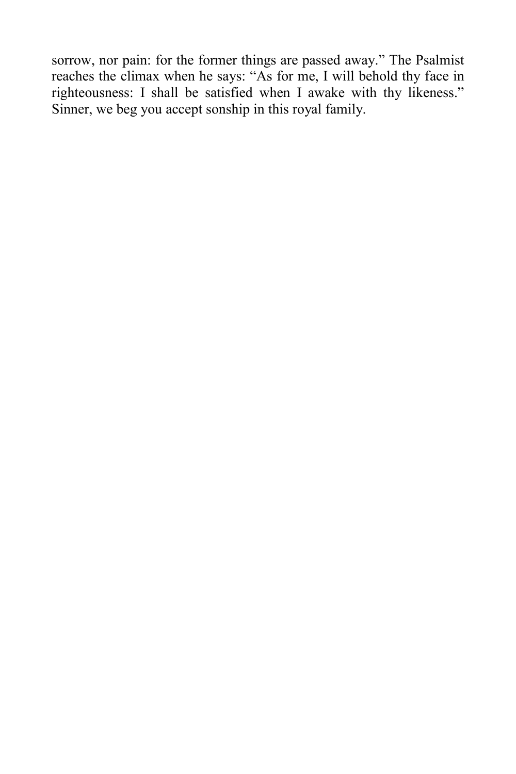sorrow, nor pain: for the former things are passed away." The Psalmist reaches the climax when he says: "As for me, I will behold thy face in righteousness: I shall be satisfied when I awake with thy likeness." Sinner, we beg you accept sonship in this royal family.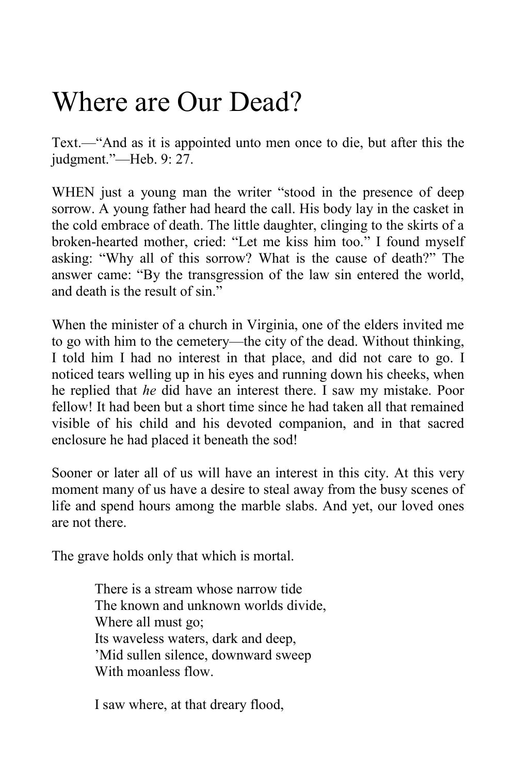## Where are Our Dead?

Text.—"And as it is appointed unto men once to die, but after this the judgment."—Heb. 9: 27.

WHEN just a young man the writer "stood in the presence of deep sorrow. A young father had heard the call. His body lay in the casket in the cold embrace of death. The little daughter, clinging to the skirts of a broken-hearted mother, cried: "Let me kiss him too." I found myself asking: "Why all of this sorrow? What is the cause of death?" The answer came: "By the transgression of the law sin entered the world, and death is the result of sin."

When the minister of a church in Virginia, one of the elders invited me to go with him to the cemetery—the city of the dead. Without thinking, I told him I had no interest in that place, and did not care to go. I noticed tears welling up in his eyes and running down his cheeks, when he replied that *he* did have an interest there. I saw my mistake. Poor fellow! It had been but a short time since he had taken all that remained visible of his child and his devoted companion, and in that sacred enclosure he had placed it beneath the sod!

Sooner or later all of us will have an interest in this city. At this very moment many of us have a desire to steal away from the busy scenes of life and spend hours among the marble slabs. And yet, our loved ones are not there.

The grave holds only that which is mortal.

There is a stream whose narrow tide The known and unknown worlds divide, Where all must go; Its waveless waters, dark and deep, 'Mid sullen silence, downward sweep With moanless flow.

I saw where, at that dreary flood,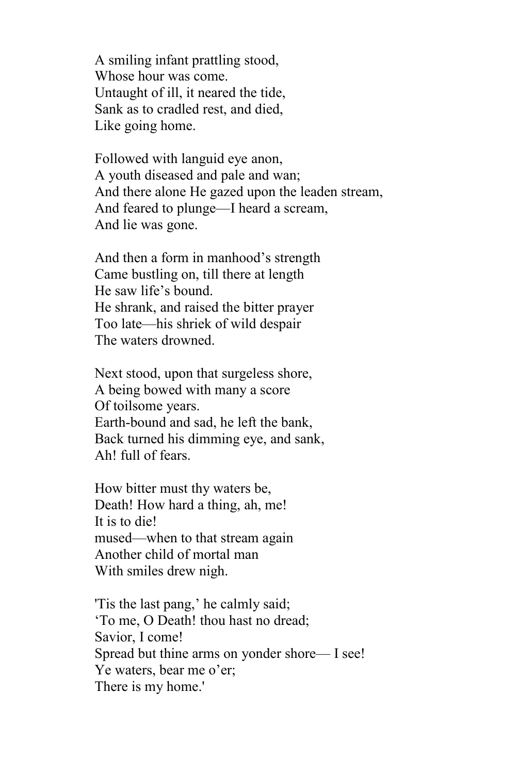A smiling infant prattling stood, Whose hour was come. Untaught of ill, it neared the tide, Sank as to cradled rest, and died, Like going home.

Followed with languid eye anon, A youth diseased and pale and wan; And there alone He gazed upon the leaden stream, And feared to plunge—I heard a scream, And lie was gone.

And then a form in manhood's strength Came bustling on, till there at length He saw life's bound. He shrank, and raised the bitter prayer Too late—his shriek of wild despair The waters drowned.

Next stood, upon that surgeless shore, A being bowed with many a score Of toilsome years. Earth-bound and sad, he left the bank, Back turned his dimming eye, and sank, Ah! full of fears.

How bitter must thy waters be, Death! How hard a thing, ah, me! It is to die! mused—when to that stream again Another child of mortal man With smiles drew nigh.

'Tis the last pang,' he calmly said; 'To me, O Death! thou hast no dread; Savior, I come! Spread but thine arms on yonder shore— I see! Ye waters, bear me o'er; There is my home.'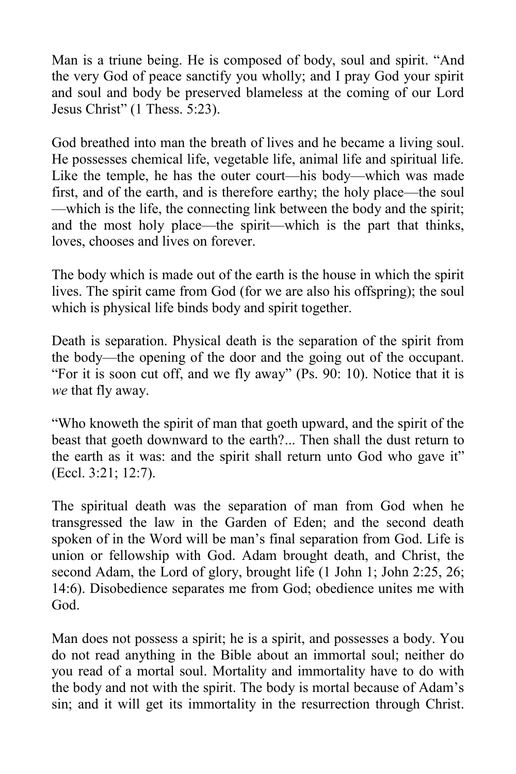Man is a triune being. He is composed of body, soul and spirit. "And the very God of peace sanctify you wholly; and I pray God your spirit and soul and body be preserved blameless at the coming of our Lord Jesus Christ" (1 Thess. 5:23).

God breathed into man the breath of lives and he became a living soul. He possesses chemical life, vegetable life, animal life and spiritual life. Like the temple, he has the outer court—his body—which was made first, and of the earth, and is therefore earthy; the holy place—the soul —which is the life, the connecting link between the body and the spirit; and the most holy place—the spirit—which is the part that thinks, loves, chooses and lives on forever.

The body which is made out of the earth is the house in which the spirit lives. The spirit came from God (for we are also his offspring); the soul which is physical life binds body and spirit together.

Death is separation. Physical death is the separation of the spirit from the body—the opening of the door and the going out of the occupant. "For it is soon cut off, and we fly away" (Ps. 90: 10). Notice that it is *we* that fly away.

"Who knoweth the spirit of man that goeth upward, and the spirit of the beast that goeth downward to the earth?... Then shall the dust return to the earth as it was: and the spirit shall return unto God who gave it" (Eccl. 3:21; 12:7).

The spiritual death was the separation of man from God when he transgressed the law in the Garden of Eden; and the second death spoken of in the Word will be man's final separation from God. Life is union or fellowship with God. Adam brought death, and Christ, the second Adam, the Lord of glory, brought life (1 John 1; John 2:25, 26; 14:6). Disobedience separates me from God; obedience unites me with God.

Man does not possess a spirit; he is a spirit, and possesses a body. You do not read anything in the Bible about an immortal soul; neither do you read of a mortal soul. Mortality and immortality have to do with the body and not with the spirit. The body is mortal because of Adam's sin; and it will get its immortality in the resurrection through Christ.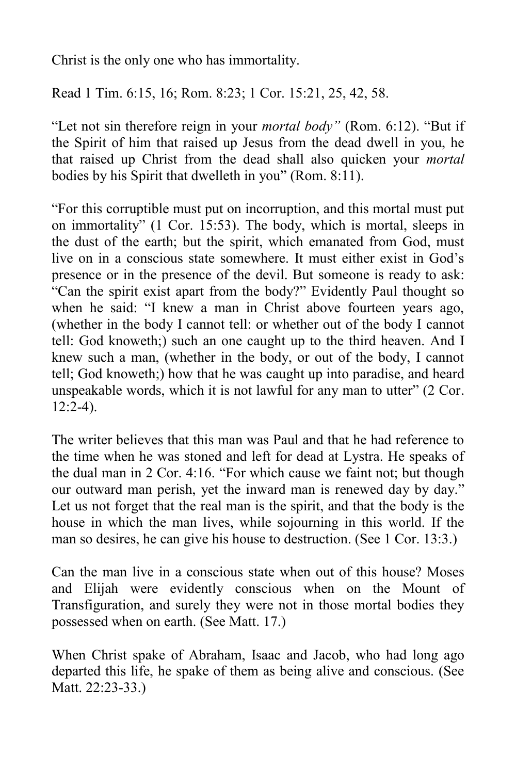Christ is the only one who has immortality.

Read 1 Tim. 6:15, 16; Rom. 8:23; 1 Cor. 15:21, 25, 42, 58.

"Let not sin therefore reign in your *mortal body"* (Rom. 6:12). "But if the Spirit of him that raised up Jesus from the dead dwell in you, he that raised up Christ from the dead shall also quicken your *mortal* bodies by his Spirit that dwelleth in you" (Rom. 8:11).

"For this corruptible must put on incorruption, and this mortal must put on immortality" (1 Cor. 15:53). The body, which is mortal, sleeps in the dust of the earth; but the spirit, which emanated from God, must live on in a conscious state somewhere. It must either exist in God's presence or in the presence of the devil. But someone is ready to ask: "Can the spirit exist apart from the body?" Evidently Paul thought so when he said: "I knew a man in Christ above fourteen years ago, (whether in the body I cannot tell: or whether out of the body I cannot tell: God knoweth;) such an one caught up to the third heaven. And I knew such a man, (whether in the body, or out of the body, I cannot tell; God knoweth;) how that he was caught up into paradise, and heard unspeakable words, which it is not lawful for any man to utter" (2 Cor.  $12:2-4$ ).

The writer believes that this man was Paul and that he had reference to the time when he was stoned and left for dead at Lystra. He speaks of the dual man in 2 Cor. 4:16. "For which cause we faint not; but though our outward man perish, yet the inward man is renewed day by day." Let us not forget that the real man is the spirit, and that the body is the house in which the man lives, while sojourning in this world. If the man so desires, he can give his house to destruction. (See 1 Cor. 13:3.)

Can the man live in a conscious state when out of this house? Moses and Elijah were evidently conscious when on the Mount of Transfiguration, and surely they were not in those mortal bodies they possessed when on earth. (See Matt. 17.)

When Christ spake of Abraham, Isaac and Jacob, who had long ago departed this life, he spake of them as being alive and conscious. (See Matt. 22:23-33.)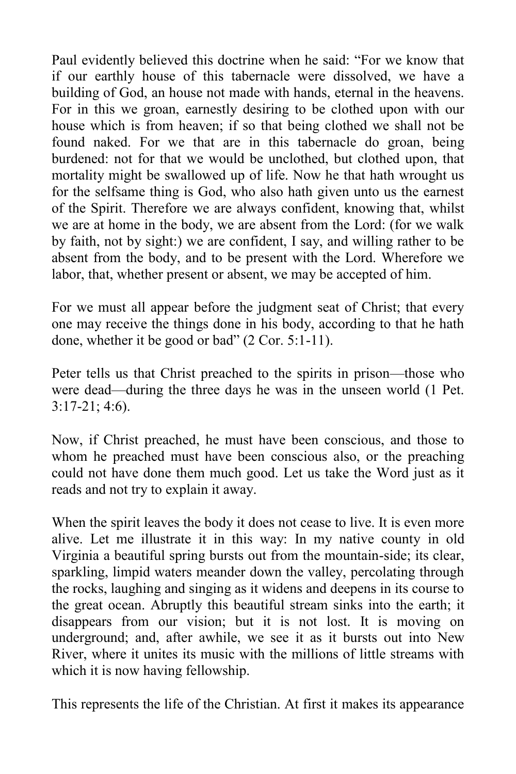Paul evidently believed this doctrine when he said: "For we know that if our earthly house of this tabernacle were dissolved, we have a building of God, an house not made with hands, eternal in the heavens. For in this we groan, earnestly desiring to be clothed upon with our house which is from heaven; if so that being clothed we shall not be found naked. For we that are in this tabernacle do groan, being burdened: not for that we would be unclothed, but clothed upon, that mortality might be swallowed up of life. Now he that hath wrought us for the selfsame thing is God, who also hath given unto us the earnest of the Spirit. Therefore we are always confident, knowing that, whilst we are at home in the body, we are absent from the Lord: (for we walk by faith, not by sight:) we are confident, I say, and willing rather to be absent from the body, and to be present with the Lord. Wherefore we labor, that, whether present or absent, we may be accepted of him.

For we must all appear before the judgment seat of Christ; that every one may receive the things done in his body, according to that he hath done, whether it be good or bad" (2 Cor. 5:1-11).

Peter tells us that Christ preached to the spirits in prison—those who were dead—during the three days he was in the unseen world (1 Pet. 3:17-21; 4:6).

Now, if Christ preached, he must have been conscious, and those to whom he preached must have been conscious also, or the preaching could not have done them much good. Let us take the Word just as it reads and not try to explain it away.

When the spirit leaves the body it does not cease to live. It is even more alive. Let me illustrate it in this way: In my native county in old Virginia a beautiful spring bursts out from the mountain-side; its clear, sparkling, limpid waters meander down the valley, percolating through the rocks, laughing and singing as it widens and deepens in its course to the great ocean. Abruptly this beautiful stream sinks into the earth; it disappears from our vision; but it is not lost. It is moving on underground; and, after awhile, we see it as it bursts out into New River, where it unites its music with the millions of little streams with which it is now having fellowship.

This represents the life of the Christian. At first it makes its appearance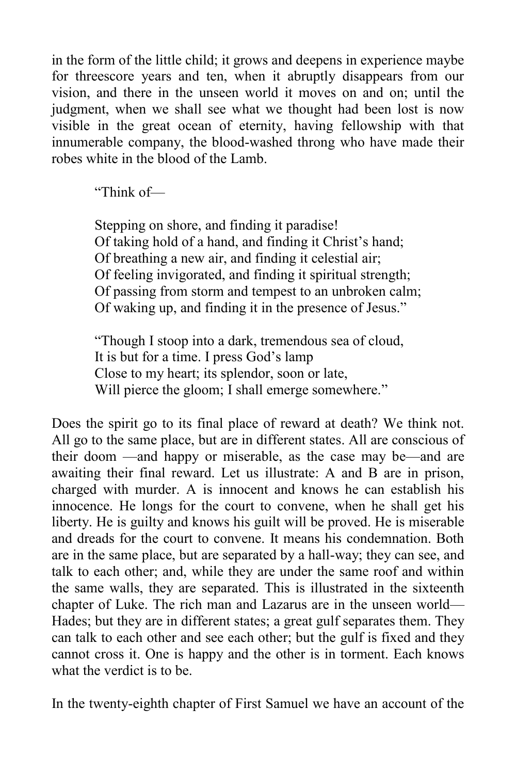in the form of the little child; it grows and deepens in experience maybe for threescore years and ten, when it abruptly disappears from our vision, and there in the unseen world it moves on and on; until the judgment, when we shall see what we thought had been lost is now visible in the great ocean of eternity, having fellowship with that innumerable company, the blood-washed throng who have made their robes white in the blood of the Lamb.

"Think of—

Stepping on shore, and finding it paradise! Of taking hold of a hand, and finding it Christ's hand; Of breathing a new air, and finding it celestial air; Of feeling invigorated, and finding it spiritual strength; Of passing from storm and tempest to an unbroken calm; Of waking up, and finding it in the presence of Jesus."

"Though I stoop into a dark, tremendous sea of cloud, It is but for a time. I press God's lamp Close to my heart; its splendor, soon or late, Will pierce the gloom; I shall emerge somewhere."

Does the spirit go to its final place of reward at death? We think not. All go to the same place, but are in different states. All are conscious of their doom —and happy or miserable, as the case may be—and are awaiting their final reward. Let us illustrate: A and B are in prison, charged with murder. A is innocent and knows he can establish his innocence. He longs for the court to convene, when he shall get his liberty. He is guilty and knows his guilt will be proved. He is miserable and dreads for the court to convene. It means his condemnation. Both are in the same place, but are separated by a hall-way; they can see, and talk to each other; and, while they are under the same roof and within the same walls, they are separated. This is illustrated in the sixteenth chapter of Luke. The rich man and Lazarus are in the unseen world— Hades; but they are in different states; a great gulf separates them. They can talk to each other and see each other; but the gulf is fixed and they cannot cross it. One is happy and the other is in torment. Each knows what the verdict is to be.

In the twenty-eighth chapter of First Samuel we have an account of the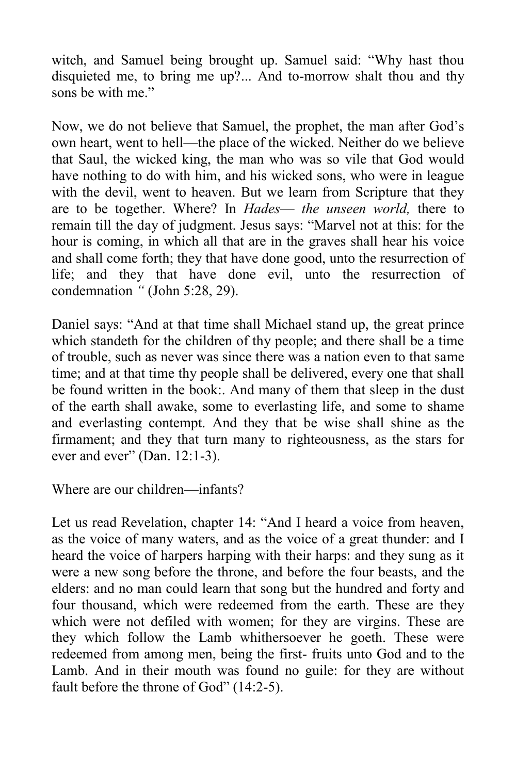witch, and Samuel being brought up. Samuel said: "Why hast thou disquieted me, to bring me up?... And to-morrow shalt thou and thy sons be with me."

Now, we do not believe that Samuel, the prophet, the man after God's own heart, went to hell—the place of the wicked. Neither do we believe that Saul, the wicked king, the man who was so vile that God would have nothing to do with him, and his wicked sons, who were in league with the devil, went to heaven. But we learn from Scripture that they are to be together. Where? In *Hades*— *the unseen world,* there to remain till the day of judgment. Jesus says: "Marvel not at this: for the hour is coming, in which all that are in the graves shall hear his voice and shall come forth; they that have done good, unto the resurrection of life; and they that have done evil, unto the resurrection of condemnation *"* (John 5:28, 29).

Daniel says: "And at that time shall Michael stand up, the great prince which standeth for the children of thy people; and there shall be a time of trouble, such as never was since there was a nation even to that same time; and at that time thy people shall be delivered, every one that shall be found written in the book:. And many of them that sleep in the dust of the earth shall awake, some to everlasting life, and some to shame and everlasting contempt. And they that be wise shall shine as the firmament; and they that turn many to righteousness, as the stars for ever and ever" (Dan. 12:1-3).

Where are our children—infants?

Let us read Revelation, chapter 14: "And I heard a voice from heaven, as the voice of many waters, and as the voice of a great thunder: and I heard the voice of harpers harping with their harps: and they sung as it were a new song before the throne, and before the four beasts, and the elders: and no man could learn that song but the hundred and forty and four thousand, which were redeemed from the earth. These are they which were not defiled with women; for they are virgins. These are they which follow the Lamb whithersoever he goeth. These were redeemed from among men, being the first- fruits unto God and to the Lamb. And in their mouth was found no guile: for they are without fault before the throne of God" (14:2-5).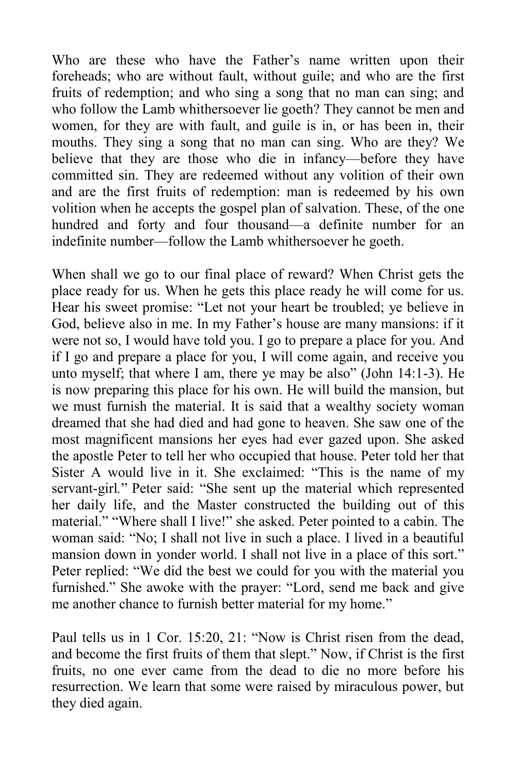Who are these who have the Father's name written upon their foreheads; who are without fault, without guile; and who are the first fruits of redemption; and who sing a song that no man can sing; and who follow the Lamb whithersoever lie goeth? They cannot be men and women, for they are with fault, and guile is in, or has been in, their mouths. They sing a song that no man can sing. Who are they? We believe that they are those who die in infancy—before they have committed sin. They are redeemed without any volition of their own and are the first fruits of redemption: man is redeemed by his own volition when he accepts the gospel plan of salvation. These, of the one hundred and forty and four thousand—a definite number for an indefinite number—follow the Lamb whithersoever he goeth.

When shall we go to our final place of reward? When Christ gets the place ready for us. When he gets this place ready he will come for us. Hear his sweet promise: "Let not your heart be troubled; ye believe in God, believe also in me. In my Father's house are many mansions: if it were not so, I would have told you. I go to prepare a place for you. And if I go and prepare a place for you, I will come again, and receive you unto myself; that where I am, there ye may be also" (John 14:1-3). He is now preparing this place for his own. He will build the mansion, but we must furnish the material. It is said that a wealthy society woman dreamed that she had died and had gone to heaven. She saw one of the most magnificent mansions her eyes had ever gazed upon. She asked the apostle Peter to tell her who occupied that house. Peter told her that Sister A would live in it. She exclaimed: "This is the name of my servant-girl*.*" Peter said: "She sent up the material which represented her daily life, and the Master constructed the building out of this material." "Where shall I live!" she asked. Peter pointed to a cabin. The woman said: "No; I shall not live in such a place. I lived in a beautiful mansion down in yonder world. I shall not live in a place of this sort." Peter replied: "We did the best we could for you with the material you furnished." She awoke with the prayer: "Lord, send me back and give me another chance to furnish better material for my home."

Paul tells us in 1 Cor. 15:20, 21: "Now is Christ risen from the dead, and become the first fruits of them that slept." Now, if Christ is the first fruits, no one ever came from the dead to die no more before his resurrection. We learn that some were raised by miraculous power, but they died again.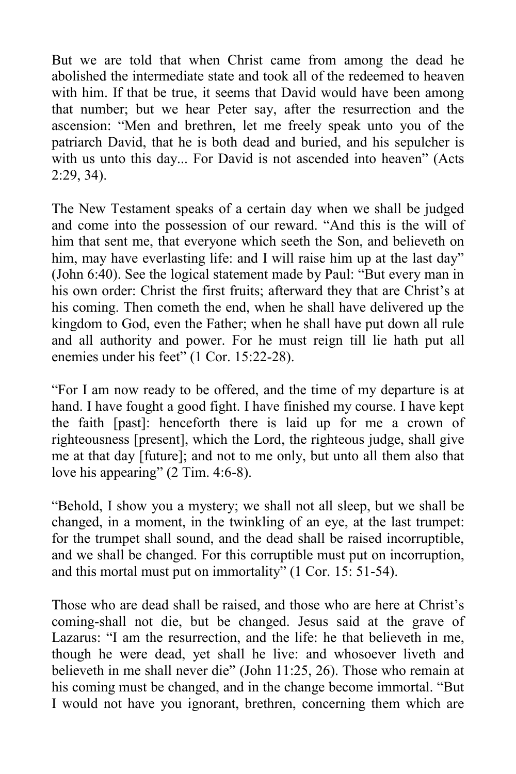But we are told that when Christ came from among the dead he abolished the intermediate state and took all of the redeemed to heaven with him. If that be true, it seems that David would have been among that number; but we hear Peter say, after the resurrection and the ascension: "Men and brethren, let me freely speak unto you of the patriarch David, that he is both dead and buried, and his sepulcher is with us unto this day... For David is not ascended into heaven" (Acts 2:29, 34).

The New Testament speaks of a certain day when we shall be judged and come into the possession of our reward. "And this is the will of him that sent me, that everyone which seeth the Son, and believeth on him, may have everlasting life: and I will raise him up at the last day" (John 6:40). See the logical statement made by Paul: "But every man in his own order: Christ the first fruits; afterward they that are Christ's at his coming. Then cometh the end, when he shall have delivered up the kingdom to God, even the Father; when he shall have put down all rule and all authority and power. For he must reign till lie hath put all enemies under his feet" (1 Cor. 15:22-28).

"For I am now ready to be offered, and the time of my departure is at hand. I have fought a good fight. I have finished my course. I have kept the faith [past]: henceforth there is laid up for me a crown of righteousness [present], which the Lord, the righteous judge, shall give me at that day [future]; and not to me only, but unto all them also that love his appearing" (2 Tim. 4:6-8).

"Behold, I show you a mystery; we shall not all sleep, but we shall be changed, in a moment, in the twinkling of an eye, at the last trumpet: for the trumpet shall sound, and the dead shall be raised incorruptible, and we shall be changed. For this corruptible must put on incorruption, and this mortal must put on immortality" (1 Cor. 15: 51-54).

Those who are dead shall be raised, and those who are here at Christ's coming-shall not die, but be changed. Jesus said at the grave of Lazarus: "I am the resurrection, and the life: he that believeth in me, though he were dead, yet shall he live: and whosoever liveth and believeth in me shall never die" (John 11:25, 26). Those who remain at his coming must be changed, and in the change become immortal. "But I would not have you ignorant, brethren, concerning them which are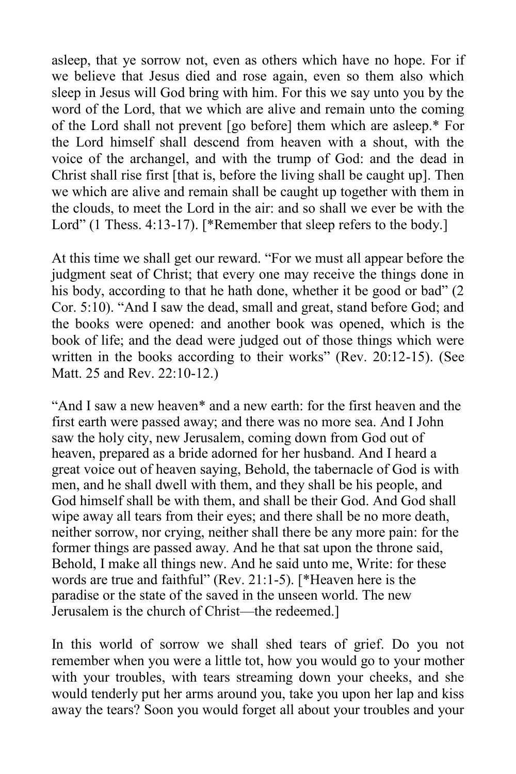asleep, that ye sorrow not, even as others which have no hope. For if we believe that Jesus died and rose again, even so them also which sleep in Jesus will God bring with him. For this we say unto you by the word of the Lord, that we which are alive and remain unto the coming of the Lord shall not prevent [go before] them which are asleep.\* For the Lord himself shall descend from heaven with a shout, with the voice of the archangel, and with the trump of God: and the dead in Christ shall rise first [that is, before the living shall be caught up]. Then we which are alive and remain shall be caught up together with them in the clouds, to meet the Lord in the air: and so shall we ever be with the Lord" (1 Thess. 4:13-17). [\*Remember that sleep refers to the body.]

At this time we shall get our reward. "For we must all appear before the judgment seat of Christ; that every one may receive the things done in his body, according to that he hath done, whether it be good or bad" (2) Cor. 5:10). "And I saw the dead, small and great, stand before God; and the books were opened: and another book was opened, which is the book of life; and the dead were judged out of those things which were written in the books according to their works" (Rev. 20:12-15). (See Matt. 25 and Rev. 22:10-12.)

"And I saw a new heaven\* and a new earth: for the first heaven and the first earth were passed away; and there was no more sea. And I John saw the holy city, new Jerusalem, coming down from God out of heaven, prepared as a bride adorned for her husband. And I heard a great voice out of heaven saying, Behold, the tabernacle of God is with men, and he shall dwell with them, and they shall be his people, and God himself shall be with them, and shall be their God. And God shall wipe away all tears from their eyes; and there shall be no more death, neither sorrow, nor crying, neither shall there be any more pain: for the former things are passed away. And he that sat upon the throne said, Behold, I make all things new. And he said unto me, Write: for these words are true and faithful" (Rev. 21:1-5). [\*Heaven here is the paradise or the state of the saved in the unseen world. The new Jerusalem is the church of Christ—the redeemed.]

In this world of sorrow we shall shed tears of grief. Do you not remember when you were a little tot, how you would go to your mother with your troubles, with tears streaming down your cheeks, and she would tenderly put her arms around you, take you upon her lap and kiss away the tears? Soon you would forget all about your troubles and your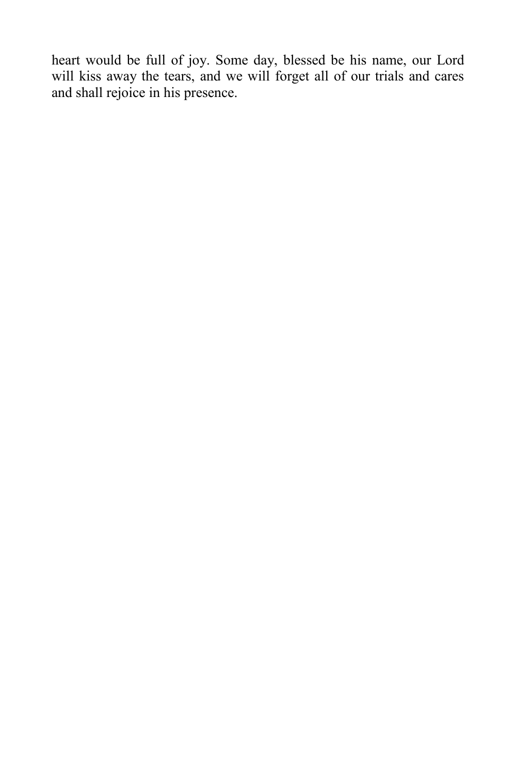heart would be full of joy. Some day, blessed be his name, our Lord will kiss away the tears, and we will forget all of our trials and cares and shall rejoice in his presence.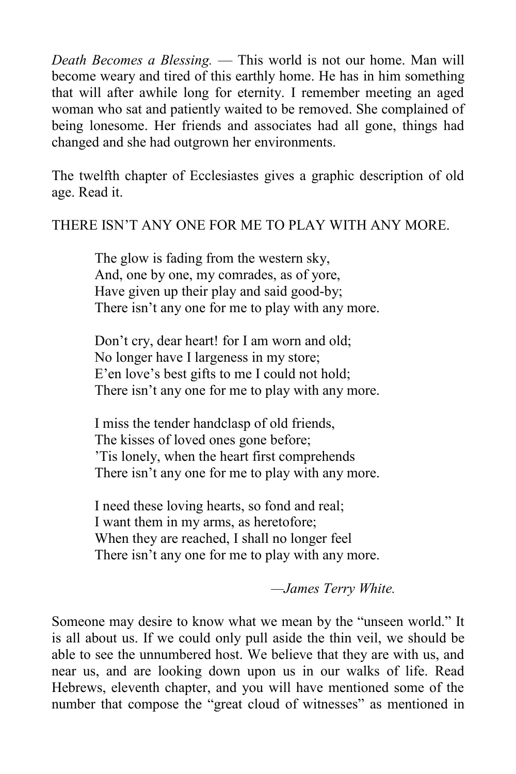*Death Becomes a Blessing.* — This world is not our home. Man will become weary and tired of this earthly home. He has in him something that will after awhile long for eternity. I remember meeting an aged woman who sat and patiently waited to be removed. She complained of being lonesome. Her friends and associates had all gone, things had changed and she had outgrown her environments.

The twelfth chapter of Ecclesiastes gives a graphic description of old age. Read it.

THERE ISN'T ANY ONE FOR ME TO PLAY WITH ANY MORE.

The glow is fading from the western sky, And, one by one, my comrades, as of yore, Have given up their play and said good-by; There isn't any one for me to play with any more.

Don't cry, dear heart! for I am worn and old; No longer have I largeness in my store; E'en love's best gifts to me I could not hold; There isn't any one for me to play with any more.

I miss the tender handclasp of old friends, The kisses of loved ones gone before; 'Tis lonely, when the heart first comprehends There isn't any one for me to play with any more.

I need these loving hearts, so fond and real; I want them in my arms, as heretofore; When they are reached, I shall no longer feel There isn't any one for me to play with any more.

*—James Terry White.*

Someone may desire to know what we mean by the "unseen world." It is all about us. If we could only pull aside the thin veil, we should be able to see the unnumbered host. We believe that they are with us, and near us, and are looking down upon us in our walks of life. Read Hebrews, eleventh chapter, and you will have mentioned some of the number that compose the "great cloud of witnesses" as mentioned in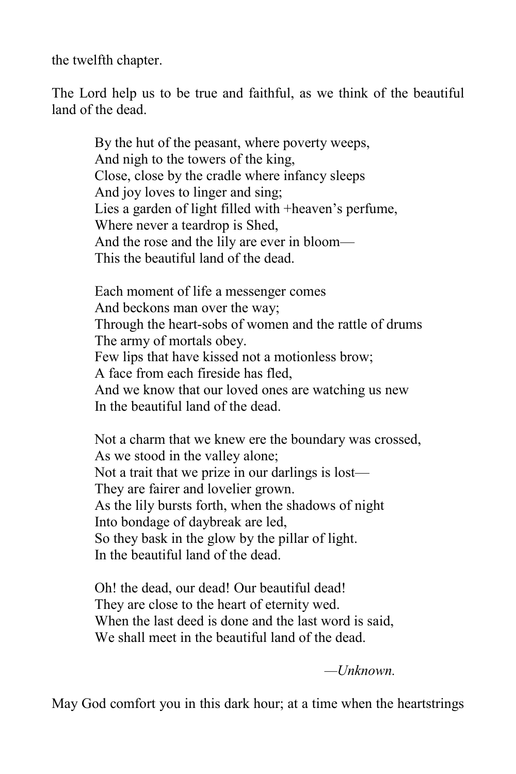the twelfth chapter.

The Lord help us to be true and faithful, as we think of the beautiful land of the dead.

> By the hut of the peasant, where poverty weeps, And nigh to the towers of the king, Close, close by the cradle where infancy sleeps And joy loves to linger and sing; Lies a garden of light filled with +heaven's perfume, Where never a teardrop is Shed, And the rose and the lily are ever in bloom— This the beautiful land of the dead.

Each moment of life a messenger comes And beckons man over the way; Through the heart-sobs of women and the rattle of drums The army of mortals obey. Few lips that have kissed not a motionless brow; A face from each fireside has fled, And we know that our loved ones are watching us new In the beautiful land of the dead.

Not a charm that we knew ere the boundary was crossed, As we stood in the valley alone; Not a trait that we prize in our darlings is lost— They are fairer and lovelier grown. As the lily bursts forth, when the shadows of night Into bondage of daybreak are led, So they bask in the glow by the pillar of light. In the beautiful land of the dead.

Oh! the dead, our dead! Our beautiful dead! They are close to the heart of eternity wed. When the last deed is done and the last word is said, We shall meet in the beautiful land of the dead.

*—Unknown.*

May God comfort you in this dark hour; at a time when the heartstrings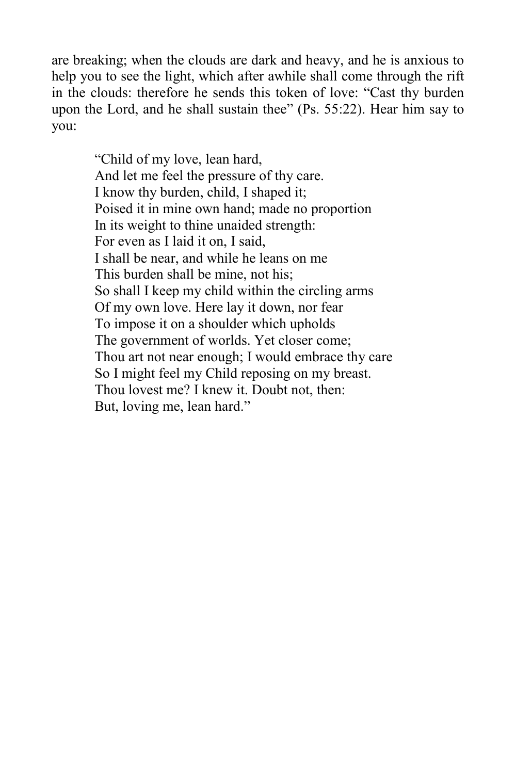are breaking; when the clouds are dark and heavy, and he is anxious to help you to see the light, which after awhile shall come through the rift in the clouds: therefore he sends this token of love: "Cast thy burden upon the Lord, and he shall sustain thee" (Ps. 55:22). Hear him say to you:

> "Child of my love, lean hard, And let me feel the pressure of thy care. I know thy burden, child, I shaped it; Poised it in mine own hand; made no proportion In its weight to thine unaided strength: For even as I laid it on, I said, I shall be near, and while he leans on me This burden shall be mine, not his; So shall I keep my child within the circling arms Of my own love. Here lay it down, nor fear To impose it on a shoulder which upholds The government of worlds. Yet closer come; Thou art not near enough; I would embrace thy care So I might feel my Child reposing on my breast. Thou lovest me? I knew it. Doubt not, then: But, loving me, lean hard."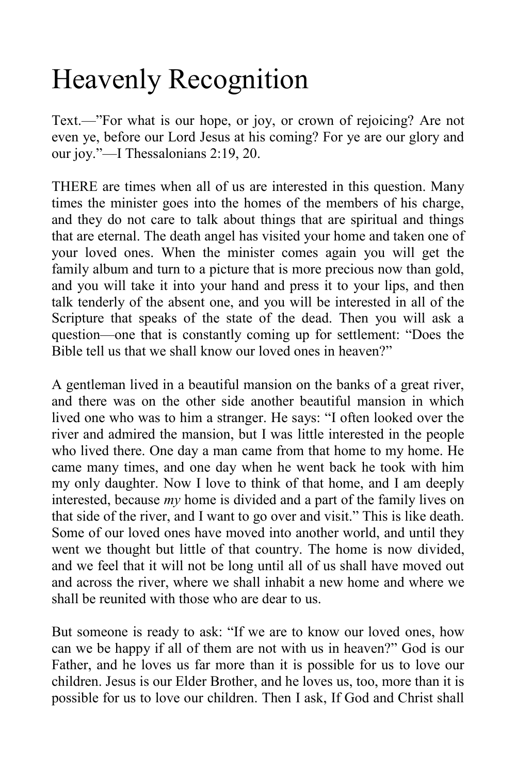## Heavenly Recognition

Text.—"For what is our hope, or joy, or crown of rejoicing? Are not even ye, before our Lord Jesus at his coming? For ye are our glory and our joy."—I Thessalonians 2:19, 20.

THERE are times when all of us are interested in this question. Many times the minister goes into the homes of the members of his charge, and they do not care to talk about things that are spiritual and things that are eternal. The death angel has visited your home and taken one of your loved ones. When the minister comes again you will get the family album and turn to a picture that is more precious now than gold, and you will take it into your hand and press it to your lips, and then talk tenderly of the absent one, and you will be interested in all of the Scripture that speaks of the state of the dead. Then you will ask a question—one that is constantly coming up for settlement: "Does the Bible tell us that we shall know our loved ones in heaven?"

A gentleman lived in a beautiful mansion on the banks of a great river, and there was on the other side another beautiful mansion in which lived one who was to him a stranger. He says: "I often looked over the river and admired the mansion, but I was little interested in the people who lived there. One day a man came from that home to my home. He came many times, and one day when he went back he took with him my only daughter. Now I love to think of that home, and I am deeply interested, because *my* home is divided and a part of the family lives on that side of the river, and I want to go over and visit." This is like death. Some of our loved ones have moved into another world, and until they went we thought but little of that country. The home is now divided, and we feel that it will not be long until all of us shall have moved out and across the river, where we shall inhabit a new home and where we shall be reunited with those who are dear to us.

But someone is ready to ask: "If we are to know our loved ones, how can we be happy if all of them are not with us in heaven?" God is our Father, and he loves us far more than it is possible for us to love our children. Jesus is our Elder Brother, and he loves us, too, more than it is possible for us to love our children. Then I ask, If God and Christ shall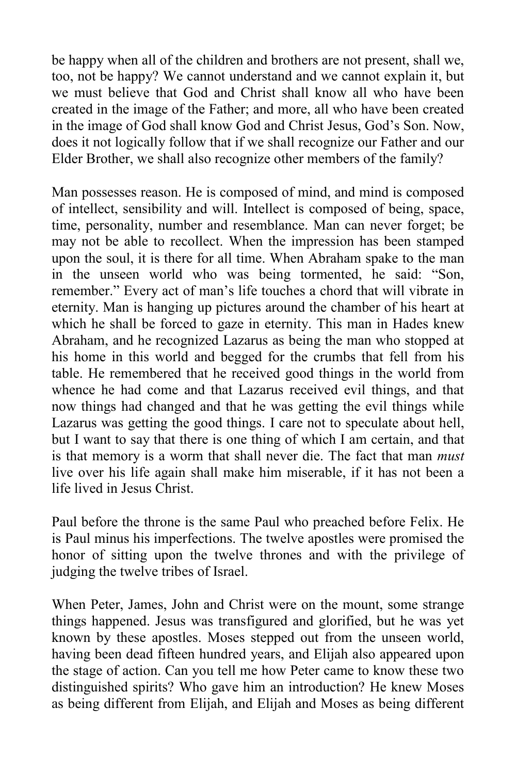be happy when all of the children and brothers are not present, shall we, too, not be happy? We cannot understand and we cannot explain it, but we must believe that God and Christ shall know all who have been created in the image of the Father; and more, all who have been created in the image of God shall know God and Christ Jesus, God's Son. Now, does it not logically follow that if we shall recognize our Father and our Elder Brother, we shall also recognize other members of the family?

Man possesses reason. He is composed of mind, and mind is composed of intellect, sensibility and will. Intellect is composed of being, space, time, personality, number and resemblance. Man can never forget; be may not be able to recollect. When the impression has been stamped upon the soul, it is there for all time. When Abraham spake to the man in the unseen world who was being tormented, he said: "Son, remember." Every act of man's life touches a chord that will vibrate in eternity. Man is hanging up pictures around the chamber of his heart at which he shall be forced to gaze in eternity. This man in Hades knew Abraham, and he recognized Lazarus as being the man who stopped at his home in this world and begged for the crumbs that fell from his table. He remembered that he received good things in the world from whence he had come and that Lazarus received evil things, and that now things had changed and that he was getting the evil things while Lazarus was getting the good things. I care not to speculate about hell, but I want to say that there is one thing of which I am certain, and that is that memory is a worm that shall never die. The fact that man *must* live over his life again shall make him miserable, if it has not been a life lived in Jesus Christ.

Paul before the throne is the same Paul who preached before Felix. He is Paul minus his imperfections. The twelve apostles were promised the honor of sitting upon the twelve thrones and with the privilege of judging the twelve tribes of Israel.

When Peter, James, John and Christ were on the mount, some strange things happened. Jesus was transfigured and glorified, but he was yet known by these apostles. Moses stepped out from the unseen world, having been dead fifteen hundred years, and Elijah also appeared upon the stage of action. Can you tell me how Peter came to know these two distinguished spirits? Who gave him an introduction? He knew Moses as being different from Elijah, and Elijah and Moses as being different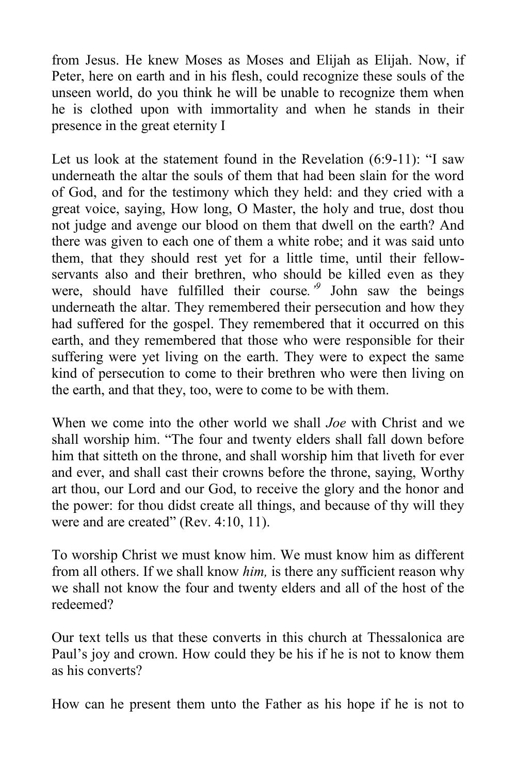from Jesus. He knew Moses as Moses and Elijah as Elijah. Now, if Peter, here on earth and in his flesh, could recognize these souls of the unseen world, do you think he will be unable to recognize them when he is clothed upon with immortality and when he stands in their presence in the great eternity I

Let us look at the statement found in the Revelation (6:9-11): "I saw underneath the altar the souls of them that had been slain for the word of God, and for the testimony which they held: and they cried with a great voice, saying, How long, O Master, the holy and true, dost thou not judge and avenge our blood on them that dwell on the earth? And there was given to each one of them a white robe; and it was said unto them, that they should rest yet for a little time, until their fellowservants also and their brethren, who should be killed even as they were, should have fulfilled their course*.'<sup>9</sup>* John saw the beings underneath the altar. They remembered their persecution and how they had suffered for the gospel. They remembered that it occurred on this earth, and they remembered that those who were responsible for their suffering were yet living on the earth. They were to expect the same kind of persecution to come to their brethren who were then living on the earth, and that they, too, were to come to be with them.

When we come into the other world we shall *Joe* with Christ and we shall worship him. "The four and twenty elders shall fall down before him that sitteth on the throne, and shall worship him that liveth for ever and ever, and shall cast their crowns before the throne, saying, Worthy art thou, our Lord and our God, to receive the glory and the honor and the power: for thou didst create all things, and because of thy will they were and are created" (Rev. 4:10, 11).

To worship Christ we must know him. We must know him as different from all others. If we shall know *him,* is there any sufficient reason why we shall not know the four and twenty elders and all of the host of the redeemed?

Our text tells us that these converts in this church at Thessalonica are Paul's joy and crown. How could they be his if he is not to know them as his converts?

How can he present them unto the Father as his hope if he is not to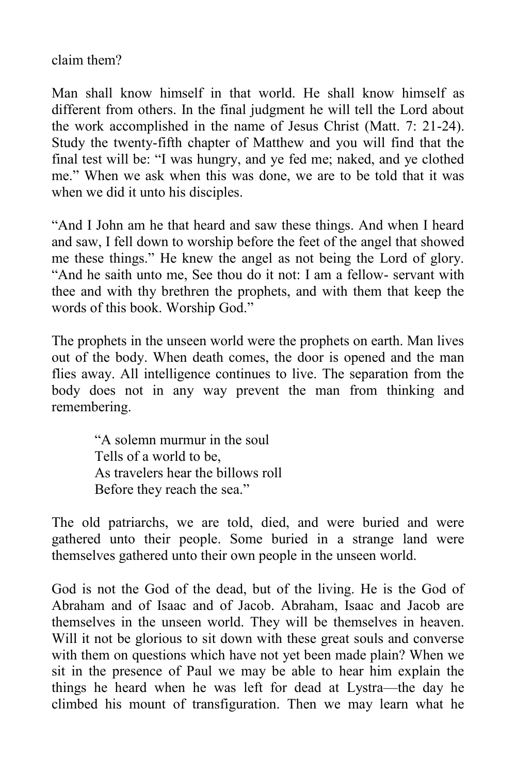claim them?

Man shall know himself in that world. He shall know himself as different from others. In the final judgment he will tell the Lord about the work accomplished in the name of Jesus Christ (Matt. 7: 21-24). Study the twenty-fifth chapter of Matthew and you will find that the final test will be: "I was hungry, and ye fed me; naked, and ye clothed me." When we ask when this was done, we are to be told that it was when we did it unto his disciples.

"And I John am he that heard and saw these things. And when I heard and saw, I fell down to worship before the feet of the angel that showed me these things." He knew the angel as not being the Lord of glory. "And he saith unto me, See thou do it not: I am a fellow- servant with thee and with thy brethren the prophets, and with them that keep the words of this book. Worship God."

The prophets in the unseen world were the prophets on earth. Man lives out of the body. When death comes, the door is opened and the man flies away. All intelligence continues to live. The separation from the body does not in any way prevent the man from thinking and remembering.

> "A solemn murmur in the soul Tells of a world to be, As travelers hear the billows roll Before they reach the sea."

The old patriarchs, we are told, died, and were buried and were gathered unto their people. Some buried in a strange land were themselves gathered unto their own people in the unseen world.

God is not the God of the dead, but of the living. He is the God of Abraham and of Isaac and of Jacob. Abraham, Isaac and Jacob are themselves in the unseen world. They will be themselves in heaven. Will it not be glorious to sit down with these great souls and converse with them on questions which have not yet been made plain? When we sit in the presence of Paul we may be able to hear him explain the things he heard when he was left for dead at Lystra—the day he climbed his mount of transfiguration. Then we may learn what he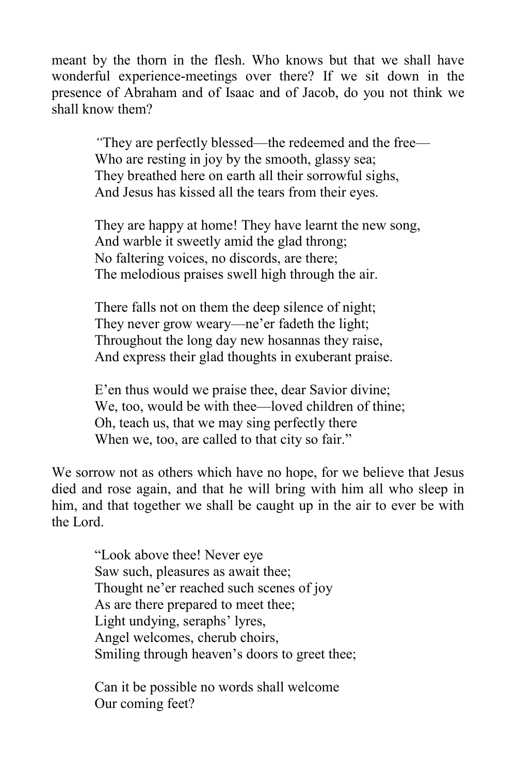meant by the thorn in the flesh. Who knows but that we shall have wonderful experience-meetings over there? If we sit down in the presence of Abraham and of Isaac and of Jacob, do you not think we shall know them?

> *"*They are perfectly blessed—the redeemed and the free— Who are resting in joy by the smooth, glassy sea; They breathed here on earth all their sorrowful sighs, And Jesus has kissed all the tears from their eyes.

They are happy at home! They have learnt the new song, And warble it sweetly amid the glad throng; No faltering voices, no discords, are there; The melodious praises swell high through the air.

There falls not on them the deep silence of night; They never grow weary—ne'er fadeth the light; Throughout the long day new hosannas they raise, And express their glad thoughts in exuberant praise.

E'en thus would we praise thee, dear Savior divine; We, too, would be with thee—loved children of thine; Oh, teach us, that we may sing perfectly there When we, too, are called to that city so fair."

We sorrow not as others which have no hope, for we believe that Jesus died and rose again, and that he will bring with him all who sleep in him, and that together we shall be caught up in the air to ever be with the Lord.

> "Look above thee! Never eye Saw such, pleasures as await thee; Thought ne'er reached such scenes of joy As are there prepared to meet thee; Light undying, seraphs' lyres, Angel welcomes, cherub choirs, Smiling through heaven's doors to greet thee;

Can it be possible no words shall welcome Our coming feet?